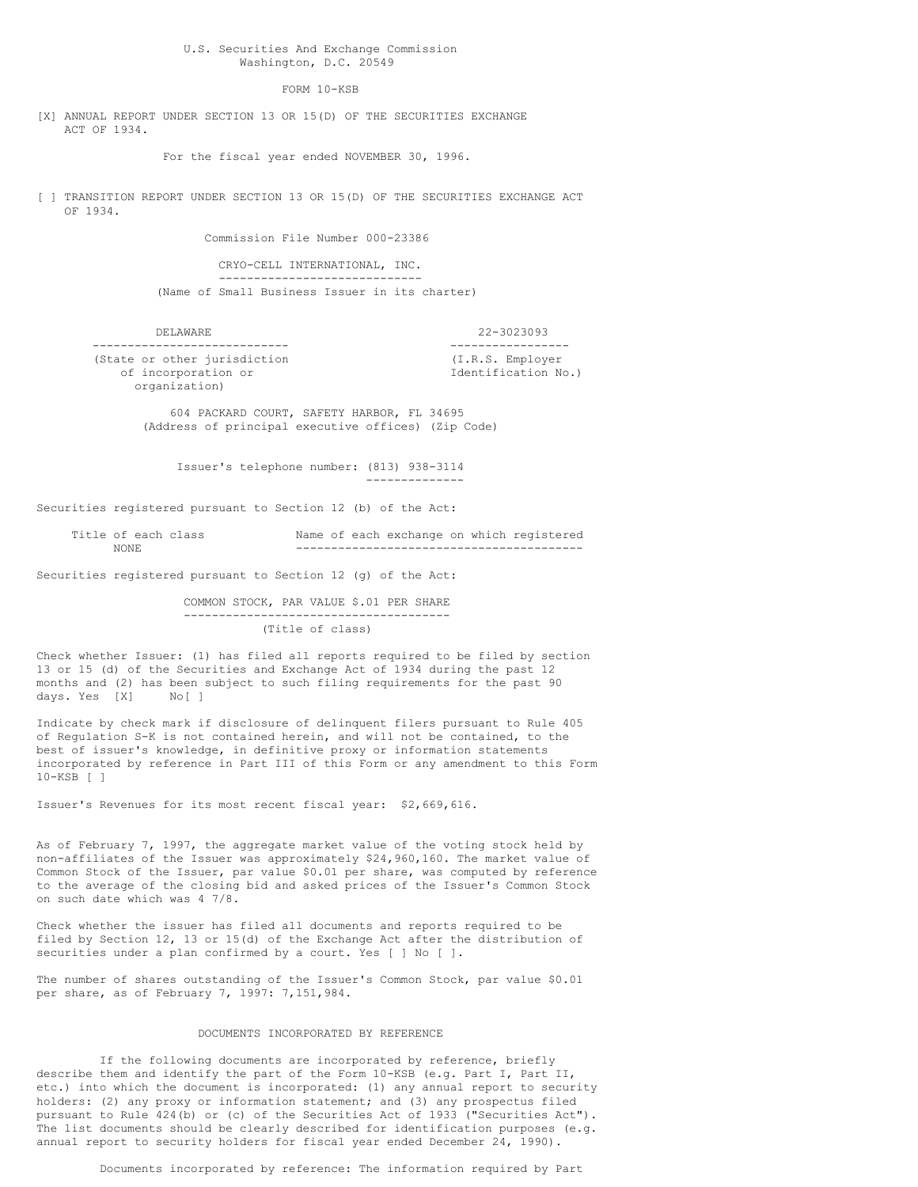U.S. Securities And Exchange Commission Washington, D.C. 20549

FORM 10-KSB

[X] ANNUAL REPORT UNDER SECTION 13 OR 15(D) OF THE SECURITIES EXCHANGE ACT OF 1934.

For the fiscal year ended NOVEMBER 30, 1996.

[ ] TRANSITION REPORT UNDER SECTION 13 OR 15(D) OF THE SECURITIES EXCHANGE ACT OF 1934.

Commission File Number 000-23386

CRYO-CELL INTERNATIONAL, INC. ----------------------------- (Name of Small Business Issuer in its charter)

DELAWARE 22-3023093 ---------------------------- ----------------- (State or other jurisdiction (I.R.S. Employer of incorporation or Identification No.) organization)

> 604 PACKARD COURT, SAFETY HARBOR, FL 34695 (Address of principal executive offices) (Zip Code)

Issuer's telephone number: (813) 938-3114

--------------

Securities registered pursuant to Section 12 (b) of the Act:

| Title of each class |  |  |  | Name of each exchange on which registered |
|---------------------|--|--|--|-------------------------------------------|
| NONE                |  |  |  |                                           |

Securities registered pursuant to Section 12 (g) of the Act:

COMMON STOCK, PAR VALUE \$.01 PER SHARE -------------------------------------- (Title of class)

Check whether Issuer: (1) has filed all reports required to be filed by section 13 or 15 (d) of the Securities and Exchange Act of 1934 during the past 12 months and (2) has been subject to such filing requirements for the past 90 days. Yes [X] No[ ]

Indicate by check mark if disclosure of delinquent filers pursuant to Rule 405 of Regulation S-K is not contained herein, and will not be contained, to the best of issuer's knowledge, in definitive proxy or information statements incorporated by reference in Part III of this Form or any amendment to this Form 10-KSB [ ]

Issuer's Revenues for its most recent fiscal year: \$2,669,616.

As of February 7, 1997, the aggregate market value of the voting stock held by non-affiliates of the Issuer was approximately \$24,960,160. The market value of Common Stock of the Issuer, par value \$0.01 per share, was computed by reference to the average of the closing bid and asked prices of the Issuer's Common Stock on such date which was 4 7/8.

Check whether the issuer has filed all documents and reports required to be filed by Section 12, 13 or 15(d) of the Exchange Act after the distribution of securities under a plan confirmed by a court. Yes [ ] No [ ].

The number of shares outstanding of the Issuer's Common Stock, par value \$0.01 per share, as of February 7, 1997: 7,151,984.

#### DOCUMENTS INCORPORATED BY REFERENCE

If the following documents are incorporated by reference, briefly describe them and identify the part of the Form 10-KSB (e.g. Part I, Part II, etc.) into which the document is incorporated: (1) any annual report to security holders: (2) any proxy or information statement; and (3) any prospectus filed pursuant to Rule 424(b) or (c) of the Securities Act of 1933 ("Securities Act"). The list documents should be clearly described for identification purposes (e.g. annual report to security holders for fiscal year ended December 24, 1990).

Documents incorporated by reference: The information required by Part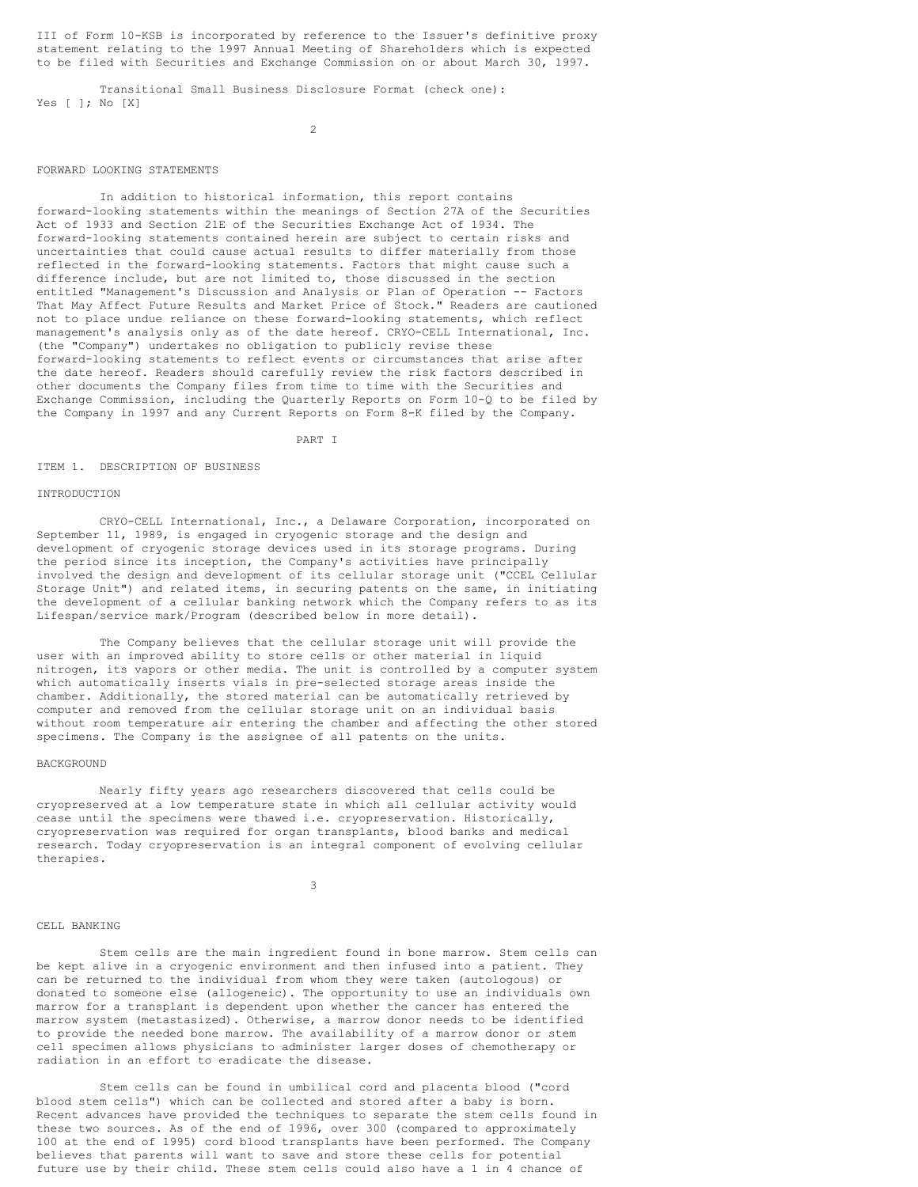III of Form 10-KSB is incorporated by reference to the Issuer's definitive proxy statement relating to the 1997 Annual Meeting of Shareholders which is expected to be filed with Securities and Exchange Commission on or about March 30, 1997.

Transitional Small Business Disclosure Format (check one): Yes [ ]; No [X]

 $\mathcal{L}$ 

#### FORWARD LOOKING STATEMENTS

In addition to historical information, this report contains forward-looking statements within the meanings of Section 27A of the Securities Act of 1933 and Section 21E of the Securities Exchange Act of 1934. The forward-looking statements contained herein are subject to certain risks and uncertainties that could cause actual results to differ materially from those reflected in the forward-looking statements. Factors that might cause such a difference include, but are not limited to, those discussed in the section entitled "Management's Discussion and Analysis or Plan of Operation -- Factors That May Affect Future Results and Market Price of Stock." Readers are cautioned not to place undue reliance on these forward-looking statements, which reflect management's analysis only as of the date hereof. CRYO-CELL International, Inc. (the "Company") undertakes no obligation to publicly revise these forward-looking statements to reflect events or circumstances that arise after the date hereof. Readers should carefully review the risk factors described in other documents the Company files from time to time with the Securities and Exchange Commission, including the Quarterly Reports on Form 10-Q to be filed by the Company in 1997 and any Current Reports on Form 8-K filed by the Company.

PART I

#### ITEM 1. DESCRIPTION OF BUSINESS

#### INTRODUCTION

CRYO-CELL International, Inc., a Delaware Corporation, incorporated on September 11, 1989, is engaged in cryogenic storage and the design and development of cryogenic storage devices used in its storage programs. During the period since its inception, the Company's activities have principally involved the design and development of its cellular storage unit ("CCEL Cellular Storage Unit") and related items, in securing patents on the same, in initiating the development of a cellular banking network which the Company refers to as its Lifespan/service mark/Program (described below in more detail).

The Company believes that the cellular storage unit will provide the user with an improved ability to store cells or other material in liquid nitrogen, its vapors or other media. The unit is controlled by a computer system which automatically inserts vials in pre-selected storage areas inside the chamber. Additionally, the stored material can be automatically retrieved by computer and removed from the cellular storage unit on an individual basis without room temperature air entering the chamber and affecting the other stored specimens. The Company is the assignee of all patents on the units.

#### **BACKGROUND**

Nearly fifty years ago researchers discovered that cells could be cryopreserved at a low temperature state in which all cellular activity would cease until the specimens were thawed i.e. cryopreservation. Historically, cryopreservation was required for organ transplants, blood banks and medical research. Today cryopreservation is an integral component of evolving cellular therapies.

3

#### CELL BANKING

Stem cells are the main ingredient found in bone marrow. Stem cells can be kept alive in a cryogenic environment and then infused into a patient. They can be returned to the individual from whom they were taken (autologous) or donated to someone else (allogeneic). The opportunity to use an individuals own marrow for a transplant is dependent upon whether the cancer has entered the marrow system (metastasized). Otherwise, a marrow donor needs to be identified to provide the needed bone marrow. The availability of a marrow donor or stem cell specimen allows physicians to administer larger doses of chemotherapy or radiation in an effort to eradicate the disease.

Stem cells can be found in umbilical cord and placenta blood ("cord blood stem cells") which can be collected and stored after a baby is born. Recent advances have provided the techniques to separate the stem cells found in these two sources. As of the end of 1996, over 300 (compared to approximately 100 at the end of 1995) cord blood transplants have been performed. The Company believes that parents will want to save and store these cells for potential future use by their child. These stem cells could also have a 1 in 4 chance of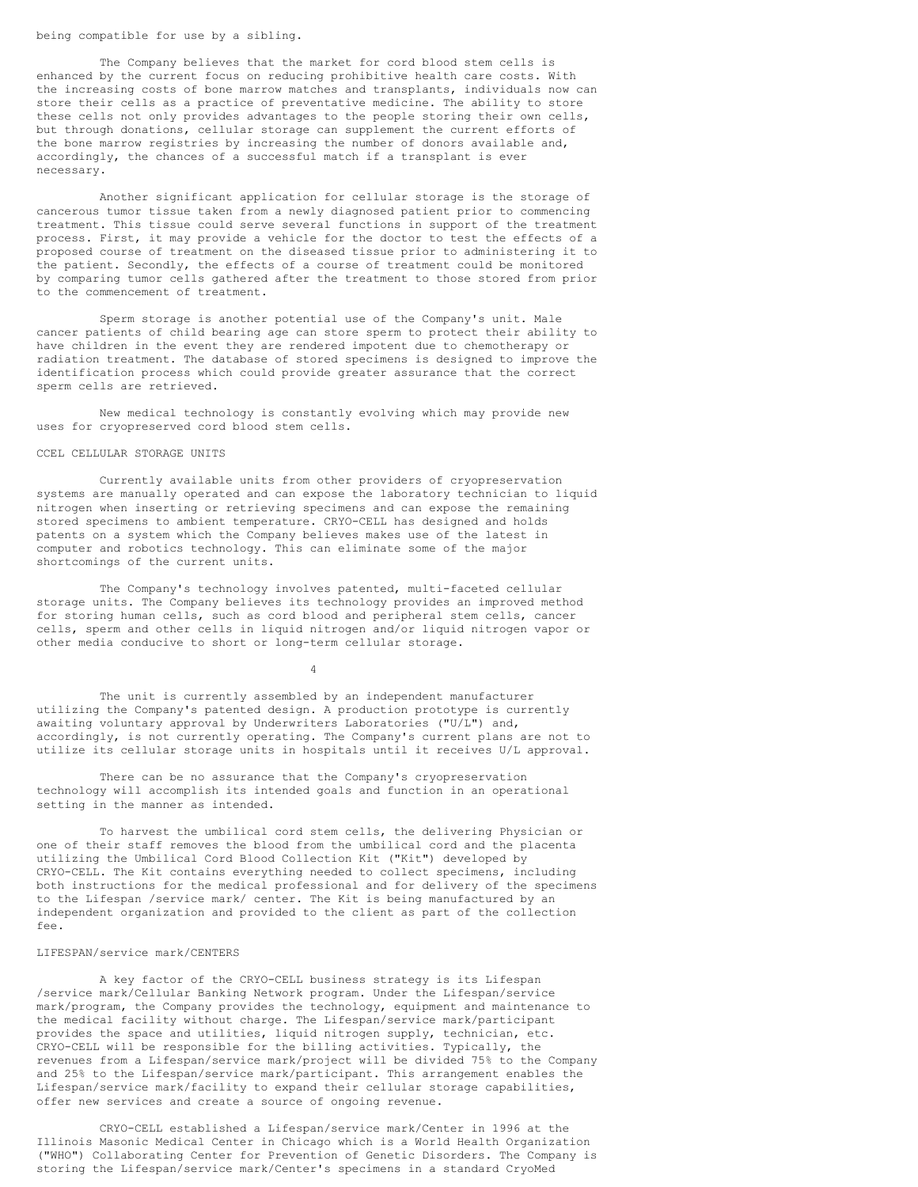# being compatible for use by a sibling.

The Company believes that the market for cord blood stem cells is enhanced by the current focus on reducing prohibitive health care costs. With the increasing costs of bone marrow matches and transplants, individuals now can store their cells as a practice of preventative medicine. The ability to store these cells not only provides advantages to the people storing their own cells, but through donations, cellular storage can supplement the current efforts of the bone marrow registries by increasing the number of donors available and, accordingly, the chances of a successful match if a transplant is ever necessary.

Another significant application for cellular storage is the storage of cancerous tumor tissue taken from a newly diagnosed patient prior to commencing treatment. This tissue could serve several functions in support of the treatment process. First, it may provide a vehicle for the doctor to test the effects of a proposed course of treatment on the diseased tissue prior to administering it to the patient. Secondly, the effects of a course of treatment could be monitored by comparing tumor cells gathered after the treatment to those stored from prior to the commencement of treatment.

Sperm storage is another potential use of the Company's unit. Male cancer patients of child bearing age can store sperm to protect their ability to have children in the event they are rendered impotent due to chemotherapy or radiation treatment. The database of stored specimens is designed to improve the identification process which could provide greater assurance that the correct sperm cells are retrieved.

New medical technology is constantly evolving which may provide new uses for cryopreserved cord blood stem cells.

#### CCEL CELLULAR STORAGE UNITS

Currently available units from other providers of cryopreservation systems are manually operated and can expose the laboratory technician to liquid nitrogen when inserting or retrieving specimens and can expose the remaining stored specimens to ambient temperature. CRYO-CELL has designed and holds patents on a system which the Company believes makes use of the latest in computer and robotics technology. This can eliminate some of the major shortcomings of the current units.

The Company's technology involves patented, multi-faceted cellular storage units. The Company believes its technology provides an improved method for storing human cells, such as cord blood and peripheral stem cells, cancer cells, sperm and other cells in liquid nitrogen and/or liquid nitrogen vapor or other media conducive to short or long-term cellular storage.

4

The unit is currently assembled by an independent manufacturer utilizing the Company's patented design. A production prototype is currently awaiting voluntary approval by Underwriters Laboratories ("U/L") and, accordingly, is not currently operating. The Company's current plans are not to utilize its cellular storage units in hospitals until it receives U/L approval.

There can be no assurance that the Company's cryopreservation technology will accomplish its intended goals and function in an operational setting in the manner as intended.

To harvest the umbilical cord stem cells, the delivering Physician or one of their staff removes the blood from the umbilical cord and the placenta utilizing the Umbilical Cord Blood Collection Kit ("Kit") developed by CRYO-CELL. The Kit contains everything needed to collect specimens, including both instructions for the medical professional and for delivery of the specimens to the Lifespan /service mark/ center. The Kit is being manufactured by an independent organization and provided to the client as part of the collection fee.

#### LIFESPAN/service mark/CENTERS

A key factor of the CRYO-CELL business strategy is its Lifespan /service mark/Cellular Banking Network program. Under the Lifespan/service mark/program, the Company provides the technology, equipment and maintenance to the medical facility without charge. The Lifespan/service mark/participant provides the space and utilities, liquid nitrogen supply, technician, etc. CRYO-CELL will be responsible for the billing activities. Typically, the revenues from a Lifespan/service mark/project will be divided 75% to the Company and 25% to the Lifespan/service mark/participant. This arrangement enables the Lifespan/service mark/facility to expand their cellular storage capabilities, offer new services and create a source of ongoing revenue.

CRYO-CELL established a Lifespan/service mark/Center in 1996 at the Illinois Masonic Medical Center in Chicago which is a World Health Organization ("WHO") Collaborating Center for Prevention of Genetic Disorders. The Company is storing the Lifespan/service mark/Center's specimens in a standard CryoMed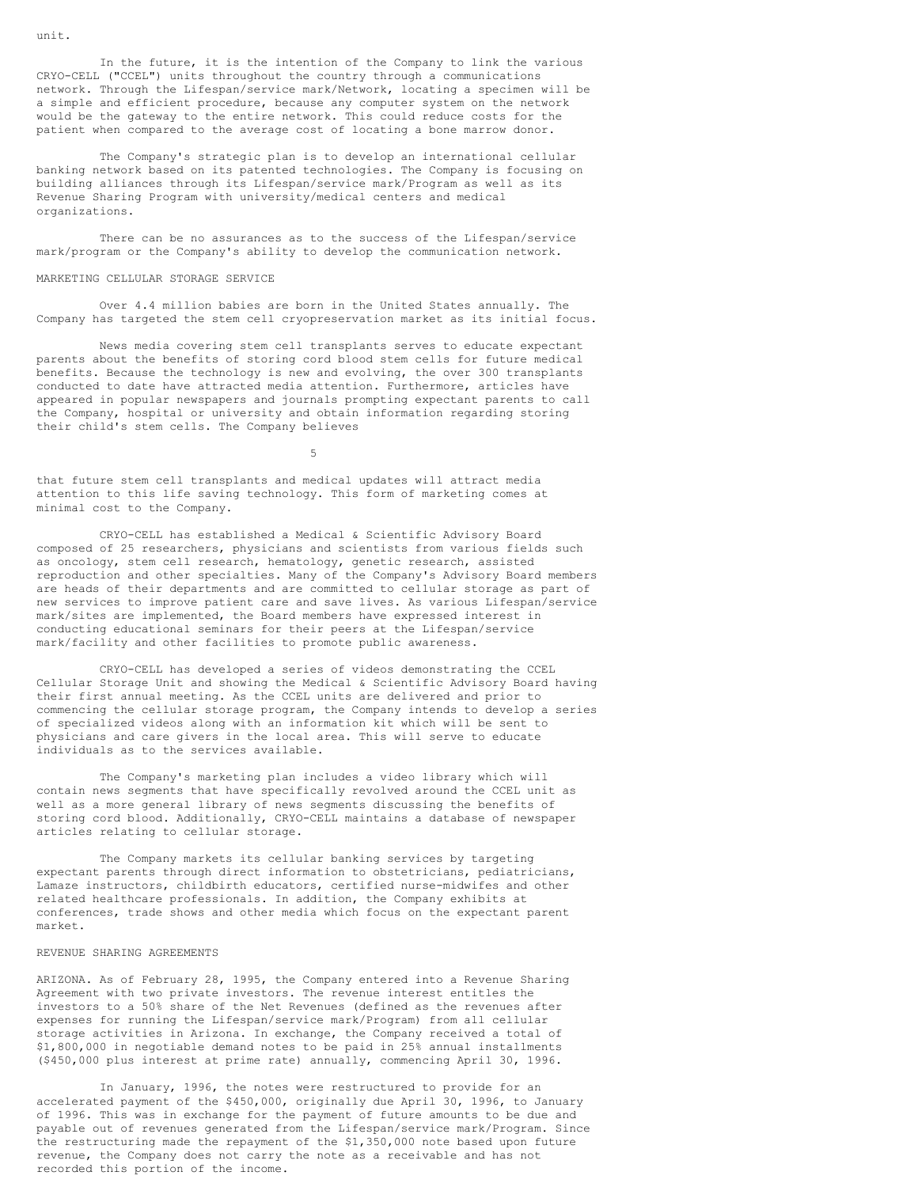In the future, it is the intention of the Company to link the various CRYO-CELL ("CCEL") units throughout the country through a communications network. Through the Lifespan/service mark/Network, locating a specimen will be a simple and efficient procedure, because any computer system on the network would be the gateway to the entire network. This could reduce costs for the patient when compared to the average cost of locating a bone marrow donor.

The Company's strategic plan is to develop an international cellular banking network based on its patented technologies. The Company is focusing on building alliances through its Lifespan/service mark/Program as well as its Revenue Sharing Program with university/medical centers and medical organizations.

There can be no assurances as to the success of the Lifespan/service mark/program or the Company's ability to develop the communication network.

#### MARKETING CELLULAR STORAGE SERVICE

Over 4.4 million babies are born in the United States annually. The Company has targeted the stem cell cryopreservation market as its initial focus.

News media covering stem cell transplants serves to educate expectant parents about the benefits of storing cord blood stem cells for future medical benefits. Because the technology is new and evolving, the over 300 transplants conducted to date have attracted media attention. Furthermore, articles have appeared in popular newspapers and journals prompting expectant parents to call the Company, hospital or university and obtain information regarding storing their child's stem cells. The Company believes

5

that future stem cell transplants and medical updates will attract media attention to this life saving technology. This form of marketing comes at minimal cost to the Company.

CRYO-CELL has established a Medical & Scientific Advisory Board composed of 25 researchers, physicians and scientists from various fields such as oncology, stem cell research, hematology, genetic research, assisted reproduction and other specialties. Many of the Company's Advisory Board members are heads of their departments and are committed to cellular storage as part of new services to improve patient care and save lives. As various Lifespan/service mark/sites are implemented, the Board members have expressed interest in conducting educational seminars for their peers at the Lifespan/service mark/facility and other facilities to promote public awareness.

CRYO-CELL has developed a series of videos demonstrating the CCEL Cellular Storage Unit and showing the Medical & Scientific Advisory Board having their first annual meeting. As the CCEL units are delivered and prior to commencing the cellular storage program, the Company intends to develop a series of specialized videos along with an information kit which will be sent to physicians and care givers in the local area. This will serve to educate individuals as to the services available.

The Company's marketing plan includes a video library which will contain news segments that have specifically revolved around the CCEL unit as well as a more general library of news segments discussing the benefits of storing cord blood. Additionally, CRYO-CELL maintains a database of newspaper articles relating to cellular storage.

The Company markets its cellular banking services by targeting expectant parents through direct information to obstetricians, pediatricians, Lamaze instructors, childbirth educators, certified nurse-midwifes and other related healthcare professionals. In addition, the Company exhibits at conferences, trade shows and other media which focus on the expectant parent market.

#### REVENUE SHARING AGREEMENTS

ARIZONA. As of February 28, 1995, the Company entered into a Revenue Sharing Agreement with two private investors. The revenue interest entitles the investors to a 50% share of the Net Revenues (defined as the revenues after expenses for running the Lifespan/service mark/Program) from all cellular storage activities in Arizona. In exchange, the Company received a total of \$1,800,000 in negotiable demand notes to be paid in 25% annual installments (\$450,000 plus interest at prime rate) annually, commencing April 30, 1996.

In January, 1996, the notes were restructured to provide for an accelerated payment of the \$450,000, originally due April 30, 1996, to January of 1996. This was in exchange for the payment of future amounts to be due and payable out of revenues generated from the Lifespan/service mark/Program. Since the restructuring made the repayment of the \$1,350,000 note based upon future revenue, the Company does not carry the note as a receivable and has not recorded this portion of the income.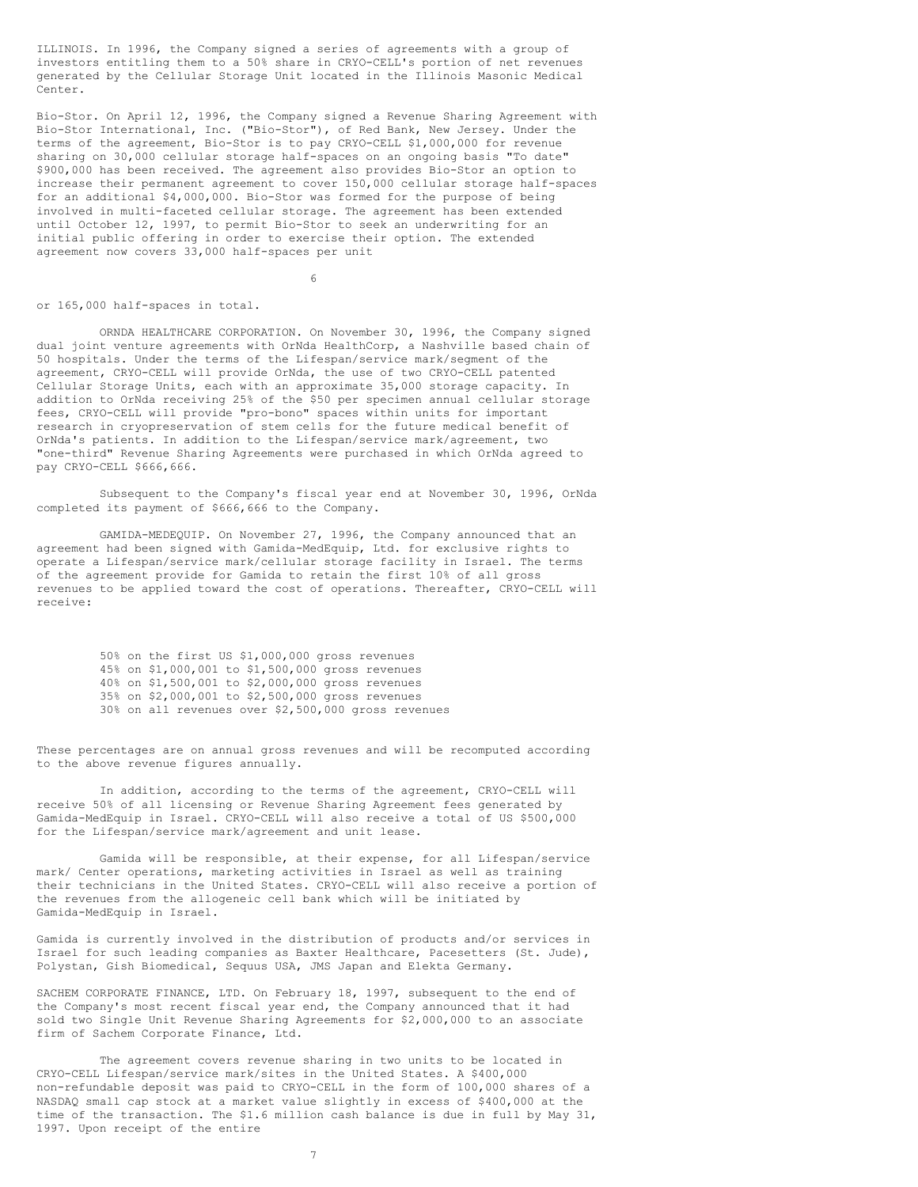ILLINOIS. In 1996, the Company signed a series of agreements with a group of investors entitling them to a 50% share in CRYO-CELL's portion of net revenues generated by the Cellular Storage Unit located in the Illinois Masonic Medical Center.

Bio-Stor. On April 12, 1996, the Company signed a Revenue Sharing Agreement with Bio-Stor International, Inc. ("Bio-Stor"), of Red Bank, New Jersey. Under the terms of the agreement, Bio-Stor is to pay CRYO-CELL \$1,000,000 for revenue sharing on 30,000 cellular storage half-spaces on an ongoing basis "To date" \$900,000 has been received. The agreement also provides Bio-Stor an option to increase their permanent agreement to cover 150,000 cellular storage half-spaces for an additional \$4,000,000. Bio-Stor was formed for the purpose of being involved in multi-faceted cellular storage. The agreement has been extended until October 12, 1997, to permit Bio-Stor to seek an underwriting for an initial public offering in order to exercise their option. The extended agreement now covers 33,000 half-spaces per unit

6

#### or 165,000 half-spaces in total.

ORNDA HEALTHCARE CORPORATION. On November 30, 1996, the Company signed dual joint venture agreements with OrNda HealthCorp, a Nashville based chain of 50 hospitals. Under the terms of the Lifespan/service mark/segment of the agreement, CRYO-CELL will provide OrNda, the use of two CRYO-CELL patented Cellular Storage Units, each with an approximate 35,000 storage capacity. In addition to OrNda receiving 25% of the \$50 per specimen annual cellular storage fees, CRYO-CELL will provide "pro-bono" spaces within units for important research in cryopreservation of stem cells for the future medical benefit of OrNda's patients. In addition to the Lifespan/service mark/agreement, two "one-third" Revenue Sharing Agreements were purchased in which OrNda agreed to pay CRYO-CELL \$666,666.

Subsequent to the Company's fiscal year end at November 30, 1996, OrNda completed its payment of \$666,666 to the Company.

GAMIDA-MEDEQUIP. On November 27, 1996, the Company announced that an agreement had been signed with Gamida-MedEquip, Ltd. for exclusive rights to operate a Lifespan/service mark/cellular storage facility in Israel. The terms of the agreement provide for Gamida to retain the first 10% of all gross revenues to be applied toward the cost of operations. Thereafter, CRYO-CELL will receive:

> 50% on the first US \$1,000,000 gross revenues 45% on \$1,000,001 to \$1,500,000 gross revenues 40% on \$1,500,001 to \$2,000,000 gross revenues 35% on \$2,000,001 to \$2,500,000 gross revenues 30% on all revenues over \$2,500,000 gross revenues

These percentages are on annual gross revenues and will be recomputed according to the above revenue figures annually.

In addition, according to the terms of the agreement, CRYO-CELL will receive 50% of all licensing or Revenue Sharing Agreement fees generated by Gamida-MedEquip in Israel. CRYO-CELL will also receive a total of US \$500,000 for the Lifespan/service mark/agreement and unit lease.

Gamida will be responsible, at their expense, for all Lifespan/service mark/ Center operations, marketing activities in Israel as well as training their technicians in the United States. CRYO-CELL will also receive a portion of the revenues from the allogeneic cell bank which will be initiated by Gamida-MedEquip in Israel.

Gamida is currently involved in the distribution of products and/or services in Israel for such leading companies as Baxter Healthcare, Pacesetters (St. Jude), Polystan, Gish Biomedical, Sequus USA, JMS Japan and Elekta Germany.

SACHEM CORPORATE FINANCE, LTD. On February 18, 1997, subsequent to the end of the Company's most recent fiscal year end, the Company announced that it had sold two Single Unit Revenue Sharing Agreements for \$2,000,000 to an associate firm of Sachem Corporate Finance, Ltd.

The agreement covers revenue sharing in two units to be located in CRYO-CELL Lifespan/service mark/sites in the United States. A \$400,000 non-refundable deposit was paid to CRYO-CELL in the form of 100,000 shares of a NASDAQ small cap stock at a market value slightly in excess of \$400,000 at the time of the transaction. The \$1.6 million cash balance is due in full by May 31, 1997. Upon receipt of the entire

7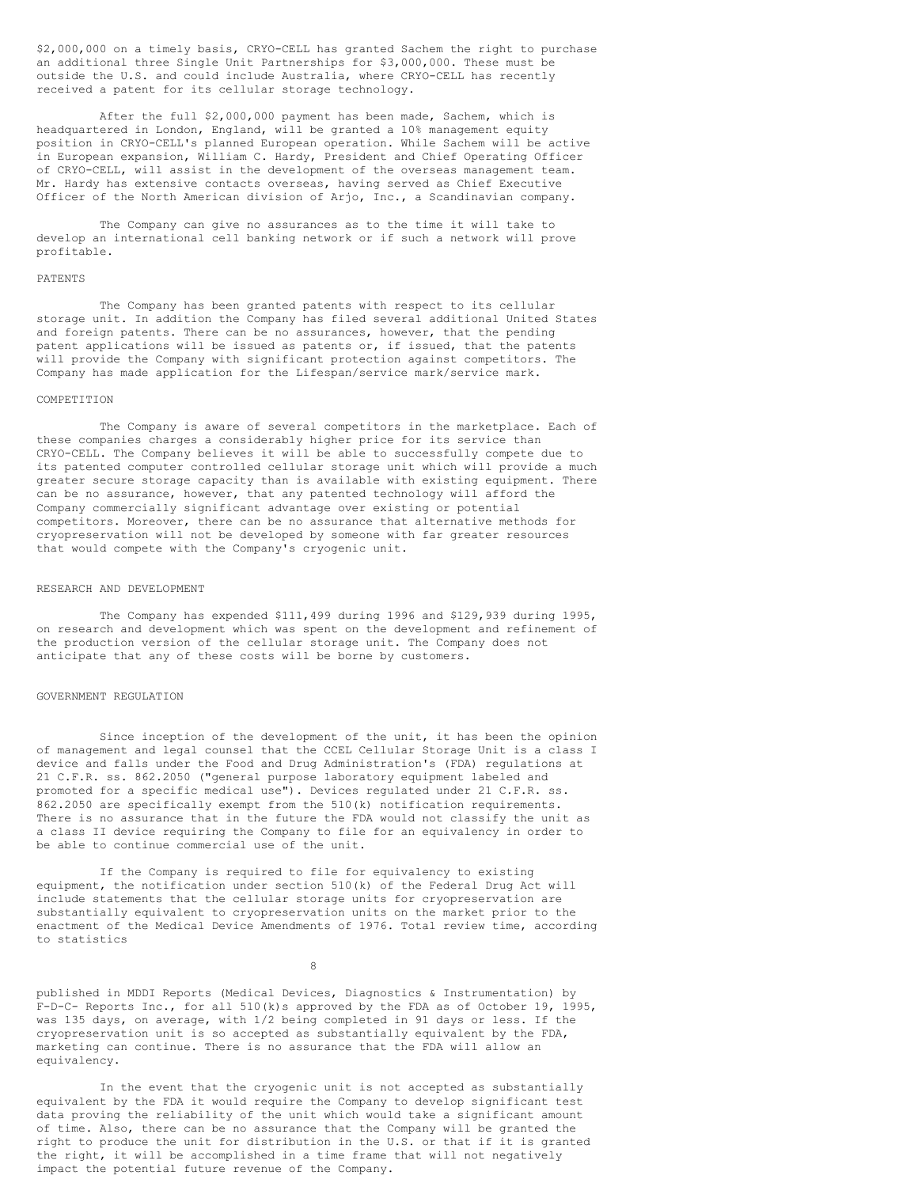\$2,000,000 on a timely basis, CRYO-CELL has granted Sachem the right to purchase an additional three Single Unit Partnerships for \$3,000,000. These must be outside the U.S. and could include Australia, where CRYO-CELL has recently received a patent for its cellular storage technology.

After the full \$2,000,000 payment has been made, Sachem, which is headquartered in London, England, will be granted a 10% management equity position in CRYO-CELL's planned European operation. While Sachem will be active in European expansion, William C. Hardy, President and Chief Operating Officer of CRYO-CELL, will assist in the development of the overseas management team. Mr. Hardy has extensive contacts overseas, having served as Chief Executive Officer of the North American division of Arjo, Inc., a Scandinavian company.

The Company can give no assurances as to the time it will take to develop an international cell banking network or if such a network will prove profitable.

#### PATENTS

The Company has been granted patents with respect to its cellular storage unit. In addition the Company has filed several additional United States and foreign patents. There can be no assurances, however, that the pending patent applications will be issued as patents or, if issued, that the patents will provide the Company with significant protection against competitors. The Company has made application for the Lifespan/service mark/service mark.

#### COMPETITION

The Company is aware of several competitors in the marketplace. Each of these companies charges a considerably higher price for its service than CRYO-CELL. The Company believes it will be able to successfully compete due to its patented computer controlled cellular storage unit which will provide a much greater secure storage capacity than is available with existing equipment. There can be no assurance, however, that any patented technology will afford the Company commercially significant advantage over existing or potential competitors. Moreover, there can be no assurance that alternative methods for cryopreservation will not be developed by someone with far greater resources that would compete with the Company's cryogenic unit.

#### RESEARCH AND DEVELOPMENT

The Company has expended \$111,499 during 1996 and \$129,939 during 1995, on research and development which was spent on the development and refinement of the production version of the cellular storage unit. The Company does not anticipate that any of these costs will be borne by customers.

#### GOVERNMENT REGULATION

Since inception of the development of the unit, it has been the opinion of management and legal counsel that the CCEL Cellular Storage Unit is a class I device and falls under the Food and Drug Administration's (FDA) regulations at 21 C.F.R. ss. 862.2050 ("general purpose laboratory equipment labeled and promoted for a specific medical use"). Devices regulated under 21 C.F.R. ss. 862.2050 are specifically exempt from the 510(k) notification requirements. There is no assurance that in the future the FDA would not classify the unit as a class II device requiring the Company to file for an equivalency in order to be able to continue commercial use of the unit.

If the Company is required to file for equivalency to existing equipment, the notification under section 510(k) of the Federal Drug Act will include statements that the cellular storage units for cryopreservation are substantially equivalent to cryopreservation units on the market prior to the enactment of the Medical Device Amendments of 1976. Total review time, according to statistics

8

published in MDDI Reports (Medical Devices, Diagnostics & Instrumentation) by F-D-C- Reports Inc., for all 510(k)s approved by the FDA as of October 19, 1995, was 135 days, on average, with 1/2 being completed in 91 days or less. If the cryopreservation unit is so accepted as substantially equivalent by the FDA, marketing can continue. There is no assurance that the FDA will allow an equivalency.

In the event that the cryogenic unit is not accepted as substantially equivalent by the FDA it would require the Company to develop significant test data proving the reliability of the unit which would take a significant amount of time. Also, there can be no assurance that the Company will be granted the right to produce the unit for distribution in the U.S. or that if it is granted the right, it will be accomplished in a time frame that will not negatively impact the potential future revenue of the Company.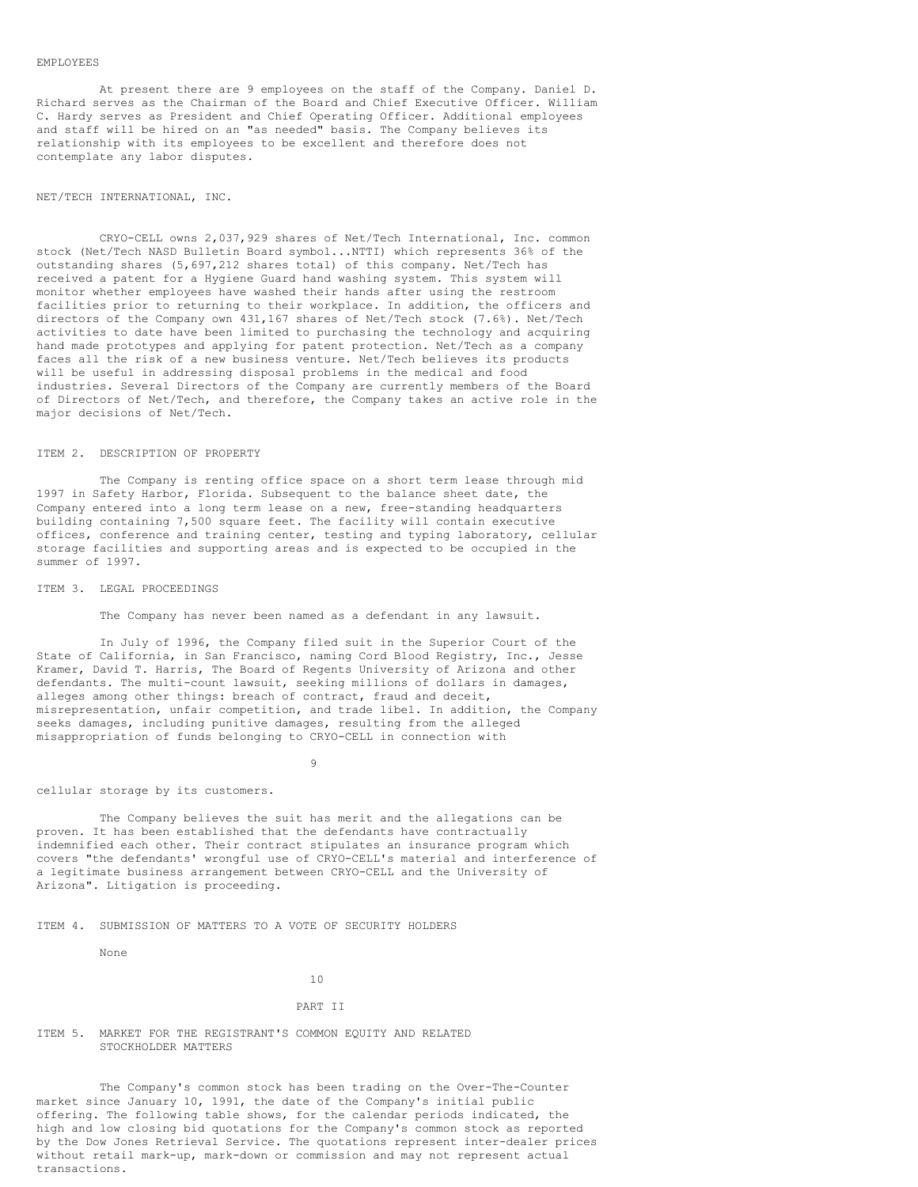#### EMPLOYEES

At present there are 9 employees on the staff of the Company. Daniel D. Richard serves as the Chairman of the Board and Chief Executive Officer. William C. Hardy serves as President and Chief Operating Officer. Additional employees and staff will be hired on an "as needed" basis. The Company believes its relationship with its employees to be excellent and therefore does not contemplate any labor disputes.

#### NET/TECH INTERNATIONAL, INC.

CRYO-CELL owns 2,037,929 shares of Net/Tech International, Inc. common stock (Net/Tech NASD Bulletin Board symbol...NTTI) which represents 36% of the outstanding shares (5,697,212 shares total) of this company. Net/Tech has received a patent for a Hygiene Guard hand washing system. This system will monitor whether employees have washed their hands after using the restroom facilities prior to returning to their workplace. In addition, the officers and directors of the Company own 431,167 shares of Net/Tech stock (7.6%). Net/Tech activities to date have been limited to purchasing the technology and acquiring hand made prototypes and applying for patent protection. Net/Tech as a company faces all the risk of a new business venture. Net/Tech believes its products will be useful in addressing disposal problems in the medical and food industries. Several Directors of the Company are currently members of the Board of Directors of Net/Tech, and therefore, the Company takes an active role in the major decisions of Net/Tech.

#### ITEM 2. DESCRIPTION OF PROPERTY

The Company is renting office space on a short term lease through mid 1997 in Safety Harbor, Florida. Subsequent to the balance sheet date, the Company entered into a long term lease on a new, free-standing headquarters building containing 7,500 square feet. The facility will contain executive offices, conference and training center, testing and typing laboratory, cellular storage facilities and supporting areas and is expected to be occupied in the summer of 1997.

#### ITEM 3. LEGAL PROCEEDINGS

The Company has never been named as a defendant in any lawsuit.

In July of 1996, the Company filed suit in the Superior Court of the State of California, in San Francisco, naming Cord Blood Registry, Inc., Jesse Kramer, David T. Harris, The Board of Regents University of Arizona and other defendants. The multi-count lawsuit, seeking millions of dollars in damages, alleges among other things: breach of contract, fraud and deceit, misrepresentation, unfair competition, and trade libel. In addition, the Company seeks damages, including punitive damages, resulting from the alleged misappropriation of funds belonging to CRYO-CELL in connection with

9

## cellular storage by its customers.

The Company believes the suit has merit and the allegations can be proven. It has been established that the defendants have contractually indemnified each other. Their contract stipulates an insurance program which covers "the defendants' wrongful use of CRYO-CELL's material and interference of a legitimate business arrangement between CRYO-CELL and the University of Arizona". Litigation is proceeding.

#### ITEM 4. SUBMISSION OF MATTERS TO A VOTE OF SECURITY HOLDERS

None

10

#### PART II

## ITEM 5. MARKET FOR THE REGISTRANT'S COMMON EQUITY AND RELATED STOCKHOLDER MATTERS

The Company's common stock has been trading on the Over-The-Counter market since January 10, 1991, the date of the Company's initial public offering. The following table shows, for the calendar periods indicated, the high and low closing bid quotations for the Company's common stock as reported by the Dow Jones Retrieval Service. The quotations represent inter-dealer prices without retail mark-up, mark-down or commission and may not represent actual transactions.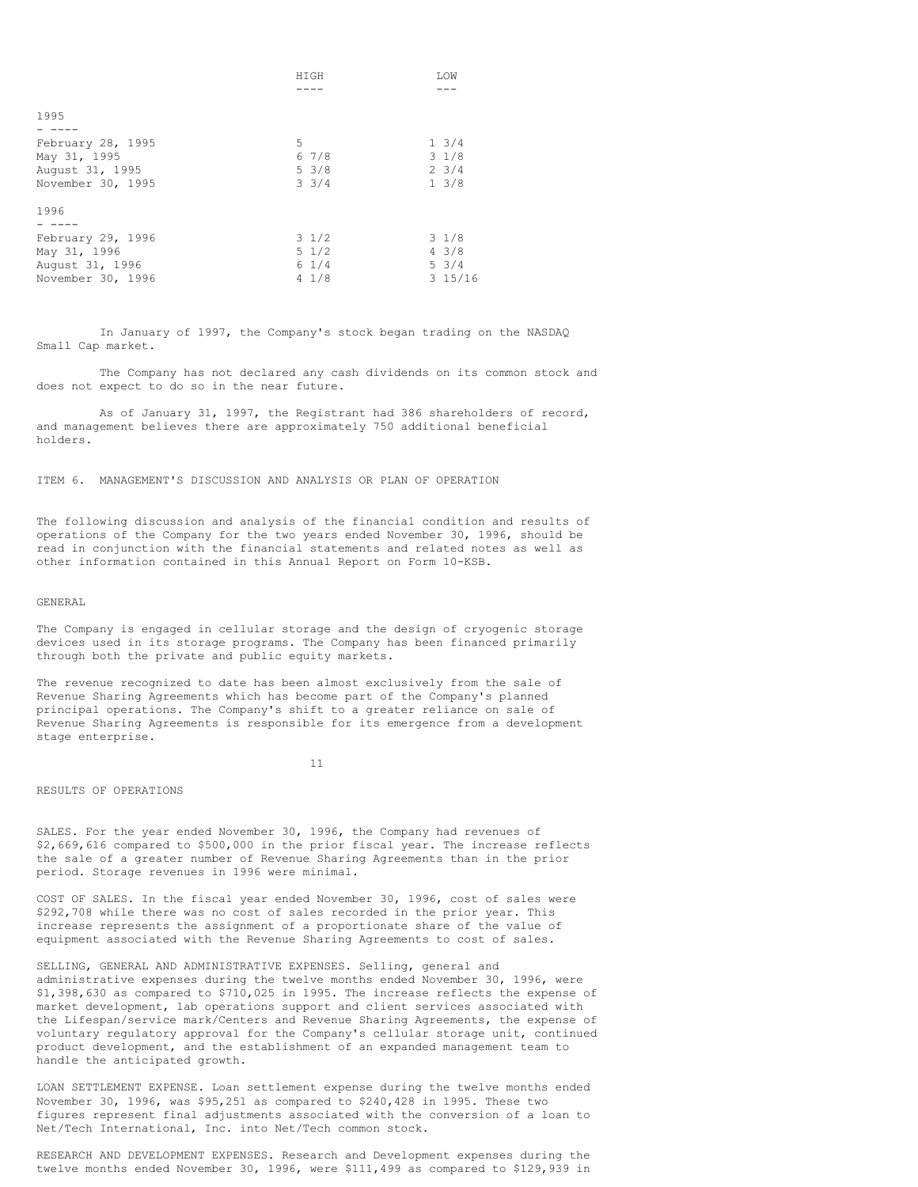|                   | HIGH            | LOW             |
|-------------------|-----------------|-----------------|
|                   |                 |                 |
|                   |                 |                 |
| 1995              |                 |                 |
|                   |                 |                 |
| February 28, 1995 | 5               | $1 \frac{3}{4}$ |
| May 31, 1995      | 67/8            | $3 \frac{1}{8}$ |
| August 31, 1995   | $5 \frac{3}{8}$ | $2 \frac{3}{4}$ |
| November 30, 1995 | $3 \frac{3}{4}$ | $1 \frac{3}{8}$ |
|                   |                 |                 |
| 1996              |                 |                 |
|                   |                 |                 |
| February 29, 1996 | $3 \frac{1}{2}$ | $3 \frac{1}{8}$ |
| May 31, 1996      | $5 \frac{1}{2}$ | $4 \frac{3}{8}$ |
| August 31, 1996   | $6 \frac{1}{4}$ | $5 \frac{3}{4}$ |
| November 30, 1996 | $4 \frac{1}{8}$ | 315/16          |

In January of 1997, the Company's stock began trading on the NASDAQ Small Cap market.

The Company has not declared any cash dividends on its common stock and does not expect to do so in the near future.

As of January 31, 1997, the Registrant had 386 shareholders of record, and management believes there are approximately 750 additional beneficial holders.

ITEM 6. MANAGEMENT'S DISCUSSION AND ANALYSIS OR PLAN OF OPERATION

The following discussion and analysis of the financial condition and results of operations of the Company for the two years ended November 30, 1996, should be read in conjunction with the financial statements and related notes as well as other information contained in this Annual Report on Form 10-KSB.

GENERAL

The Company is engaged in cellular storage and the design of cryogenic storage devices used in its storage programs. The Company has been financed primarily through both the private and public equity markets.

The revenue recognized to date has been almost exclusively from the sale of Revenue Sharing Agreements which has become part of the Company's planned principal operations. The Company's shift to a greater reliance on sale of Revenue Sharing Agreements is responsible for its emergence from a development stage enterprise.

11

RESULTS OF OPERATIONS

SALES. For the year ended November 30, 1996, the Company had revenues of \$2,669,616 compared to \$500,000 in the prior fiscal year. The increase reflects the sale of a greater number of Revenue Sharing Agreements than in the prior period. Storage revenues in 1996 were minimal.

COST OF SALES. In the fiscal year ended November 30, 1996, cost of sales were \$292,708 while there was no cost of sales recorded in the prior year. This increase represents the assignment of a proportionate share of the value of equipment associated with the Revenue Sharing Agreements to cost of sales.

SELLING, GENERAL AND ADMINISTRATIVE EXPENSES. Selling, general and administrative expenses during the twelve months ended November 30, 1996, were \$1,398,630 as compared to \$710,025 in 1995. The increase reflects the expense of market development, lab operations support and client services associated with the Lifespan/service mark/Centers and Revenue Sharing Agreements, the expense of voluntary regulatory approval for the Company's cellular storage unit, continued product development, and the establishment of an expanded management team to handle the anticipated growth.

LOAN SETTLEMENT EXPENSE. Loan settlement expense during the twelve months ended November 30, 1996, was \$95,251 as compared to \$240,428 in 1995. These two figures represent final adjustments associated with the conversion of a loan to Net/Tech International, Inc. into Net/Tech common stock.

RESEARCH AND DEVELOPMENT EXPENSES. Research and Development expenses during the twelve months ended November 30, 1996, were \$111,499 as compared to \$129,939 in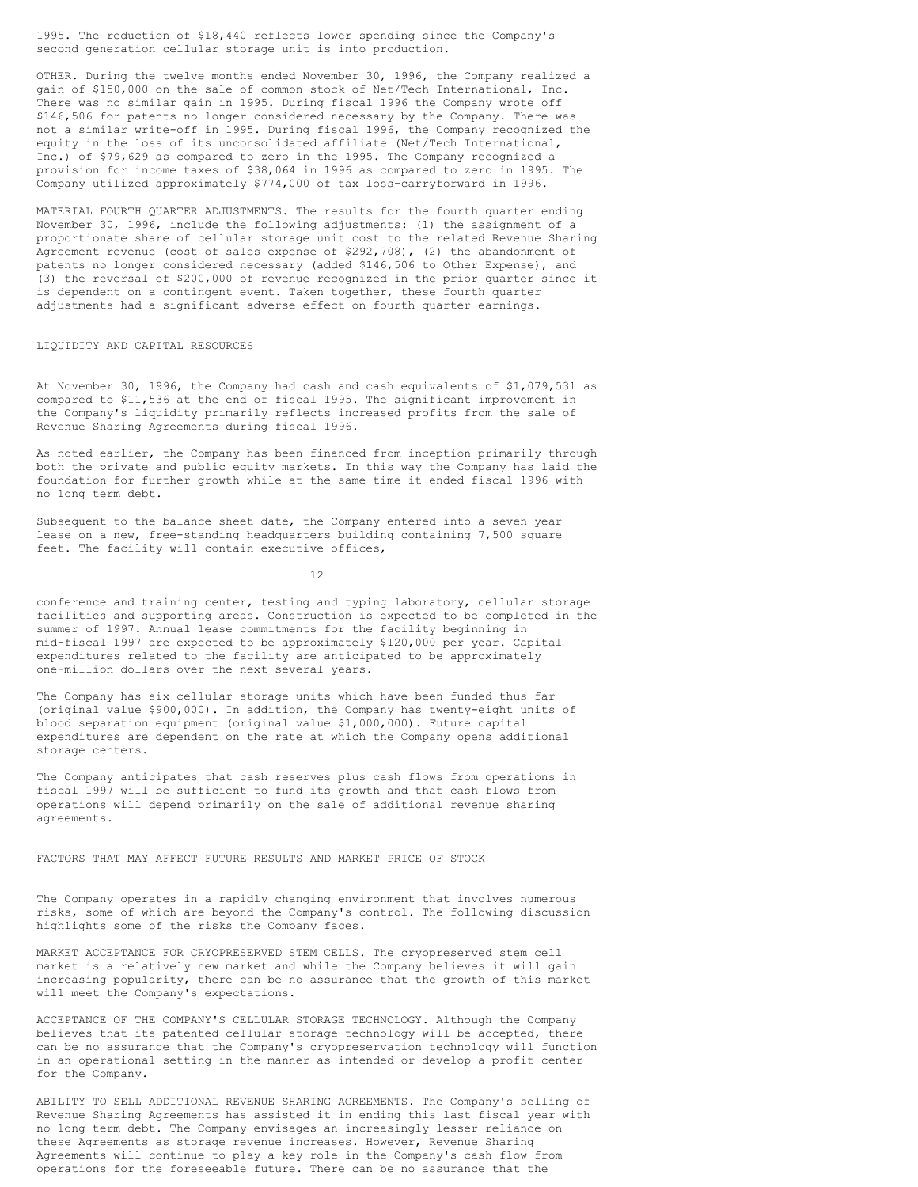1995. The reduction of \$18,440 reflects lower spending since the Company's second generation cellular storage unit is into production.

OTHER. During the twelve months ended November 30, 1996, the Company realized a gain of \$150,000 on the sale of common stock of Net/Tech International, Inc. There was no similar gain in 1995. During fiscal 1996 the Company wrote off \$146,506 for patents no longer considered necessary by the Company. There was not a similar write-off in 1995. During fiscal 1996, the Company recognized the equity in the loss of its unconsolidated affiliate (Net/Tech International, Inc.) of \$79,629 as compared to zero in the 1995. The Company recognized a provision for income taxes of \$38,064 in 1996 as compared to zero in 1995. The Company utilized approximately \$774,000 of tax loss-carryforward in 1996.

MATERIAL FOURTH QUARTER ADJUSTMENTS. The results for the fourth quarter ending November 30, 1996, include the following adjustments: (1) the assignment of a proportionate share of cellular storage unit cost to the related Revenue Sharing Agreement revenue (cost of sales expense of \$292,708), (2) the abandonment of patents no longer considered necessary (added \$146,506 to Other Expense), and (3) the reversal of \$200,000 of revenue recognized in the prior quarter since it is dependent on a contingent event. Taken together, these fourth quarter adjustments had a significant adverse effect on fourth quarter earnings.

# LIQUIDITY AND CAPITAL RESOURCES

At November 30, 1996, the Company had cash and cash equivalents of \$1,079,531 as compared to \$11,536 at the end of fiscal 1995. The significant improvement in the Company's liquidity primarily reflects increased profits from the sale of Revenue Sharing Agreements during fiscal 1996.

As noted earlier, the Company has been financed from inception primarily through both the private and public equity markets. In this way the Company has laid the foundation for further growth while at the same time it ended fiscal 1996 with no long term debt.

Subsequent to the balance sheet date, the Company entered into a seven year lease on a new, free-standing headquarters building containing 7,500 square feet. The facility will contain executive offices,

12

conference and training center, testing and typing laboratory, cellular storage facilities and supporting areas. Construction is expected to be completed in the summer of 1997. Annual lease commitments for the facility beginning in mid-fiscal 1997 are expected to be approximately \$120,000 per year. Capital expenditures related to the facility are anticipated to be approximately one-million dollars over the next several years.

The Company has six cellular storage units which have been funded thus far (original value \$900,000). In addition, the Company has twenty-eight units of blood separation equipment (original value \$1,000,000). Future capital expenditures are dependent on the rate at which the Company opens additional storage centers.

The Company anticipates that cash reserves plus cash flows from operations in fiscal 1997 will be sufficient to fund its growth and that cash flows from operations will depend primarily on the sale of additional revenue sharing agreements.

FACTORS THAT MAY AFFECT FUTURE RESULTS AND MARKET PRICE OF STOCK

The Company operates in a rapidly changing environment that involves numerous risks, some of which are beyond the Company's control. The following discussion highlights some of the risks the Company faces.

MARKET ACCEPTANCE FOR CRYOPRESERVED STEM CELLS. The cryopreserved stem cell market is a relatively new market and while the Company believes it will gain increasing popularity, there can be no assurance that the growth of this market will meet the Company's expectations.

ACCEPTANCE OF THE COMPANY'S CELLULAR STORAGE TECHNOLOGY. Although the Company believes that its patented cellular storage technology will be accepted, there can be no assurance that the Company's cryopreservation technology will function in an operational setting in the manner as intended or develop a profit center for the Company.

ABILITY TO SELL ADDITIONAL REVENUE SHARING AGREEMENTS. The Company's selling of Revenue Sharing Agreements has assisted it in ending this last fiscal year with no long term debt. The Company envisages an increasingly lesser reliance on these Agreements as storage revenue increases. However, Revenue Sharing Agreements will continue to play a key role in the Company's cash flow from operations for the foreseeable future. There can be no assurance that the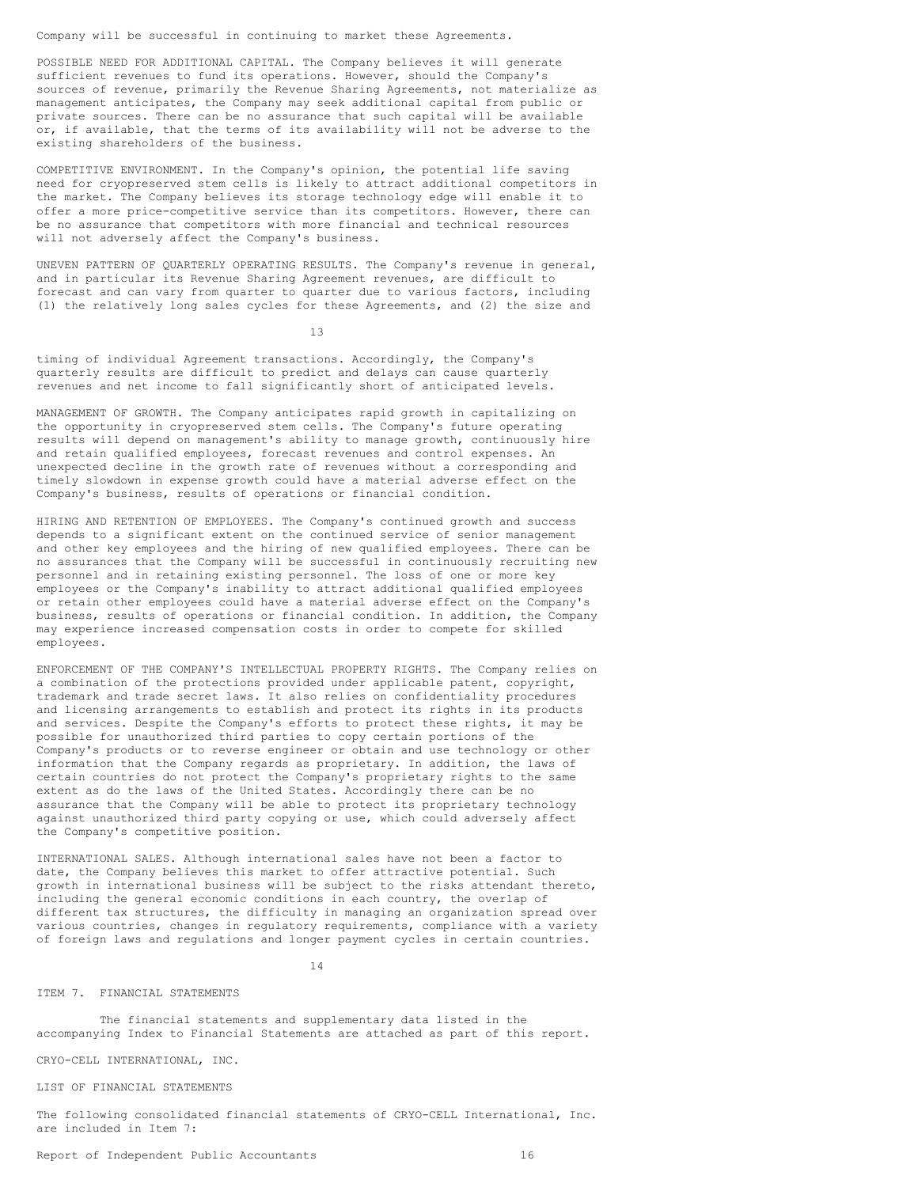Company will be successful in continuing to market these Agreements.

POSSIBLE NEED FOR ADDITIONAL CAPITAL. The Company believes it will generate sufficient revenues to fund its operations. However, should the Company's sources of revenue, primarily the Revenue Sharing Agreements, not materialize as management anticipates, the Company may seek additional capital from public or private sources. There can be no assurance that such capital will be available or, if available, that the terms of its availability will not be adverse to the existing shareholders of the business.

COMPETITIVE ENVIRONMENT. In the Company's opinion, the potential life saving need for cryopreserved stem cells is likely to attract additional competitors in the market. The Company believes its storage technology edge will enable it to offer a more price-competitive service than its competitors. However, there can be no assurance that competitors with more financial and technical resources will not adversely affect the Company's business.

UNEVEN PATTERN OF QUARTERLY OPERATING RESULTS. The Company's revenue in general, and in particular its Revenue Sharing Agreement revenues, are difficult to forecast and can vary from quarter to quarter due to various factors, including (1) the relatively long sales cycles for these Agreements, and (2) the size and

13

timing of individual Agreement transactions. Accordingly, the Company's quarterly results are difficult to predict and delays can cause quarterly revenues and net income to fall significantly short of anticipated levels.

MANAGEMENT OF GROWTH. The Company anticipates rapid growth in capitalizing on the opportunity in cryopreserved stem cells. The Company's future operating results will depend on management's ability to manage growth, continuously hire and retain qualified employees, forecast revenues and control expenses. An unexpected decline in the growth rate of revenues without a corresponding and timely slowdown in expense growth could have a material adverse effect on the Company's business, results of operations or financial condition.

HIRING AND RETENTION OF EMPLOYEES. The Company's continued growth and success depends to a significant extent on the continued service of senior management and other key employees and the hiring of new qualified employees. There can be no assurances that the Company will be successful in continuously recruiting new personnel and in retaining existing personnel. The loss of one or more key employees or the Company's inability to attract additional qualified employees or retain other employees could have a material adverse effect on the Company's business, results of operations or financial condition. In addition, the Company may experience increased compensation costs in order to compete for skilled employees.

ENFORCEMENT OF THE COMPANY'S INTELLECTUAL PROPERTY RIGHTS. The Company relies on a combination of the protections provided under applicable patent, copyright, trademark and trade secret laws. It also relies on confidentiality procedures and licensing arrangements to establish and protect its rights in its products and services. Despite the Company's efforts to protect these rights, it may be possible for unauthorized third parties to copy certain portions of the Company's products or to reverse engineer or obtain and use technology or other information that the Company regards as proprietary. In addition, the laws of certain countries do not protect the Company's proprietary rights to the same extent as do the laws of the United States. Accordingly there can be no assurance that the Company will be able to protect its proprietary technology against unauthorized third party copying or use, which could adversely affect the Company's competitive position.

INTERNATIONAL SALES. Although international sales have not been a factor to date, the Company believes this market to offer attractive potential. Such growth in international business will be subject to the risks attendant thereto, including the general economic conditions in each country, the overlap of different tax structures, the difficulty in managing an organization spread over various countries, changes in regulatory requirements, compliance with a variety of foreign laws and regulations and longer payment cycles in certain countries.

14

## ITEM 7. FINANCIAL STATEMENTS

The financial statements and supplementary data listed in the accompanying Index to Financial Statements are attached as part of this report.

CRYO-CELL INTERNATIONAL, INC.

LIST OF FINANCIAL STATEMENTS

The following consolidated financial statements of CRYO-CELL International, Inc. are included in Item 7:

Report of Independent Public Accountants 16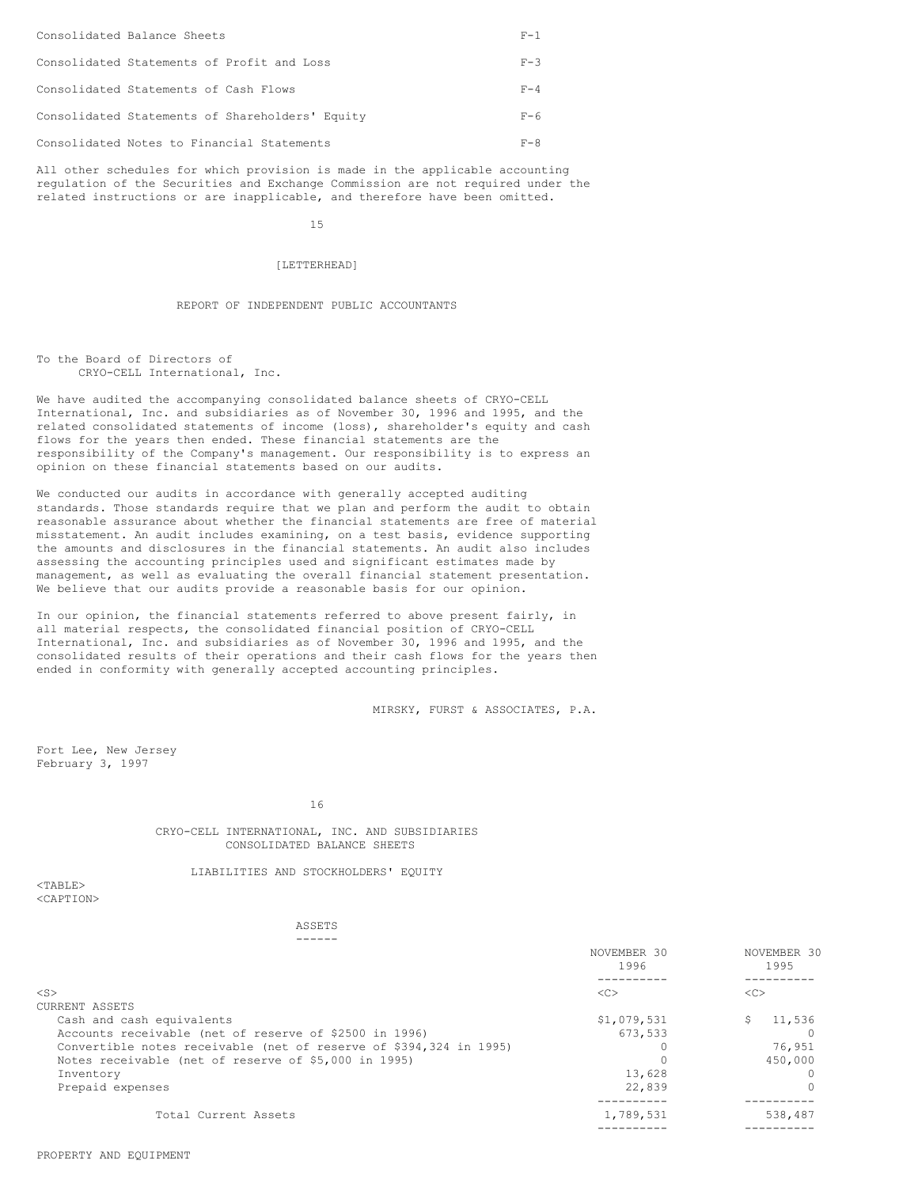| Consolidated Balance Sheets                     | $F - 1$ |
|-------------------------------------------------|---------|
| Consolidated Statements of Profit and Loss      | $F - 3$ |
| Consolidated Statements of Cash Flows           | $F - 4$ |
| Consolidated Statements of Shareholders' Equity | $F - 6$ |
| Consolidated Notes to Financial Statements      | $F - R$ |

All other schedules for which provision is made in the applicable accounting regulation of the Securities and Exchange Commission are not required under the related instructions or are inapplicable, and therefore have been omitted.

15

# [LETTERHEAD]

# REPORT OF INDEPENDENT PUBLIC ACCOUNTANTS

To the Board of Directors of CRYO-CELL International, Inc.

We have audited the accompanying consolidated balance sheets of CRYO-CELL International, Inc. and subsidiaries as of November 30, 1996 and 1995, and the related consolidated statements of income (loss), shareholder's equity and cash flows for the years then ended. These financial statements are the responsibility of the Company's management. Our responsibility is to express an opinion on these financial statements based on our audits.

We conducted our audits in accordance with generally accepted auditing standards. Those standards require that we plan and perform the audit to obtain reasonable assurance about whether the financial statements are free of material misstatement. An audit includes examining, on a test basis, evidence supporting the amounts and disclosures in the financial statements. An audit also includes assessing the accounting principles used and significant estimates made by management, as well as evaluating the overall financial statement presentation. We believe that our audits provide a reasonable basis for our opinion.

In our opinion, the financial statements referred to above present fairly, in all material respects, the consolidated financial position of CRYO-CELL International, Inc. and subsidiaries as of November 30, 1996 and 1995, and the consolidated results of their operations and their cash flows for the years then ended in conformity with generally accepted accounting principles.

MIRSKY, FURST & ASSOCIATES, P.A.

Fort Lee, New Jersey February 3, 1997

16

CRYO-CELL INTERNATIONAL, INC. AND SUBSIDIARIES CONSOLIDATED BALANCE SHEETS

LIABILITIES AND STOCKHOLDERS' EQUITY

#### $<$ TABLE> <CAPTION>

ASSETS ------

|                                                                    | NOVEMBER 30<br>1996 | NOVEMBER 30<br>1995 |
|--------------------------------------------------------------------|---------------------|---------------------|
|                                                                    |                     |                     |
| $<$ S $>$                                                          | <<                  | <<                  |
| CURRENT ASSETS                                                     |                     |                     |
| Cash and cash equivalents                                          | \$1,079,531         | 11,536<br>S         |
| Accounts receivable (net of reserve of \$2500 in 1996)             | 673.533             |                     |
| Convertible notes receivable (net of reserve of \$394,324 in 1995) |                     | 76,951              |
| Notes receivable (net of reserve of \$5,000 in 1995)               |                     | 450,000             |
| Inventory                                                          | 13,628              |                     |
| Prepaid expenses                                                   | 22,839              |                     |
|                                                                    |                     |                     |
| Total Current Assets                                               | 1,789,531           | 538,487             |
|                                                                    |                     |                     |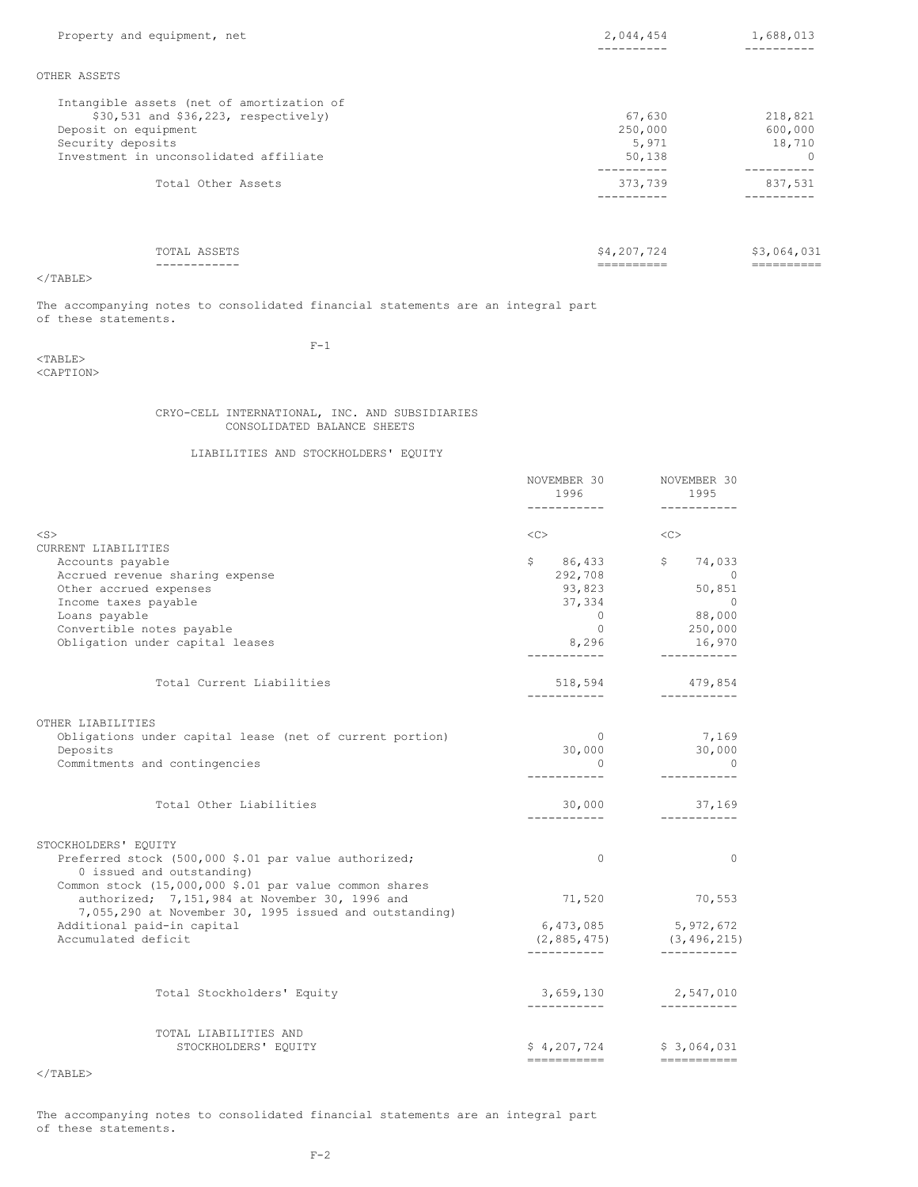| Property and equipment, net                                                                                                                                                 | 2,044,454                                         | 1,688,013                                             |
|-----------------------------------------------------------------------------------------------------------------------------------------------------------------------------|---------------------------------------------------|-------------------------------------------------------|
| OTHER ASSETS                                                                                                                                                                |                                                   |                                                       |
| Intangible assets (net of amortization of<br>$$30,531$ and $$36,223$ , respectively)<br>Deposit on equipment<br>Security deposits<br>Investment in unconsolidated affiliate | 67,630<br>250,000<br>5,971<br>50,138<br>--------- | 218,821<br>600,000<br>18,710<br>$\Omega$<br>--------- |
| Total Other Assets                                                                                                                                                          | 373,739                                           | 837,531                                               |
| TOTAL ASSETS                                                                                                                                                                | \$4,207,724                                       | \$3,064,031                                           |

</TABLE>

The accompanying notes to consolidated financial statements are an integral part of these statements.

 $<$ TABLE> <CAPTION>  $F-1$ 

CRYO-CELL INTERNATIONAL, INC. AND SUBSIDIARIES CONSOLIDATED BALANCE SHEETS

LIABILITIES AND STOCKHOLDERS' EQUITY

|                                                                                                                                             | NOVEMBER 30<br>1996<br>------------           | NOVEMBER 30<br>1995<br>-----------         |
|---------------------------------------------------------------------------------------------------------------------------------------------|-----------------------------------------------|--------------------------------------------|
| $<$ S $>$                                                                                                                                   | <<>                                           | <<                                         |
| CURRENT LIABILITIES                                                                                                                         |                                               |                                            |
| Accounts payable                                                                                                                            |                                               | $$86,433$ $$74,033$<br>292,708 0           |
| Accrued revenue sharing expense                                                                                                             |                                               |                                            |
| Other accrued expenses                                                                                                                      | 93,823                                        | 50,851                                     |
| Income taxes payable                                                                                                                        | 37,334                                        | $\sim$ 0                                   |
| Loans payable                                                                                                                               | $\overline{0}$                                | 88,000                                     |
| Convertible notes payable                                                                                                                   | $\bigcirc$                                    | 250,000                                    |
| Obligation under capital leases                                                                                                             | 8,296<br>------------                         | 16,970                                     |
| Total Current Liabilities                                                                                                                   | 518,594                                       | 479,854                                    |
| OTHER LIABILITIES<br>Obligations under capital lease (net of current portion)<br>Deposits<br>Commitments and contingencies                  | -----------<br>$\sim$ 0<br>30,000<br>$\Omega$ | -----------<br>7,169<br>30,000<br>$\sim$ 0 |
| Total Other Liabilities                                                                                                                     | 30,000<br>------------                        | 37,169<br>___________                      |
| STOCKHOLDERS' EQUITY                                                                                                                        |                                               |                                            |
| Preferred stock (500,000 \$.01 par value authorized;<br>0 issued and outstanding)<br>Common stock (15,000,000 \$.01 par value common shares | $\Omega$                                      | $\Omega$                                   |
| authorized; 7,151,984 at November 30, 1996 and<br>7,055,290 at November 30, 1995 issued and outstanding)                                    | 71,520                                        | 70,553                                     |
| Additional paid-in capital<br>Accumulated deficit                                                                                           | 6,473,085<br>(2, 885, 475)                    | 5,972,672<br>(3, 496, 215)                 |
| Total Stockholders' Equity                                                                                                                  |                                               | 3,659,130 2,547,010                        |
|                                                                                                                                             | ------------                                  |                                            |
| TOTAL LIABILITIES AND<br>STOCKHOLDERS' EQUITY                                                                                               | ===========                                   | $$4,207,724$ $$3,064,031$<br>===========   |

 $<$ /TABLE $>$ 

The accompanying notes to consolidated financial statements are an integral part of these statements.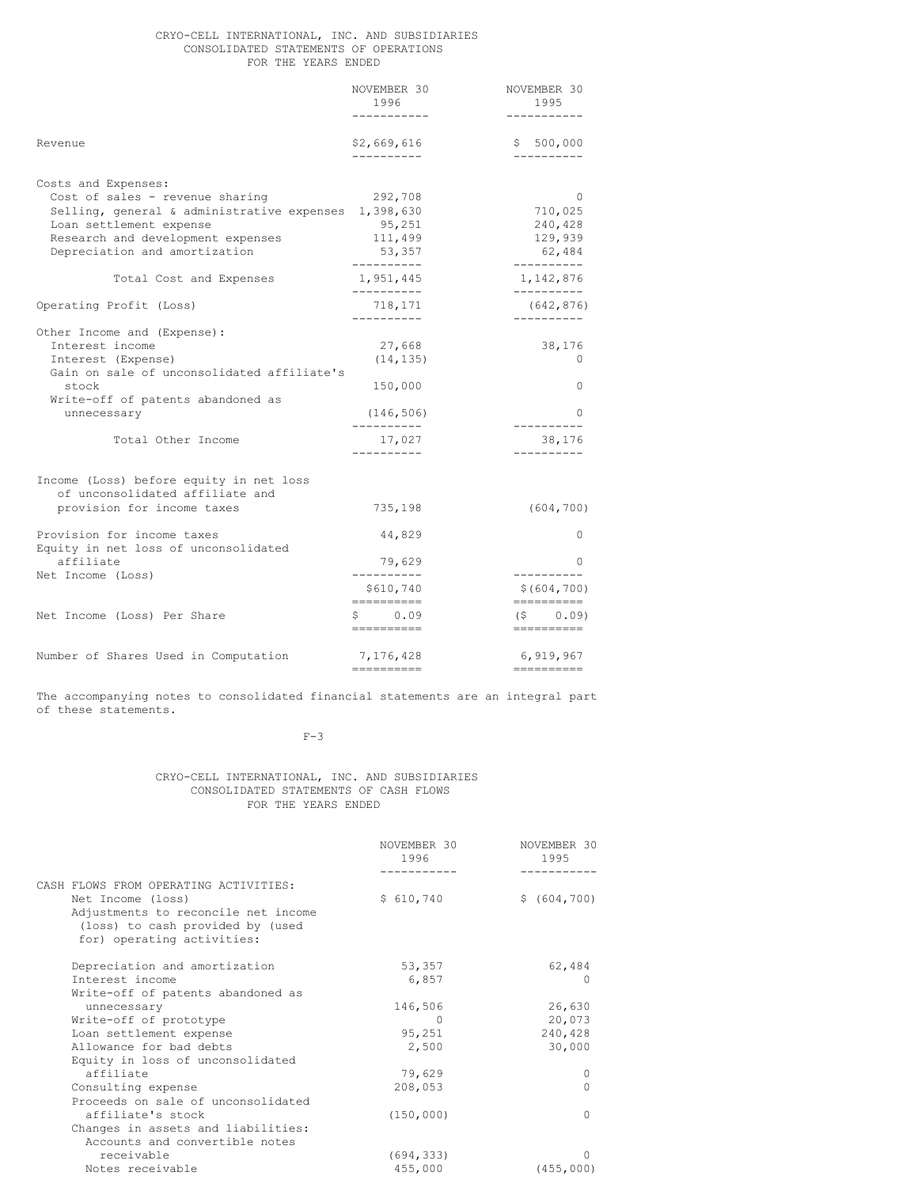#### CRYO-CELL INTERNATIONAL, INC. AND SUBSIDIARIES CONSOLIDATED STATEMENTS OF OPERATIONS FOR THE YEARS ENDED

|                                                                                                                                                                                                                 | NOVEMBER 30<br>1996                    | NOVEMBER 30<br>1995                                 |
|-----------------------------------------------------------------------------------------------------------------------------------------------------------------------------------------------------------------|----------------------------------------|-----------------------------------------------------|
| Revenue                                                                                                                                                                                                         | \$2,669,616<br>-----------             | \$500,000<br>----------                             |
| Costs and Expenses:<br>Cost of sales - revenue sharing<br>Selling, general & administrative expenses 1,398,630<br>Loan settlement expense<br>Research and development expenses<br>Depreciation and amortization | 292,708<br>95,251<br>111,499<br>53,357 | $\Omega$<br>710,025<br>240,428<br>129,939<br>62,484 |
| Total Cost and Expenses                                                                                                                                                                                         | ----------<br>1,951,445                | ----------<br>1,142,876                             |
| Operating Profit (Loss)                                                                                                                                                                                         | -----------<br>718,171<br>----------   | ----------<br>(642, 876)                            |
| Other Income and (Expense):<br>Interest income<br>Interest (Expense)<br>Gain on sale of unconsolidated affiliate's<br>stock                                                                                     | 27,668<br>(14, 135)<br>150,000         | 38,176<br>$\Omega$<br>0                             |
| Write-off of patents abandoned as<br>unnecessary                                                                                                                                                                | (146, 506)<br>----------               | 0                                                   |
| Total Other Income                                                                                                                                                                                              | 17,027                                 | 38,176                                              |
| Income (Loss) before equity in net loss<br>of unconsolidated affiliate and<br>provision for income taxes                                                                                                        | 735,198                                | (604, 700)                                          |
| Provision for income taxes<br>Equity in net loss of unconsolidated                                                                                                                                              | 44,829                                 | $\circ$                                             |
| affiliate<br>Net Income (Loss)                                                                                                                                                                                  | 79,629<br>----------                   | 0<br>----------                                     |
|                                                                                                                                                                                                                 | \$610,740<br>-----------               | \$(604, 700)<br>-----------                         |
| Net Income (Loss) Per Share                                                                                                                                                                                     | \$0.09<br>==========                   | $(S \t 0.09)$<br>==========                         |
| Number of Shares Used in Computation                                                                                                                                                                            | 7,176,428<br>==========                | 6,919,967<br>==========                             |

The accompanying notes to consolidated financial statements are an integral part of these statements.

# $F-3$

#### CRYO-CELL INTERNATIONAL, INC. AND SUBSIDIARIES CONSOLIDATED STATEMENTS OF CASH FLOWS FOR THE YEARS ENDED

|                                                                                                       | NOVEMBER 30<br>1996 | NOVEMBER 30<br>1995 |
|-------------------------------------------------------------------------------------------------------|---------------------|---------------------|
|                                                                                                       |                     |                     |
| CASH FLOWS FROM OPERATING ACTIVITIES:                                                                 |                     |                     |
| Net Income (loss)                                                                                     | \$610,740           | \$ (604, 700)       |
| Adjustments to reconcile net income<br>(loss) to cash provided by (used<br>for) operating activities: |                     |                     |
| Depreciation and amortization                                                                         | 53,357              | 62,484              |
| Interest income                                                                                       | 6,857               | $\left( \right)$    |
| Write-off of patents abandoned as                                                                     |                     |                     |
| unnecessary                                                                                           | 146,506             | 26,630              |
| Write-off of prototype                                                                                | 0                   | 20,073              |
| Loan settlement expense                                                                               | 95,251              | 240,428             |
| Allowance for bad debts                                                                               | 2,500               | 30,000              |
| Equity in loss of unconsolidated                                                                      |                     |                     |
| affiliate                                                                                             | 79,629              | 0                   |
| Consulting expense                                                                                    | 208,053             | $\Omega$            |
| Proceeds on sale of unconsolidated                                                                    |                     |                     |
| affiliate's stock                                                                                     | (150, 000)          | $\Omega$            |
| Changes in assets and liabilities:                                                                    |                     |                     |
| Accounts and convertible notes                                                                        |                     |                     |
| receivable                                                                                            | (694, 333)          | ∩                   |
| Notes receivable                                                                                      | 455,000             | (455, 000)          |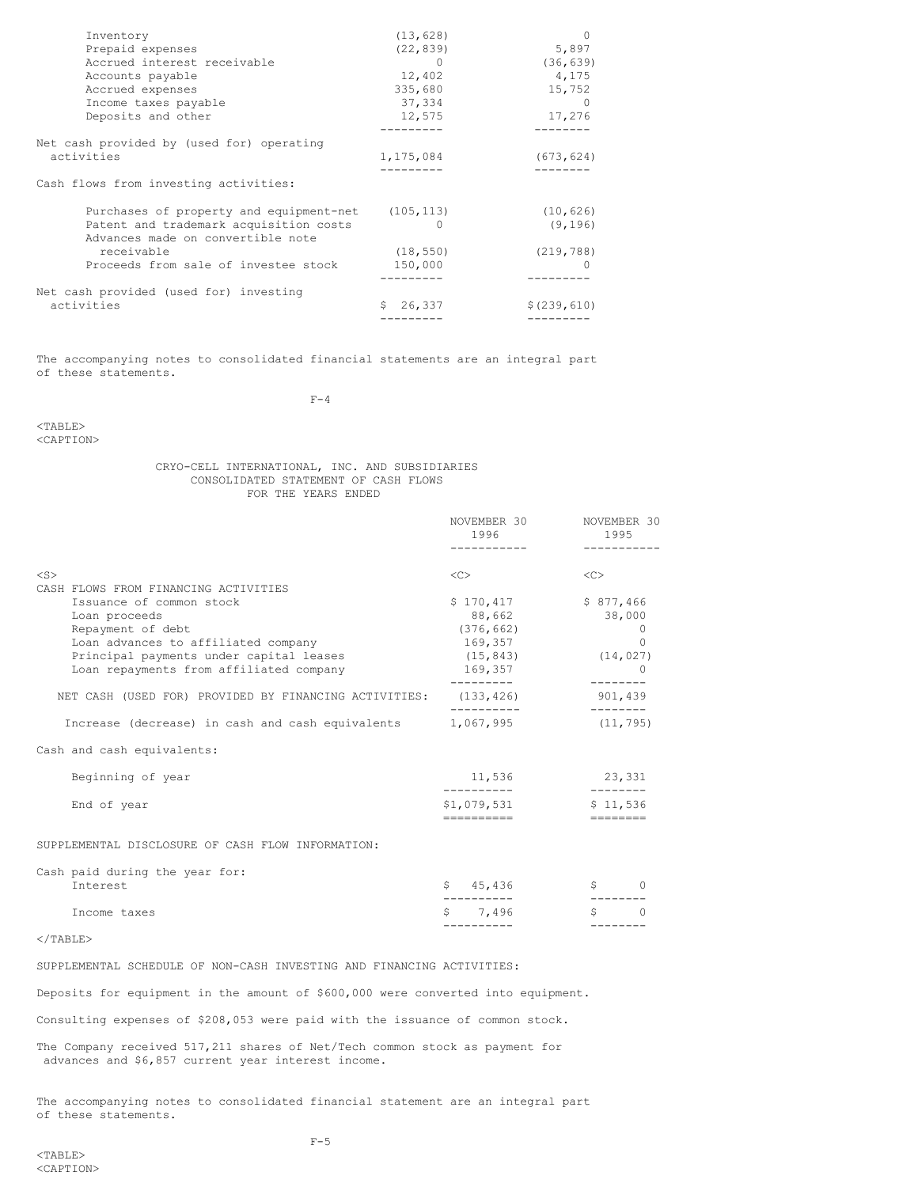| (13, 628)    | $\Omega$                                          |
|--------------|---------------------------------------------------|
| (22, 839)    | 5,897                                             |
|              | (36, 639)                                         |
| 12,402       | 4,175                                             |
| 335,680      | 15,752                                            |
| 37,334       | $\Omega$                                          |
| 12,575       | 17,276                                            |
|              |                                                   |
|              |                                                   |
| 1,175,084    | (673, 624)                                        |
|              |                                                   |
|              |                                                   |
|              | (10, 626)                                         |
| $^{(1)}$     | (9, 196)                                          |
| (18, 550)    | (219, 788)                                        |
| 150,000      |                                                   |
|              |                                                   |
|              |                                                   |
|              |                                                   |
| Ŝ.<br>26,337 | \$(239, 610)                                      |
|              | Purchases of property and equipment-net (105,113) |

The accompanying notes to consolidated financial statements are an integral part of these statements.

 $F-4$ 

# <TABLE>

<CAPTION>

## CRYO-CELL INTERNATIONAL, INC. AND SUBSIDIARIES CONSOLIDATED STATEMENT OF CASH FLOWS FOR THE YEARS ENDED

|                                                                 | NOVEMBER 30<br>1996   | NOVEMBER 30<br>1995 |
|-----------------------------------------------------------------|-----------------------|---------------------|
|                                                                 |                       |                     |
| $<$ S>                                                          | <<                    | <<                  |
| CASH FLOWS FROM FINANCING ACTIVITIES                            |                       |                     |
| Issuance of common stock                                        | $$170,417$ $$877,466$ |                     |
| Loan proceeds                                                   | 88,662                | 38,000              |
| Repayment of debt                                               | (376, 662)            | $\Omega$            |
| Loan advances to affiliated company                             | 169,357               | $\Omega$            |
| Principal payments under capital leases                         | (15, 843)             | (14, 027)           |
| Loan repayments from affiliated company                         | 169,357               |                     |
|                                                                 |                       |                     |
| NET CASH (USED FOR) PROVIDED BY FINANCING ACTIVITIES: (133,426) |                       | 901,439             |
| Increase (decrease) in cash and cash equivalents 1,067,995      |                       | (11, 795)           |
| Cash and cash equivalents:                                      |                       |                     |
| Beginning of year                                               | 11,536                | 23,331              |
| End of year                                                     | \$1,079,531           | \$11,536            |
|                                                                 |                       |                     |

SUPPLEMENTAL DISCLOSURE OF CASH FLOW INFORMATION:

| Income taxes                               | \$7.496  |  |
|--------------------------------------------|----------|--|
| Cash paid during the year for:<br>Interest | \$45.436 |  |
|                                            |          |  |

# </TABLE>

SUPPLEMENTAL SCHEDULE OF NON-CASH INVESTING AND FINANCING ACTIVITIES:

Deposits for equipment in the amount of \$600,000 were converted into equipment.

Consulting expenses of \$208,053 were paid with the issuance of common stock.

The Company received 517,211 shares of Net/Tech common stock as payment for advances and \$6,857 current year interest income.

The accompanying notes to consolidated financial statement are an integral part of these statements.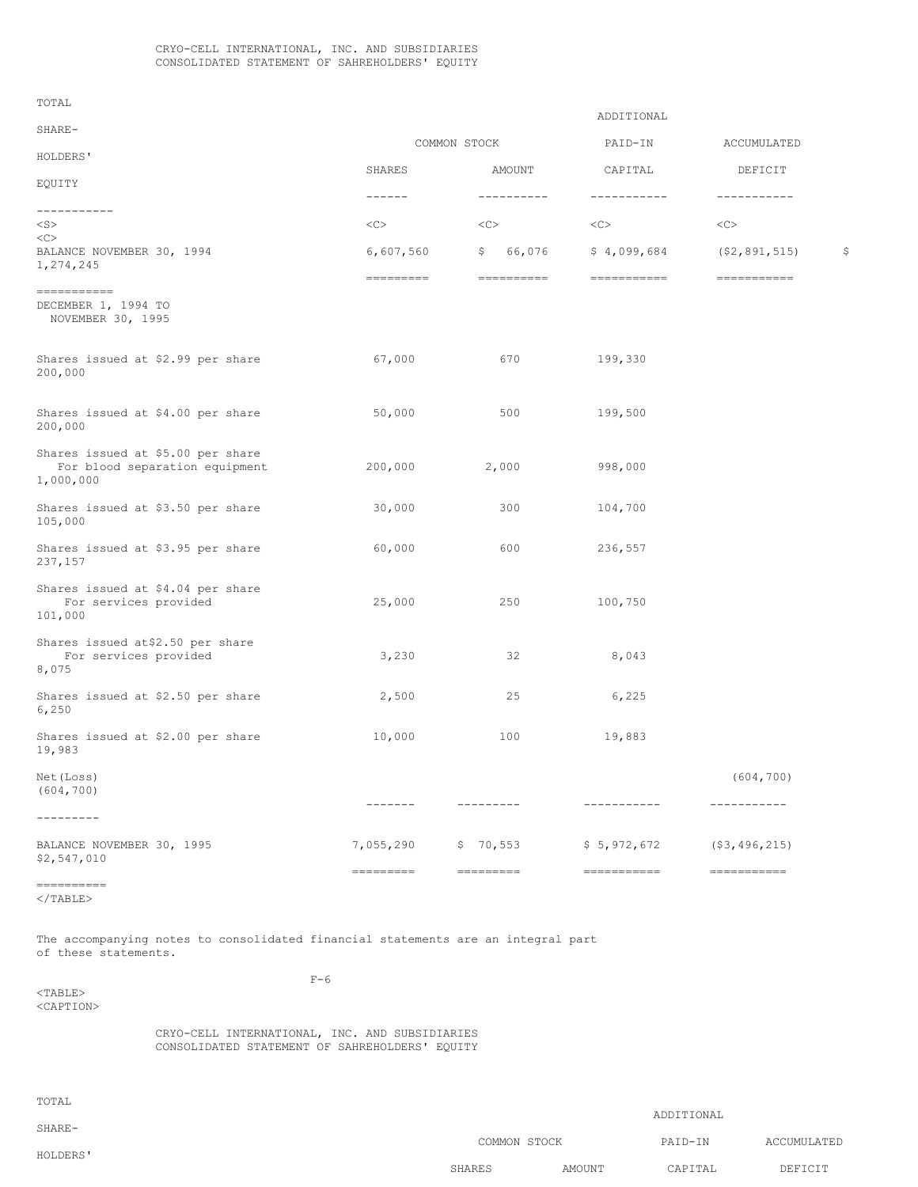TOTAL

|                                                                                                                                     |                                                                                                                                                                                                                                                                                                                                                                                                                                                                                        |                                                                           | ADDITIONAL  |                  |    |
|-------------------------------------------------------------------------------------------------------------------------------------|----------------------------------------------------------------------------------------------------------------------------------------------------------------------------------------------------------------------------------------------------------------------------------------------------------------------------------------------------------------------------------------------------------------------------------------------------------------------------------------|---------------------------------------------------------------------------|-------------|------------------|----|
| SHARE-                                                                                                                              |                                                                                                                                                                                                                                                                                                                                                                                                                                                                                        | COMMON STOCK                                                              | PAID-IN     | ACCUMULATED      |    |
| HOLDERS'                                                                                                                            | SHARES                                                                                                                                                                                                                                                                                                                                                                                                                                                                                 | AMOUNT                                                                    | CAPITAL     | DEFICIT          |    |
| EQUITY                                                                                                                              |                                                                                                                                                                                                                                                                                                                                                                                                                                                                                        |                                                                           |             |                  |    |
| -----------                                                                                                                         | $- - - - - -$                                                                                                                                                                                                                                                                                                                                                                                                                                                                          | -----------                                                               | ----------- | -----------      |    |
| $<$ S $>$                                                                                                                           | <<                                                                                                                                                                                                                                                                                                                                                                                                                                                                                     | <<                                                                        | <<          | <<               |    |
| <<<br>BALANCE NOVEMBER 30, 1994<br>1,274,245                                                                                        | 6,607,560                                                                                                                                                                                                                                                                                                                                                                                                                                                                              | \$<br>66,076                                                              | \$4,099,684 | (52, 891, 515)   | \$ |
| $\qquad \qquad \displaystyle =\qquad \qquad \displaystyle =\qquad \qquad \displaystyle =\qquad \qquad \displaystyle =\qquad \qquad$ | $\begin{array}{cccccccccc} \multicolumn{2}{c}{} & \multicolumn{2}{c}{} & \multicolumn{2}{c}{} & \multicolumn{2}{c}{} & \multicolumn{2}{c}{} & \multicolumn{2}{c}{} & \multicolumn{2}{c}{} & \multicolumn{2}{c}{} & \multicolumn{2}{c}{} & \multicolumn{2}{c}{} & \multicolumn{2}{c}{} & \multicolumn{2}{c}{} & \multicolumn{2}{c}{} & \multicolumn{2}{c}{} & \multicolumn{2}{c}{} & \multicolumn{2}{c}{} & \multicolumn{2}{c}{} & \multicolumn{2}{c}{} & \multicolumn{2}{c}{} & \mult$ | $\qquad \qquad \displaystyle =\qquad \qquad \displaystyle =\qquad \qquad$ | =========== | $=$ ===========  |    |
| DECEMBER 1, 1994 TO<br>NOVEMBER 30, 1995                                                                                            |                                                                                                                                                                                                                                                                                                                                                                                                                                                                                        |                                                                           |             |                  |    |
| Shares issued at \$2.99 per share<br>200,000                                                                                        | 67,000                                                                                                                                                                                                                                                                                                                                                                                                                                                                                 | 670                                                                       | 199,330     |                  |    |
| Shares issued at \$4.00 per share<br>200,000                                                                                        | 50,000                                                                                                                                                                                                                                                                                                                                                                                                                                                                                 | 500                                                                       | 199,500     |                  |    |
| Shares issued at \$5.00 per share<br>For blood separation equipment<br>1,000,000                                                    | 200,000                                                                                                                                                                                                                                                                                                                                                                                                                                                                                | 2,000                                                                     | 998,000     |                  |    |
| Shares issued at \$3.50 per share<br>105,000                                                                                        | 30,000                                                                                                                                                                                                                                                                                                                                                                                                                                                                                 | 300                                                                       | 104,700     |                  |    |
| Shares issued at \$3.95 per share<br>237,157                                                                                        | 60,000                                                                                                                                                                                                                                                                                                                                                                                                                                                                                 | 600                                                                       | 236,557     |                  |    |
| Shares issued at \$4.04 per share<br>For services provided<br>101,000                                                               | 25,000                                                                                                                                                                                                                                                                                                                                                                                                                                                                                 | 250                                                                       | 100,750     |                  |    |
| Shares issued at\$2.50 per share<br>For services provided<br>8,075                                                                  | 3,230                                                                                                                                                                                                                                                                                                                                                                                                                                                                                  | 32                                                                        | 8,043       |                  |    |
| Shares issued at \$2.50 per share<br>6,250                                                                                          | 2,500                                                                                                                                                                                                                                                                                                                                                                                                                                                                                  | 25                                                                        | 6,225       |                  |    |
| Shares issued at \$2.00 per share<br>19,983                                                                                         | 10,000                                                                                                                                                                                                                                                                                                                                                                                                                                                                                 | 100                                                                       | 19,883      |                  |    |
| Net (Loss)<br>(604, 700)                                                                                                            |                                                                                                                                                                                                                                                                                                                                                                                                                                                                                        |                                                                           |             | (604, 700)       |    |
| ----------                                                                                                                          | $- - - - - - -$                                                                                                                                                                                                                                                                                                                                                                                                                                                                        | ---------                                                                 | ----------- | -----------      |    |
| BALANCE NOVEMBER 30, 1995<br>\$2,547,010                                                                                            | 7,055,290                                                                                                                                                                                                                                                                                                                                                                                                                                                                              | \$70,553                                                                  | \$5,972,672 | (53, 496, 215)   |    |
| -----------                                                                                                                         |                                                                                                                                                                                                                                                                                                                                                                                                                                                                                        | $=$ =========                                                             |             | $=$ ============ |    |

</TABLE>

The accompanying notes to consolidated financial statements are an integral part of these statements.

F-6

<TABLE> <CAPTION>

> CRYO-CELL INTERNATIONAL, INC. AND SUBSIDIARIES CONSOLIDATED STATEMENT OF SAHREHOLDERS' EQUITY

| TOTAL    |              |        |            |             |
|----------|--------------|--------|------------|-------------|
| SHARE-   |              |        | ADDITIONAL |             |
| HOLDERS' | COMMON STOCK |        | PAID-IN    | ACCUMULATED |
|          | SHARES       | AMOUNT | CAPITAL    | DEFICIT     |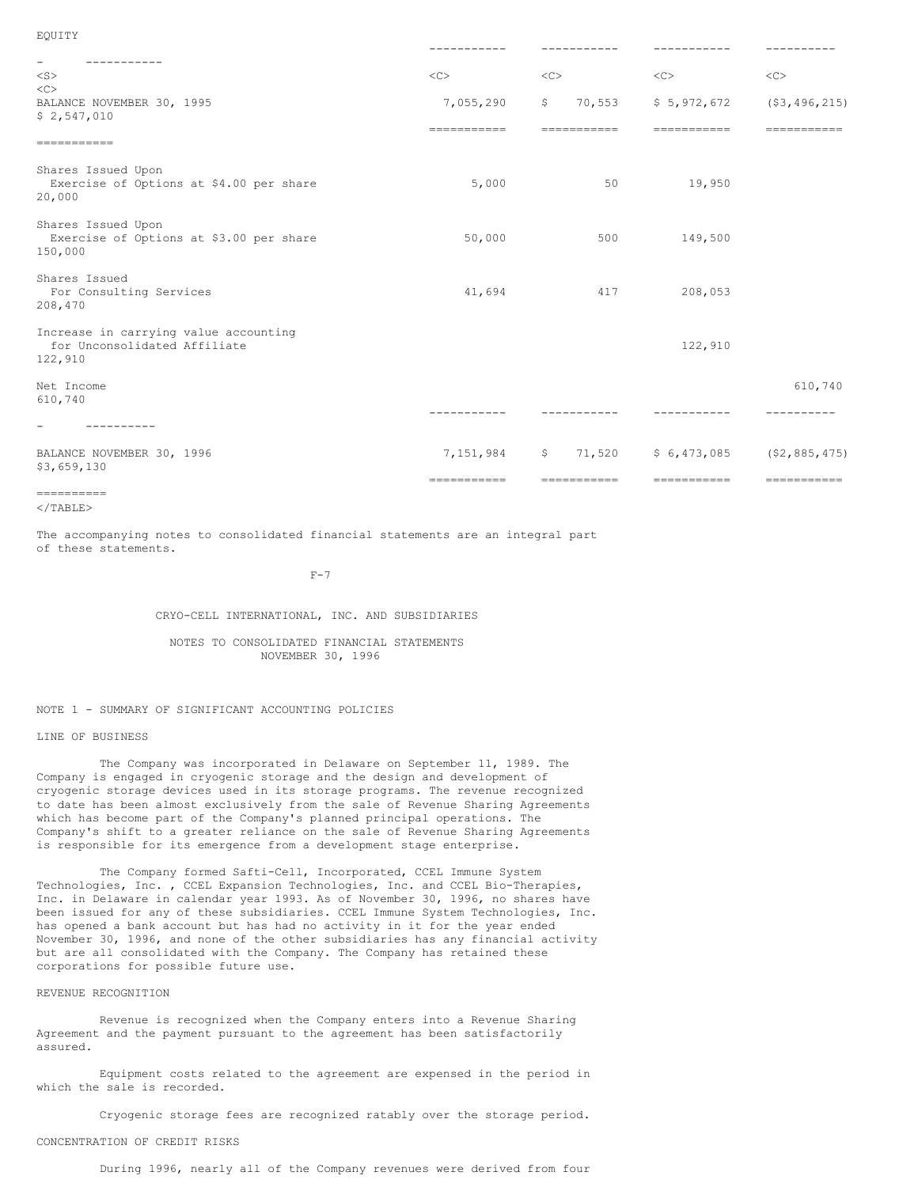| EQUITY                                                                           |                          |                                       |                            |                                 |
|----------------------------------------------------------------------------------|--------------------------|---------------------------------------|----------------------------|---------------------------------|
|                                                                                  |                          |                                       |                            |                                 |
| $\overline{\phantom{a}}$<br>----------<br>$<$ S $>$                              | $\langle C \rangle$      | <<                                    | <<                         | <<                              |
| <<<br>BALANCE NOVEMBER 30, 1995<br>\$2,547,010                                   | 7,055,290<br>=========== | 70,553<br>$\mathsf{S}$<br>=========== | \$5,972,672<br>=========== | $($ \$3,496,215)<br>=========== |
| -----------                                                                      |                          |                                       |                            |                                 |
| Shares Issued Upon<br>Exercise of Options at \$4.00 per share<br>20,000          | 5,000                    | 50                                    | 19,950                     |                                 |
| Shares Issued Upon<br>Exercise of Options at \$3.00 per share<br>150,000         | 50,000                   | 500                                   | 149,500                    |                                 |
| Shares Issued<br>For Consulting Services<br>208,470                              | 41,694                   | 417                                   | 208,053                    |                                 |
| Increase in carrying value accounting<br>for Unconsolidated Affiliate<br>122,910 |                          |                                       | 122,910                    |                                 |
| Net Income<br>610,740                                                            |                          |                                       |                            | 610,740                         |
| ---------                                                                        |                          |                                       |                            |                                 |
| BALANCE NOVEMBER 30, 1996<br>\$3,659,130                                         | 7,151,984                | \$71,520                              | \$6,473,085                | (52, 885, 475)                  |
|                                                                                  | ===========              | ===========                           | ===========                | -----------                     |

```
==========
\langle/TABLE>
```
The accompanying notes to consolidated financial statements are an integral part of these statements.

 $F-7$ 

## CRYO-CELL INTERNATIONAL, INC. AND SUBSIDIARIES

NOTES TO CONSOLIDATED FINANCIAL STATEMENTS NOVEMBER 30, 1996

# NOTE 1 - SUMMARY OF SIGNIFICANT ACCOUNTING POLICIES

#### LINE OF BUSINESS

The Company was incorporated in Delaware on September 11, 1989. The Company is engaged in cryogenic storage and the design and development of cryogenic storage devices used in its storage programs. The revenue recognized to date has been almost exclusively from the sale of Revenue Sharing Agreements which has become part of the Company's planned principal operations. The Company's shift to a greater reliance on the sale of Revenue Sharing Agreements is responsible for its emergence from a development stage enterprise.

The Company formed Safti-Cell, Incorporated, CCEL Immune System Technologies, Inc. , CCEL Expansion Technologies, Inc. and CCEL Bio-Therapies, Inc. in Delaware in calendar year 1993. As of November 30, 1996, no shares have been issued for any of these subsidiaries. CCEL Immune System Technologies, Inc. has opened a bank account but has had no activity in it for the year ended November 30, 1996, and none of the other subsidiaries has any financial activity but are all consolidated with the Company. The Company has retained these corporations for possible future use.

# REVENUE RECOGNITION

Revenue is recognized when the Company enters into a Revenue Sharing Agreement and the payment pursuant to the agreement has been satisfactorily assured.

Equipment costs related to the agreement are expensed in the period in which the sale is recorded.

Cryogenic storage fees are recognized ratably over the storage period.

# CONCENTRATION OF CREDIT RISKS

During 1996, nearly all of the Company revenues were derived from four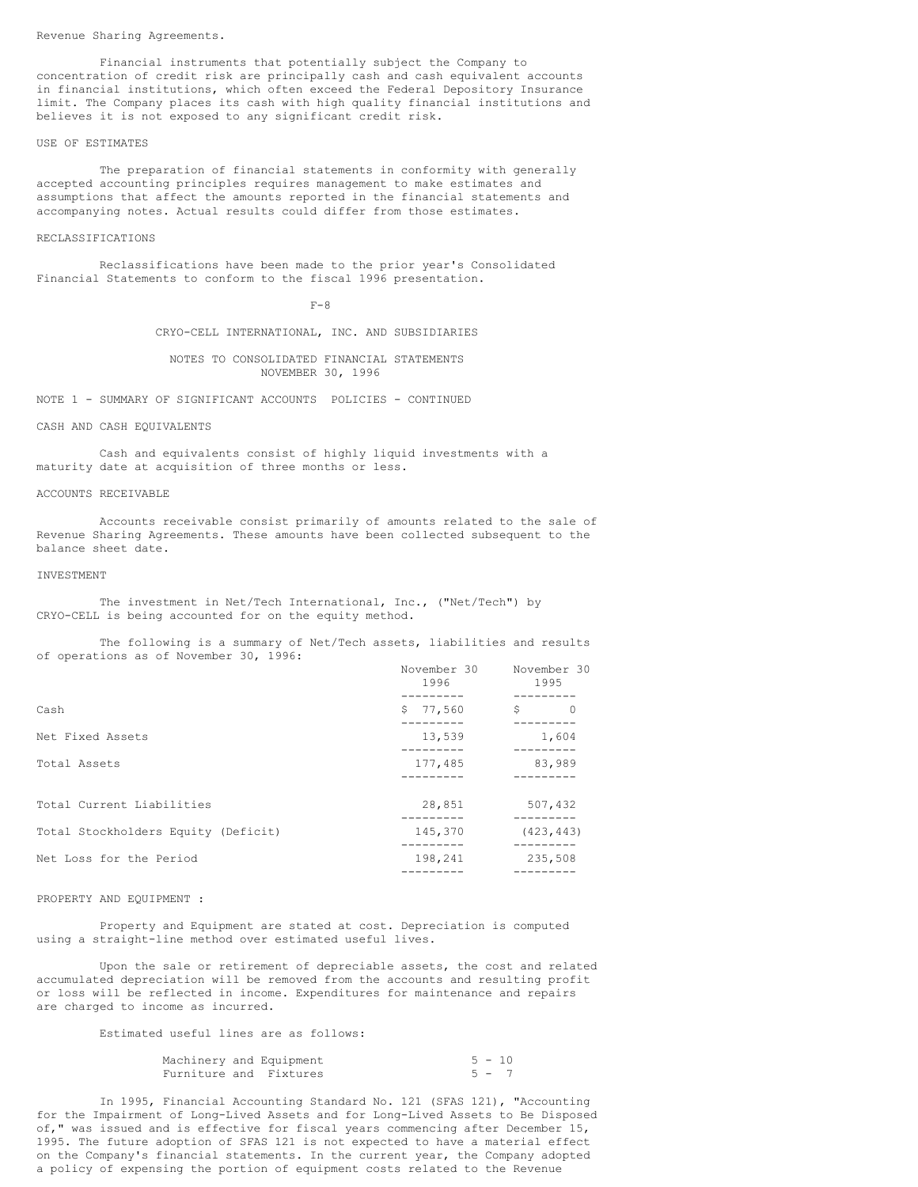Revenue Sharing Agreements.

Financial instruments that potentially subject the Company to concentration of credit risk are principally cash and cash equivalent accounts in financial institutions, which often exceed the Federal Depository Insurance limit. The Company places its cash with high quality financial institutions and believes it is not exposed to any significant credit risk.

#### USE OF ESTIMATES

The preparation of financial statements in conformity with generally accepted accounting principles requires management to make estimates and assumptions that affect the amounts reported in the financial statements and accompanying notes. Actual results could differ from those estimates.

#### RECLASSIFICATIONS

Reclassifications have been made to the prior year's Consolidated Financial Statements to conform to the fiscal 1996 presentation.

 $F - 8$ 

CRYO-CELL INTERNATIONAL, INC. AND SUBSIDIARIES

#### NOTES TO CONSOLIDATED FINANCIAL STATEMENTS NOVEMBER 30, 1996

NOTE 1 - SUMMARY OF SIGNIFICANT ACCOUNTS POLICIES - CONTINUED

#### CASH AND CASH EQUIVALENTS

Cash and equivalents consist of highly liquid investments with a maturity date at acquisition of three months or less.

#### ACCOUNTS RECEIVABLE

Accounts receivable consist primarily of amounts related to the sale of Revenue Sharing Agreements. These amounts have been collected subsequent to the balance sheet date.

#### INVESTMENT

The investment in Net/Tech International, Inc., ("Net/Tech") by CRYO-CELL is being accounted for on the equity method.

The following is a summary of Net/Tech assets, liabilities and results of operations as of November 30, 1996:

| OF ONCIGLIONS GO OF MOVORDEL SOP ISSUE.<br>November 30<br>1996 |          | November 30<br>1995 |
|----------------------------------------------------------------|----------|---------------------|
| Cash                                                           | \$77.560 | \$<br>$\circ$       |
| Net Fixed Assets                                               | 13,539   | 1,604               |
| Total Assets                                                   | 177,485  | 83,989              |
| Total Current Liabilities                                      | 28,851   | 507,432             |
| Total Stockholders Equity (Deficit)                            | 145,370  | (423, 443)          |
| Net Loss for the Period                                        | 198,241  | 235,508             |

#### PROPERTY AND EQUIPMENT :

Property and Equipment are stated at cost. Depreciation is computed using a straight-line method over estimated useful lives.

Upon the sale or retirement of depreciable assets, the cost and related accumulated depreciation will be removed from the accounts and resulting profit or loss will be reflected in income. Expenditures for maintenance and repairs are charged to income as incurred.

Estimated useful lines are as follows:

|  | Machinery and Equipment | $5 - 10$ |         |  |
|--|-------------------------|----------|---------|--|
|  | Furniture and Fixtures  |          | $5 - 7$ |  |

In 1995, Financial Accounting Standard No. 121 (SFAS 121), "Accounting for the Impairment of Long-Lived Assets and for Long-Lived Assets to Be Disposed of," was issued and is effective for fiscal years commencing after December 15, 1995. The future adoption of SFAS 121 is not expected to have a material effect on the Company's financial statements. In the current year, the Company adopted a policy of expensing the portion of equipment costs related to the Revenue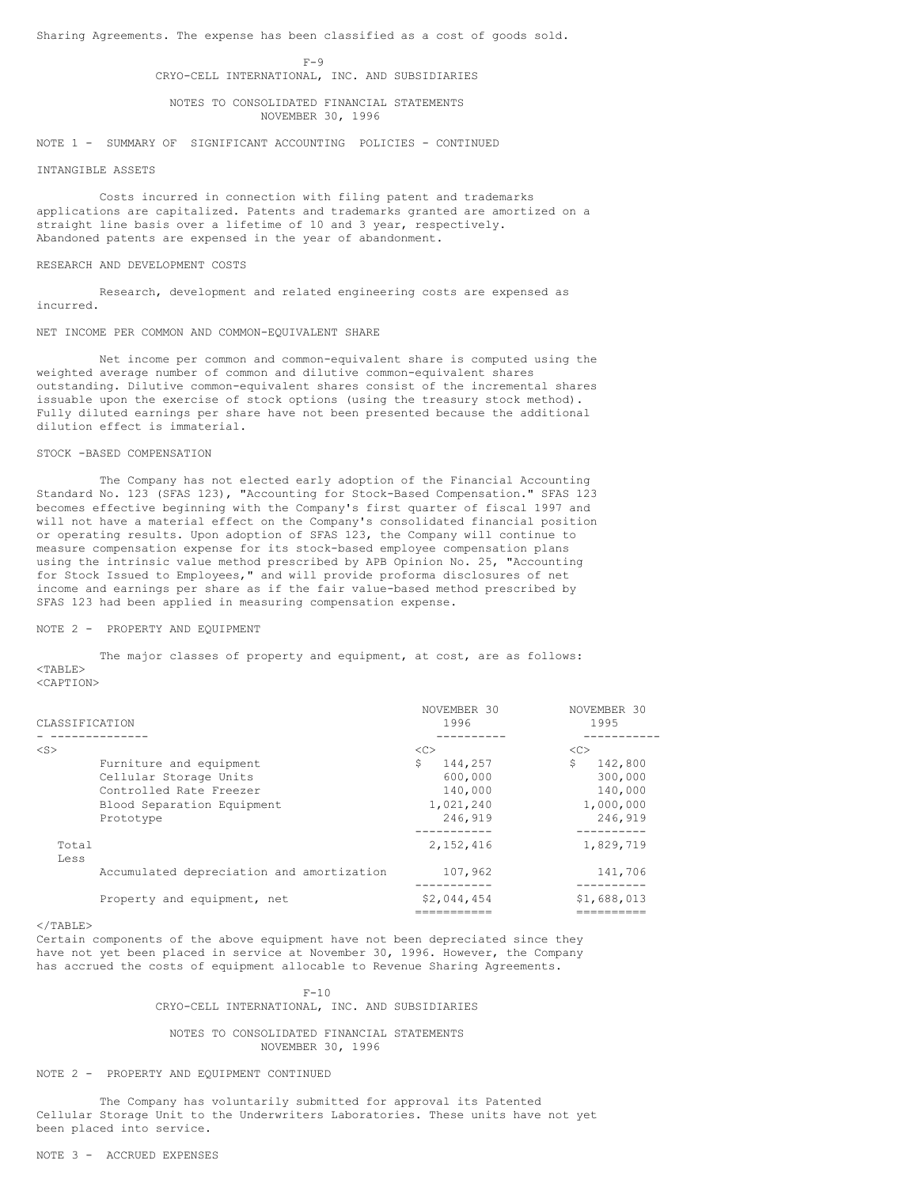Sharing Agreements. The expense has been classified as a cost of goods sold.

 $F-9$ CRYO-CELL INTERNATIONAL, INC. AND SUBSIDIARIES

NOTES TO CONSOLIDATED FINANCIAL STATEMENTS NOVEMBER 30, 1996

NOTE 1 - SUMMARY OF SIGNIFICANT ACCOUNTING POLICIES - CONTINUED

#### INTANGIBLE ASSETS

Costs incurred in connection with filing patent and trademarks applications are capitalized. Patents and trademarks granted are amortized on a straight line basis over a lifetime of 10 and 3 year, respectively. Abandoned patents are expensed in the year of abandonment.

#### RESEARCH AND DEVELOPMENT COSTS

Research, development and related engineering costs are expensed as incurred.

#### NET INCOME PER COMMON AND COMMON-EQUIVALENT SHARE

Net income per common and common-equivalent share is computed using the weighted average number of common and dilutive common-equivalent shares outstanding. Dilutive common-equivalent shares consist of the incremental shares issuable upon the exercise of stock options (using the treasury stock method). Fully diluted earnings per share have not been presented because the additional dilution effect is immaterial.

# STOCK -BASED COMPENSATION

The Company has not elected early adoption of the Financial Accounting Standard No. 123 (SFAS 123), "Accounting for Stock-Based Compensation." SFAS 123 becomes effective beginning with the Company's first quarter of fiscal 1997 and will not have a material effect on the Company's consolidated financial position or operating results. Upon adoption of SFAS 123, the Company will continue to measure compensation expense for its stock-based employee compensation plans using the intrinsic value method prescribed by APB Opinion No. 25, "Accounting for Stock Issued to Employees," and will provide proforma disclosures of net income and earnings per share as if the fair value-based method prescribed by SFAS 123 had been applied in measuring compensation expense.

#### NOTE 2 - PROPERTY AND EQUIPMENT

The major classes of property and equipment, at cost, are as follows:  $<$ TABLE> <CAPTION>

| CLASSIFICATION |                                                                                                                         | NOVEMBER 30<br>1996                                               | NOVEMBER 30<br>1995                                                |
|----------------|-------------------------------------------------------------------------------------------------------------------------|-------------------------------------------------------------------|--------------------------------------------------------------------|
|                |                                                                                                                         |                                                                   |                                                                    |
| $<$ S $>$      | Furniture and equipment<br>Cellular Storage Units<br>Controlled Rate Freezer<br>Blood Separation Equipment<br>Prototype | <<<br>\$<br>144.257<br>600,000<br>140,000<br>1,021,240<br>246.919 | <<<br>\$.<br>142,800<br>300,000<br>140,000<br>1,000,000<br>246,919 |
| Total<br>Less  |                                                                                                                         | 2.152.416                                                         | 1,829,719                                                          |
|                | Accumulated depreciation and amortization                                                                               | 107,962                                                           | 141,706                                                            |
|                | Property and equipment, net                                                                                             | \$2,044,454                                                       | \$1,688,013                                                        |

#### $<$ /TABLE>

Certain components of the above equipment have not been depreciated since they have not yet been placed in service at November 30, 1996. However, the Company has accrued the costs of equipment allocable to Revenue Sharing Agreements.

> $F-10$ CRYO-CELL INTERNATIONAL, INC. AND SUBSIDIARIES

# NOTES TO CONSOLIDATED FINANCIAL STATEMENTS NOVEMBER 30, 1996

#### NOTE 2 - PROPERTY AND EQUIPMENT CONTINUED

The Company has voluntarily submitted for approval its Patented Cellular Storage Unit to the Underwriters Laboratories. These units have not yet been placed into service.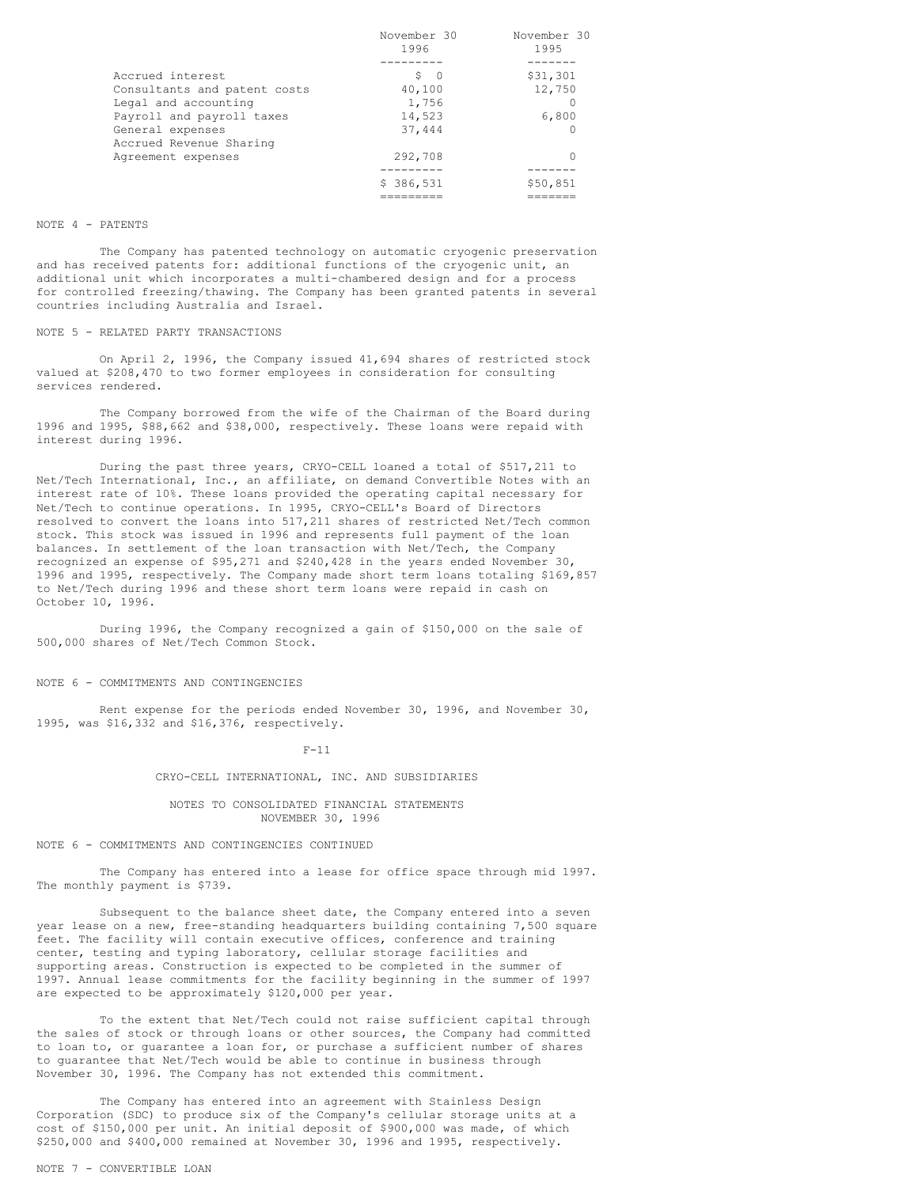|                              | November 30 |          |
|------------------------------|-------------|----------|
|                              | 1996        | 1995     |
|                              |             |          |
| Accrued interest             | S O         | \$31,301 |
| Consultants and patent costs | 40,100      | 12,750   |
| Legal and accounting         | 1,756       |          |
| Payroll and payroll taxes    | 14,523      | 6,800    |
| General expenses             | 37,444      |          |
| Accrued Revenue Sharing      |             |          |
| Agreement expenses           | 292,708     |          |
|                              |             |          |
|                              | \$386,531   | \$50,851 |
|                              |             |          |

#### NOTE 4 - PATENTS

The Company has patented technology on automatic cryogenic preservation and has received patents for: additional functions of the cryogenic unit, an additional unit which incorporates a multi-chambered design and for a process for controlled freezing/thawing. The Company has been granted patents in several countries including Australia and Israel.

#### NOTE 5 - RELATED PARTY TRANSACTIONS

On April 2, 1996, the Company issued 41,694 shares of restricted stock valued at \$208,470 to two former employees in consideration for consulting services rendered.

The Company borrowed from the wife of the Chairman of the Board during 1996 and 1995, \$88,662 and \$38,000, respectively. These loans were repaid with interest during 1996.

During the past three years, CRYO-CELL loaned a total of \$517,211 to Net/Tech International, Inc., an affiliate, on demand Convertible Notes with an interest rate of 10%. These loans provided the operating capital necessary for Net/Tech to continue operations. In 1995, CRYO-CELL's Board of Directors resolved to convert the loans into 517,211 shares of restricted Net/Tech common stock. This stock was issued in 1996 and represents full payment of the loan balances. In settlement of the loan transaction with Net/Tech, the Company recognized an expense of \$95,271 and \$240,428 in the years ended November 30, 1996 and 1995, respectively. The Company made short term loans totaling \$169,857 to Net/Tech during 1996 and these short term loans were repaid in cash on October 10, 1996.

During 1996, the Company recognized a gain of \$150,000 on the sale of 500,000 shares of Net/Tech Common Stock.

# NOTE 6 - COMMITMENTS AND CONTINGENCIES

Rent expense for the periods ended November 30, 1996, and November 30, 1995, was \$16,332 and \$16,376, respectively.

F-11

#### CRYO-CELL INTERNATIONAL, INC. AND SUBSIDIARIES

## NOTES TO CONSOLIDATED FINANCIAL STATEMENTS NOVEMBER 30, 1996

NOTE 6 - COMMITMENTS AND CONTINGENCIES CONTINUED

The Company has entered into a lease for office space through mid 1997. The monthly payment is \$739.

Subsequent to the balance sheet date, the Company entered into a seven year lease on a new, free-standing headquarters building containing 7,500 square feet. The facility will contain executive offices, conference and training center, testing and typing laboratory, cellular storage facilities and supporting areas. Construction is expected to be completed in the summer of 1997. Annual lease commitments for the facility beginning in the summer of 1997 are expected to be approximately \$120,000 per year.

To the extent that Net/Tech could not raise sufficient capital through the sales of stock or through loans or other sources, the Company had committed to loan to, or guarantee a loan for, or purchase a sufficient number of shares to guarantee that Net/Tech would be able to continue in business through November 30, 1996. The Company has not extended this commitment.

The Company has entered into an agreement with Stainless Design Corporation (SDC) to produce six of the Company's cellular storage units at a cost of \$150,000 per unit. An initial deposit of \$900,000 was made, of which \$250,000 and \$400,000 remained at November 30, 1996 and 1995, respectively.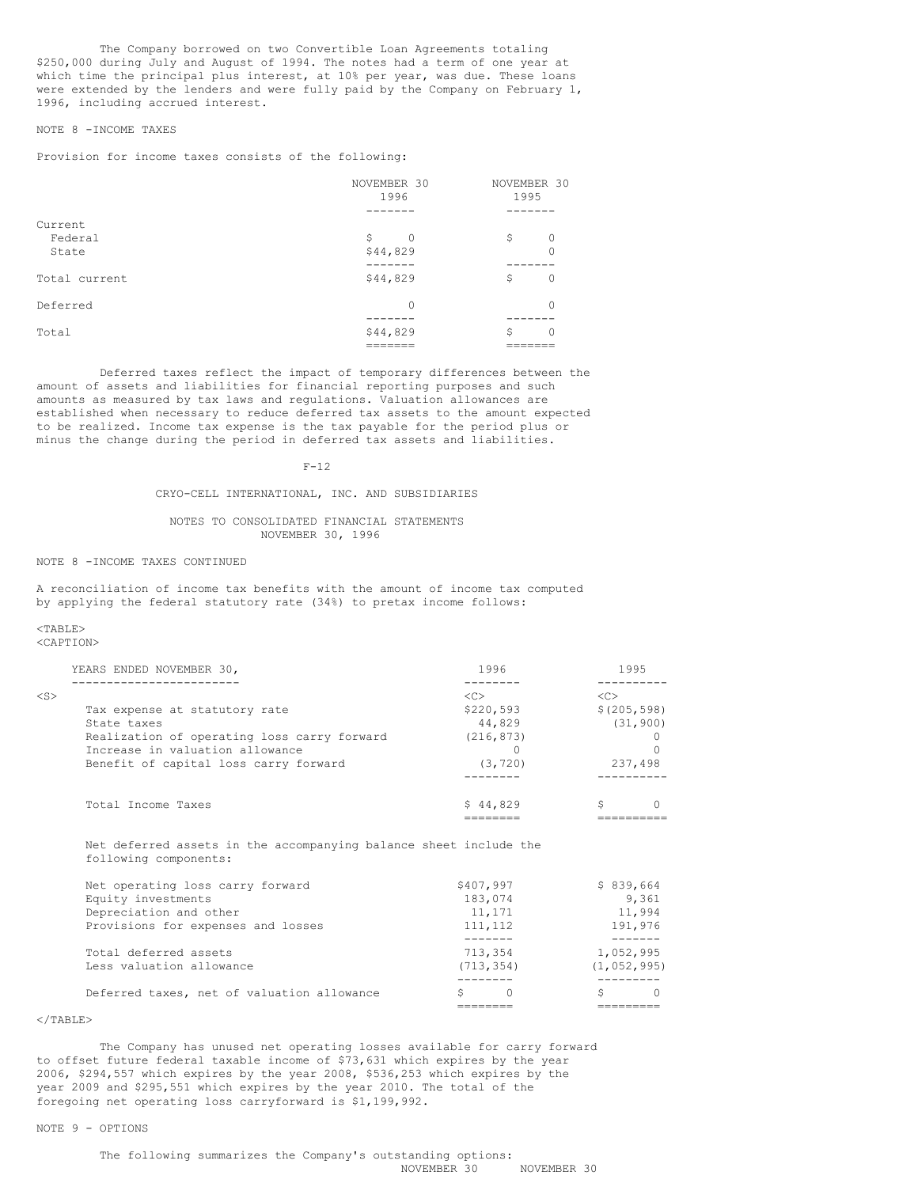The Company borrowed on two Convertible Loan Agreements totaling \$250,000 during July and August of 1994. The notes had a term of one year at which time the principal plus interest, at 10% per year, was due. These loans were extended by the lenders and were fully paid by the Company on February 1, 1996, including accrued interest.

## NOTE 8 -INCOME TAXES

Provision for income taxes consists of the following:

|               | NOVEMBER 30<br>NOVEMBER 30<br>1995<br>1996 |                |
|---------------|--------------------------------------------|----------------|
|               |                                            |                |
| Current       |                                            |                |
| Federal       | \$<br>$\Omega$                             | \$<br>$\Omega$ |
| State         | \$44,829                                   |                |
|               |                                            |                |
| Total current | \$44,829                                   | \$<br>$\Omega$ |
| Deferred      | 0                                          |                |
|               |                                            |                |
| Total         | \$44,829                                   | \$<br>0        |
|               |                                            |                |

Deferred taxes reflect the impact of temporary differences between the amount of assets and liabilities for financial reporting purposes and such amounts as measured by tax laws and regulations. Valuation allowances are established when necessary to reduce deferred tax assets to the amount expected to be realized. Income tax expense is the tax payable for the period plus or minus the change during the period in deferred tax assets and liabilities.

#### $F-12$

## CRYO-CELL INTERNATIONAL, INC. AND SUBSIDIARIES

#### NOTES TO CONSOLIDATED FINANCIAL STATEMENTS NOVEMBER 30, 1996

#### NOTE 8 -INCOME TAXES CONTINUED

A reconciliation of income tax benefits with the amount of income tax computed by applying the federal statutory rate (34%) to pretax income follows:

## <TABLE>

<CAPTION>

| YEARS ENDED NOVEMBER 30,                    | 1996                | 1995         |
|---------------------------------------------|---------------------|--------------|
|                                             |                     |              |
| $<$ S $>$                                   | $\langle C \rangle$ | くC>          |
| Tax expense at statutory rate               | \$220,593           | \$(205, 598) |
| State taxes                                 | 44,829              | (31, 900)    |
| Realization of operating loss carry forward | (216, 873)          |              |
| Increase in valuation allowance             |                     |              |
| Benefit of capital loss carry forward       | (3, 720)            | 237.498      |
|                                             |                     |              |
| Total Income Taxes                          | \$44,829            |              |
|                                             |                     |              |

Net deferred assets in the accompanying balance sheet include the following components:

| Net operating loss carry forward           | \$407,997  | \$839,664     |
|--------------------------------------------|------------|---------------|
| Equity investments                         | 183,074    | 9.361         |
| Depreciation and other                     | 11,171     | 11,994        |
| Provisions for expenses and losses         | 111, 112   | 191,976       |
|                                            |            |               |
| Total deferred assets                      | 713,354    | 1,052,995     |
| Less valuation allowance                   | (713, 354) | (1, 052, 995) |
|                                            |            |               |
| Deferred taxes, net of valuation allowance | O          |               |
|                                            |            |               |

# $<$ /TABLE>

The Company has unused net operating losses available for carry forward to offset future federal taxable income of \$73,631 which expires by the year 2006, \$294,557 which expires by the year 2008, \$536,253 which expires by the year 2009 and \$295,551 which expires by the year 2010. The total of the foregoing net operating loss carryforward is \$1,199,992.

# NOTE 9 - OPTIONS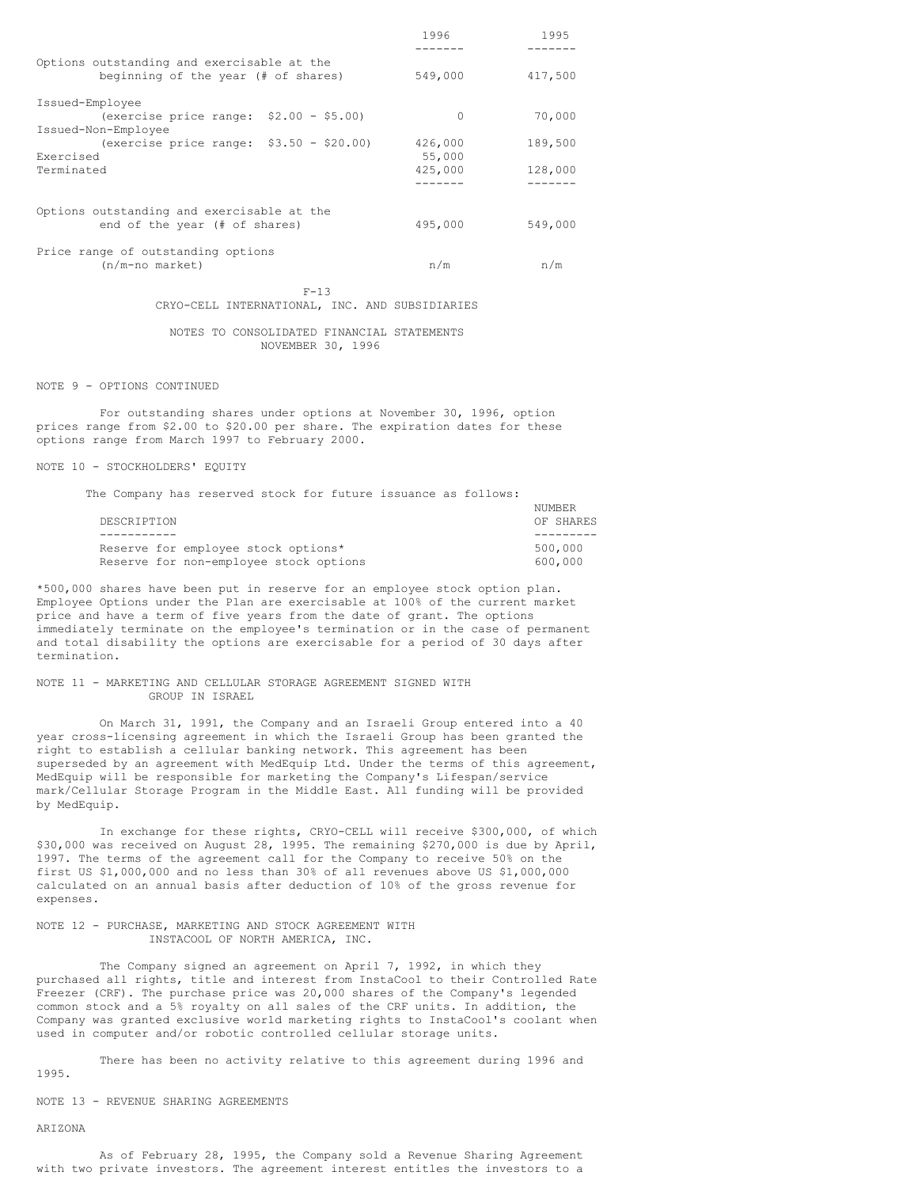|                                                                                   | 1996    | 1995    |
|-----------------------------------------------------------------------------------|---------|---------|
| Options outstanding and exercisable at the<br>beginning of the year (# of shares) | 549,000 | 417,500 |
| Issued-Employee                                                                   |         |         |
| (exercise price range: $$2.00 - $5.00$ )                                          | 0       | 70,000  |
| Issued-Non-Employee                                                               |         |         |
| (exercise price range: $$3.50 - $20.00$ )                                         | 426,000 | 189,500 |
| Exercised                                                                         | 55,000  |         |
| Terminated                                                                        | 425,000 | 128,000 |
|                                                                                   |         |         |
| Options outstanding and exercisable at the                                        |         |         |
| end of the year (# of shares)                                                     | 495,000 | 549,000 |
| Price range of outstanding options                                                |         |         |
| $(n/m$ -no market)                                                                | n/m     | n/m     |
|                                                                                   |         |         |

 $F-13$ CRYO-CELL INTERNATIONAL, INC. AND SUBSIDIARIES

#### NOTES TO CONSOLIDATED FINANCIAL STATEMENTS NOVEMBER 30, 1996

NOTE 9 - OPTIONS CONTINUED

For outstanding shares under options at November 30, 1996, option prices range from \$2.00 to \$20.00 per share. The expiration dates for these options range from March 1997 to February 2000.

NOTE 10 - STOCKHOLDERS' EQUITY

The Company has reserved stock for future issuance as follows:

| DESCRIPTION |                                        | OF SHARES |  |
|-------------|----------------------------------------|-----------|--|
|             |                                        |           |  |
|             | Reserve for employee stock options*    | 500,000   |  |
|             | Reserve for non-employee stock options | 600,000   |  |

NUMBER

\*500,000 shares have been put in reserve for an employee stock option plan. Employee Options under the Plan are exercisable at 100% of the current market price and have a term of five years from the date of grant. The options immediately terminate on the employee's termination or in the case of permanent and total disability the options are exercisable for a period of 30 days after termination.

#### NOTE 11 - MARKETING AND CELLULAR STORAGE AGREEMENT SIGNED WITH GROUP IN ISRAEL

On March 31, 1991, the Company and an Israeli Group entered into a 40 year cross-licensing agreement in which the Israeli Group has been granted the right to establish a cellular banking network. This agreement has been superseded by an agreement with MedEquip Ltd. Under the terms of this agreement, MedEquip will be responsible for marketing the Company's Lifespan/service mark/Cellular Storage Program in the Middle East. All funding will be provided by MedEquip.

In exchange for these rights, CRYO-CELL will receive \$300,000, of which \$30,000 was received on August 28, 1995. The remaining \$270,000 is due by April, 1997. The terms of the agreement call for the Company to receive 50% on the first US \$1,000,000 and no less than 30% of all revenues above US \$1,000,000 calculated on an annual basis after deduction of 10% of the gross revenue for expenses.

#### NOTE 12 - PURCHASE, MARKETING AND STOCK AGREEMENT WITH INSTACOOL OF NORTH AMERICA, INC.

The Company signed an agreement on April 7, 1992, in which they purchased all rights, title and interest from InstaCool to their Controlled Rate Freezer (CRF). The purchase price was 20,000 shares of the Company's legended common stock and a 5% royalty on all sales of the CRF units. In addition, the Company was granted exclusive world marketing rights to InstaCool's coolant when used in computer and/or robotic controlled cellular storage units.

There has been no activity relative to this agreement during 1996 and 1995.

NOTE 13 - REVENUE SHARING AGREEMENTS

# ARIZONA

As of February 28, 1995, the Company sold a Revenue Sharing Agreement with two private investors. The agreement interest entitles the investors to a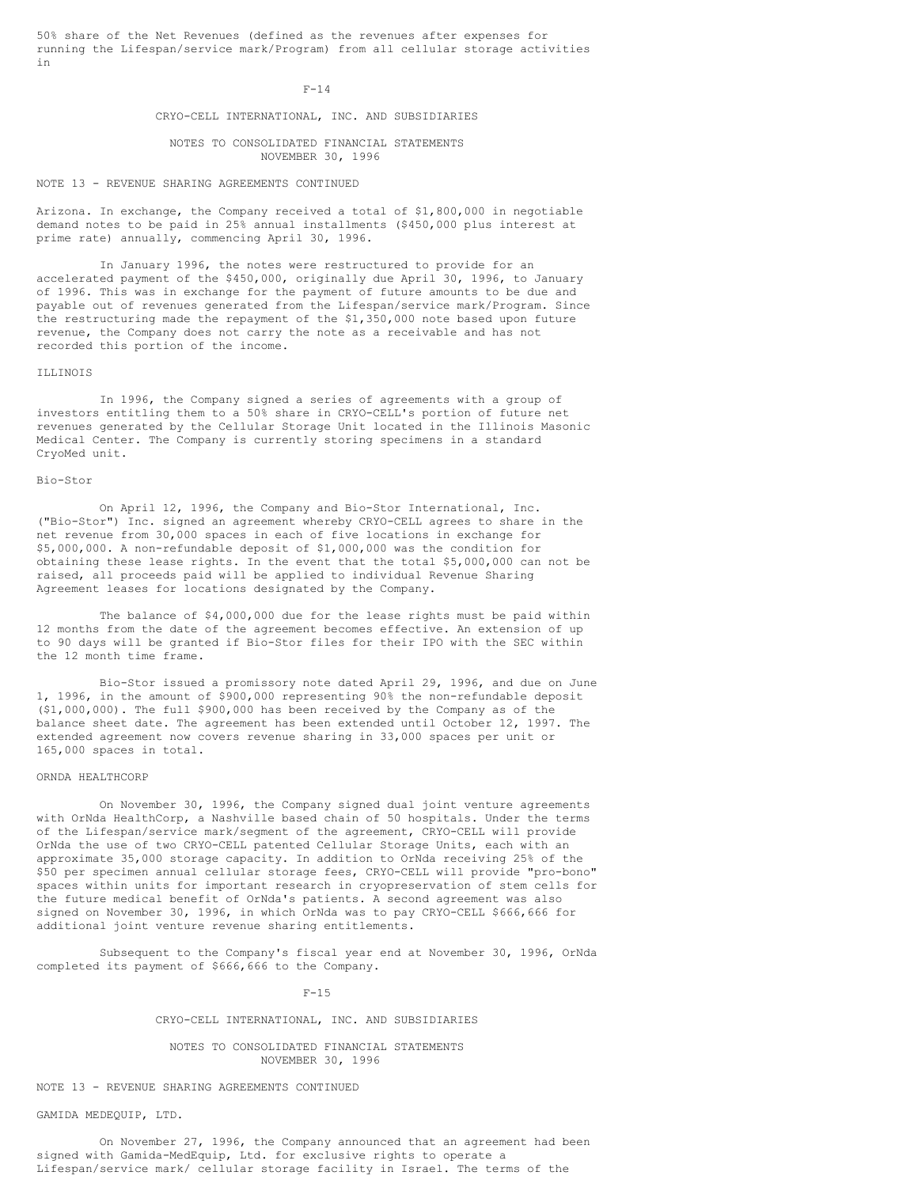50% share of the Net Revenues (defined as the revenues after expenses for running the Lifespan/service mark/Program) from all cellular storage activities in

#### $F-14$

#### CRYO-CELL INTERNATIONAL, INC. AND SUBSIDIARIES

## NOTES TO CONSOLIDATED FINANCIAL STATEMENTS NOVEMBER 30, 1996

# NOTE 13 - REVENUE SHARING AGREEMENTS CONTINUED

Arizona. In exchange, the Company received a total of \$1,800,000 in negotiable demand notes to be paid in 25% annual installments (\$450,000 plus interest at prime rate) annually, commencing April 30, 1996.

In January 1996, the notes were restructured to provide for an accelerated payment of the \$450,000, originally due April 30, 1996, to January of 1996. This was in exchange for the payment of future amounts to be due and payable out of revenues generated from the Lifespan/service mark/Program. Since the restructuring made the repayment of the \$1,350,000 note based upon future revenue, the Company does not carry the note as a receivable and has not recorded this portion of the income.

#### ILLINOIS

In 1996, the Company signed a series of agreements with a group of investors entitling them to a 50% share in CRYO-CELL's portion of future net revenues generated by the Cellular Storage Unit located in the Illinois Masonic Medical Center. The Company is currently storing specimens in a standard CryoMed unit.

#### Bio-Stor

On April 12, 1996, the Company and Bio-Stor International, Inc. ("Bio-Stor") Inc. signed an agreement whereby CRYO-CELL agrees to share in the net revenue from 30,000 spaces in each of five locations in exchange for \$5,000,000. A non-refundable deposit of \$1,000,000 was the condition for obtaining these lease rights. In the event that the total \$5,000,000 can not be raised, all proceeds paid will be applied to individual Revenue Sharing Agreement leases for locations designated by the Company.

The balance of \$4,000,000 due for the lease rights must be paid within 12 months from the date of the agreement becomes effective. An extension of up to 90 days will be granted if Bio-Stor files for their IPO with the SEC within the 12 month time frame.

Bio-Stor issued a promissory note dated April 29, 1996, and due on June 1, 1996, in the amount of \$900,000 representing 90% the non-refundable deposit (\$1,000,000). The full \$900,000 has been received by the Company as of the balance sheet date. The agreement has been extended until October 12, 1997. The extended agreement now covers revenue sharing in 33,000 spaces per unit or 165,000 spaces in total.

#### ORNDA HEALTHCORP

On November 30, 1996, the Company signed dual joint venture agreements with OrNda HealthCorp, a Nashville based chain of 50 hospitals. Under the terms of the Lifespan/service mark/segment of the agreement, CRYO-CELL will provide OrNda the use of two CRYO-CELL patented Cellular Storage Units, each with an approximate 35,000 storage capacity. In addition to OrNda receiving 25% of the \$50 per specimen annual cellular storage fees, CRYO-CELL will provide "pro-bono" spaces within units for important research in cryopreservation of stem cells for the future medical benefit of OrNda's patients. A second agreement was also signed on November 30, 1996, in which OrNda was to pay CRYO-CELL \$666,666 for additional joint venture revenue sharing entitlements.

Subsequent to the Company's fiscal year end at November 30, 1996, OrNda completed its payment of \$666,666 to the Company.

 $F-15$ 

## CRYO-CELL INTERNATIONAL, INC. AND SUBSIDIARIES

#### NOTES TO CONSOLIDATED FINANCIAL STATEMENTS NOVEMBER 30, 1996

## NOTE 13 - REVENUE SHARING AGREEMENTS CONTINUED

## GAMIDA MEDEQUIP, LTD.

On November 27, 1996, the Company announced that an agreement had been signed with Gamida-MedEquip, Ltd. for exclusive rights to operate a Lifespan/service mark/ cellular storage facility in Israel. The terms of the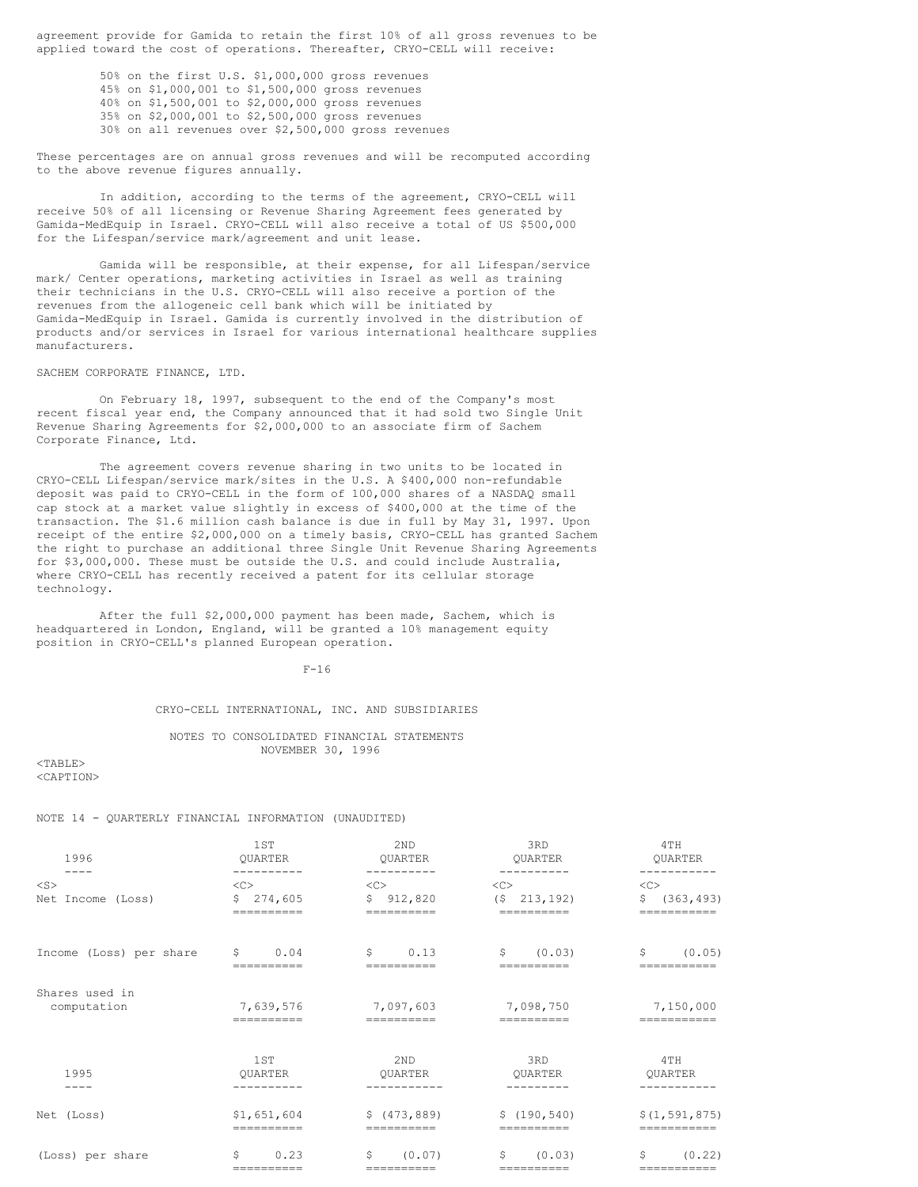agreement provide for Gamida to retain the first 10% of all gross revenues to be applied toward the cost of operations. Thereafter, CRYO-CELL will receive:

> 50% on the first U.S. \$1,000,000 gross revenues 45% on \$1,000,001 to \$1,500,000 gross revenues 40% on \$1,500,001 to \$2,000,000 gross revenues 35% on \$2,000,001 to \$2,500,000 gross revenues 30% on all revenues over \$2,500,000 gross revenues

These percentages are on annual gross revenues and will be recomputed according to the above revenue figures annually.

In addition, according to the terms of the agreement, CRYO-CELL will receive 50% of all licensing or Revenue Sharing Agreement fees generated by Gamida-MedEquip in Israel. CRYO-CELL will also receive a total of US \$500,000 for the Lifespan/service mark/agreement and unit lease.

Gamida will be responsible, at their expense, for all Lifespan/service mark/ Center operations, marketing activities in Israel as well as training their technicians in the U.S. CRYO-CELL will also receive a portion of the revenues from the allogeneic cell bank which will be initiated by Gamida-MedEquip in Israel. Gamida is currently involved in the distribution of products and/or services in Israel for various international healthcare supplies manufacturers.

#### SACHEM CORPORATE FINANCE, LTD.

On February 18, 1997, subsequent to the end of the Company's most recent fiscal year end, the Company announced that it had sold two Single Unit Revenue Sharing Agreements for \$2,000,000 to an associate firm of Sachem Corporate Finance, Ltd.

The agreement covers revenue sharing in two units to be located in CRYO-CELL Lifespan/service mark/sites in the U.S. A \$400,000 non-refundable deposit was paid to CRYO-CELL in the form of 100,000 shares of a NASDAQ small cap stock at a market value slightly in excess of \$400,000 at the time of the transaction. The \$1.6 million cash balance is due in full by May 31, 1997. Upon receipt of the entire \$2,000,000 on a timely basis, CRYO-CELL has granted Sachem the right to purchase an additional three Single Unit Revenue Sharing Agreements for \$3,000,000. These must be outside the U.S. and could include Australia, where CRYO-CELL has recently received a patent for its cellular storage technology.

After the full \$2,000,000 payment has been made, Sachem, which is headquartered in London, England, will be granted a 10% management equity position in CRYO-CELL's planned European operation.

F-16

## CRYO-CELL INTERNATIONAL, INC. AND SUBSIDIARIES

## NOTES TO CONSOLIDATED FINANCIAL STATEMENTS NOVEMBER 30, 1996

 $<$ TABLE> <CAPTION>

#### NOTE 14 - QUARTERLY FINANCIAL INFORMATION (UNAUDITED)

| 1996<br>$\frac{1}{2}$         | 1ST<br><b>OUARTER</b>         | 2ND<br>QUARTER<br>----------                   | 3RD<br>QUARTER<br>----------             | 4TH<br>QUARTER<br>--------                |
|-------------------------------|-------------------------------|------------------------------------------------|------------------------------------------|-------------------------------------------|
| $<$ S><br>Net Income (Loss)   | <<<br>\$274,605<br>========== | $\langle C \rangle$<br>\$912,820<br>========== | <<<br>$(5 \quad 213, 192)$<br>========== | $<$ C><br>\$<br>(363, 493)<br>=========== |
| Income (Loss) per share       | S.<br>0.04                    | \$<br>0.13                                     | \$<br>(0.03)                             | \$<br>(0.05)                              |
| Shares used in<br>computation | 7,639,576                     | 7,097,603                                      | 7,098,750                                | 7,150,000                                 |
| 1995<br>$- - - -$             | 1ST<br>OUARTER                | 2ND<br>OUARTER<br>-----------                  | 3RD<br>OUARTER<br>--------               | 4TH<br>OUARTER<br>----------              |
| Net (Loss)                    | \$1,651,604<br>==========     | \$ (473, 889)<br>==========                    | \$(190, 540)<br>----------               | \$(1, 591, 875)<br>===========            |
| (Loss) per share              | 0.23<br>\$<br>==========      | (0.07)<br>S.<br>===========                    | S.<br>(0.03)<br>==========               | \$<br>(0.22)<br>===========               |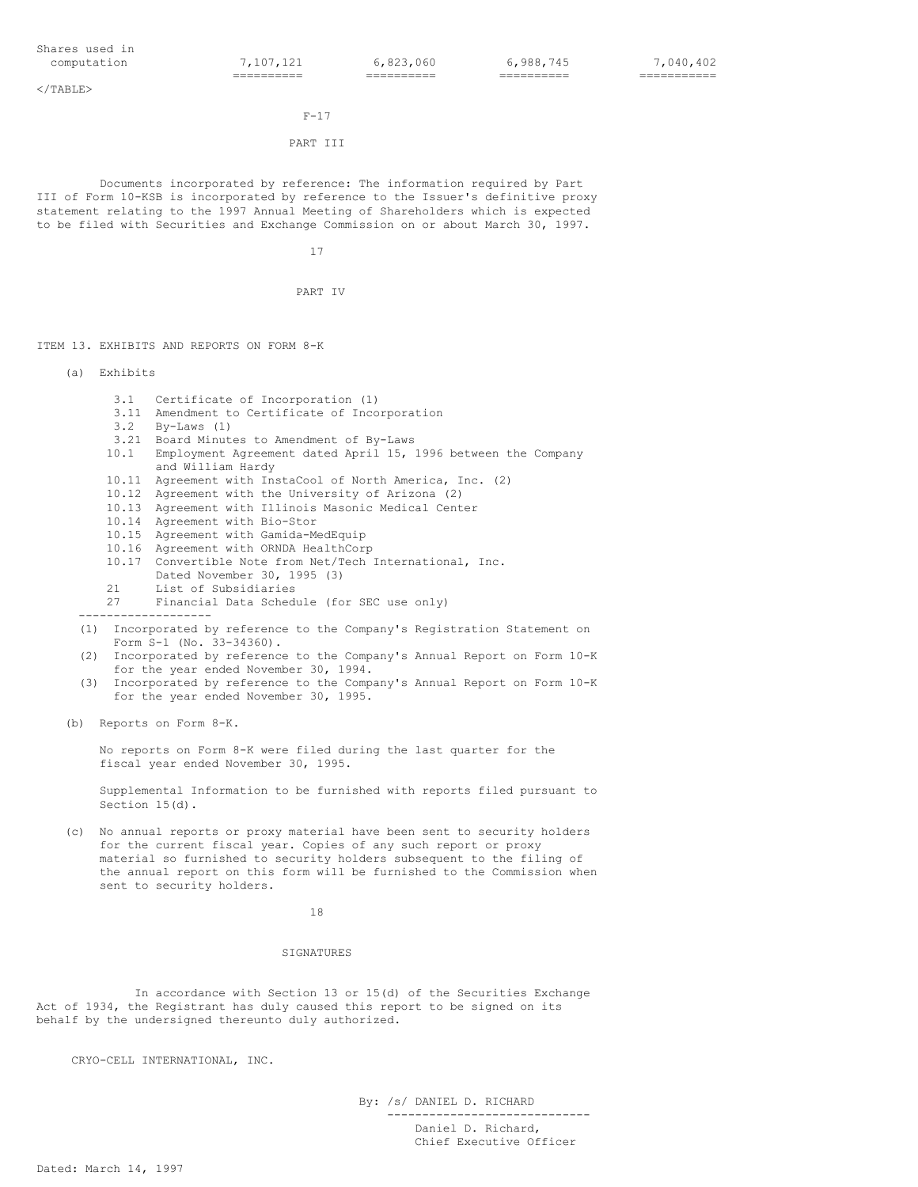$\langle$ /TABLE>

# $F-17$

# PART III

Documents incorporated by reference: The information required by Part III of Form 10-KSB is incorporated by reference to the Issuer's definitive proxy statement relating to the 1997 Annual Meeting of Shareholders which is expected to be filed with Securities and Exchange Commission on or about March 30, 1997.

17

PART IV

ITEM 13. EXHIBITS AND REPORTS ON FORM 8-K

- (a) Exhibits
	- 3.1 Certificate of Incorporation (1)
	- 3.11 Amendment to Certificate of Incorporation
	- By-Laws (1)
	- 3.21 Board Minutes to Amendment of By-Laws
	- 10.1 Employment Agreement dated April 15, 1996 between the Company and William Hardy
	- 10.11 Agreement with InstaCool of North America, Inc. (2)
	- 10.12 Agreement with the University of Arizona (2)
	- 10.13 Agreement with Illinois Masonic Medical Center
	- 10.14 Agreement with Bio-Stor
	- 10.15 Agreement with Gamida-MedEquip
	- 10.16 Agreement with ORNDA HealthCorp
	- 10.17 Convertible Note from Net/Tech International, Inc. Dated November 30, 1995 (3)
	- 21 List of Subsidiaries<br>27 Financial Data Sched Financial Data Schedule (for SEC use only)
	- -------------------
	- (1) Incorporated by reference to the Company's Registration Statement on Form S-1 (No. 33-34360).
	- (2) Incorporated by reference to the Company's Annual Report on Form 10-K for the year ended November 30, 1994.
	- (3) Incorporated by reference to the Company's Annual Report on Form 10-K for the year ended November 30, 1995.
- (b) Reports on Form 8-K.

No reports on Form 8-K were filed during the last quarter for the fiscal year ended November 30, 1995.

Supplemental Information to be furnished with reports filed pursuant to Section 15(d).

(c) No annual reports or proxy material have been sent to security holders for the current fiscal year. Copies of any such report or proxy material so furnished to security holders subsequent to the filing of the annual report on this form will be furnished to the Commission when sent to security holders.

#### SIGNATURES

In accordance with Section 13 or 15(d) of the Securities Exchange Act of 1934, the Registrant has duly caused this report to be signed on its behalf by the undersigned thereunto duly authorized.

CRYO-CELL INTERNATIONAL, INC.

By: /s/ DANIEL D. RICHARD

----------------------------- Daniel D. Richard, Chief Executive Officer

18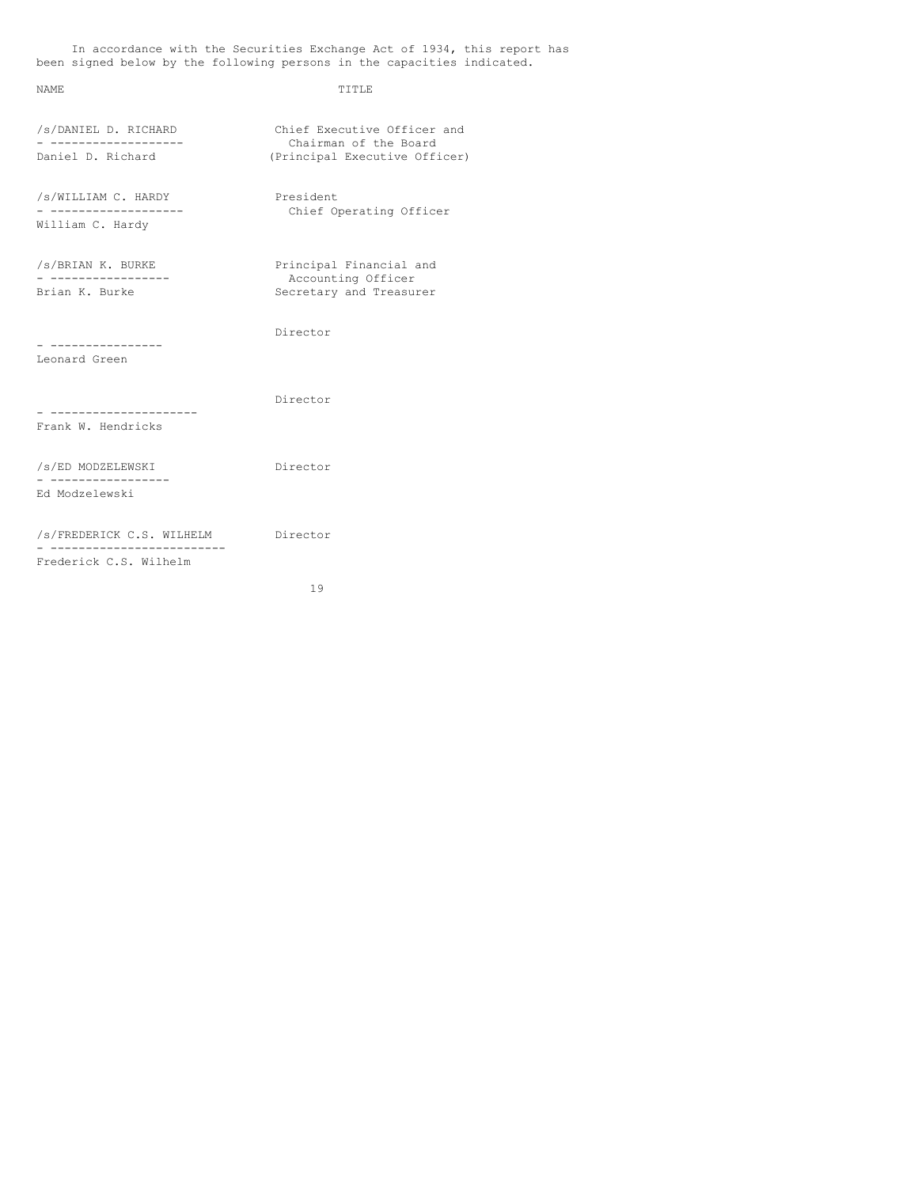In accordance with the Securities Exchange Act of 1934, this report has been signed below by the following persons in the capacities indicated.

# NAME TITLE

| /s/DANIEL D. RICHARD                                    | Chief Executive Officer and                            |  |  |
|---------------------------------------------------------|--------------------------------------------------------|--|--|
| Daniel D. Richard                                       | Chairman of the Board<br>(Principal Executive Officer) |  |  |
| /s/WILLIAM C. HARDY<br>. <u>.</u> .<br>William C. Hardy | President<br>Chief Operating Officer                   |  |  |
|                                                         |                                                        |  |  |
| /s/BRIAN K. BURKE                                       | Principal Financial and<br>Accounting Officer          |  |  |
| Brian K. Burke                                          | Secretary and Treasurer                                |  |  |
| -------------                                           | Director                                               |  |  |
| Leonard Green                                           |                                                        |  |  |
|                                                         | Director                                               |  |  |
| Frank W. Hendricks                                      |                                                        |  |  |
| /s/ED MODZELEWSKI<br>----------------                   | Director                                               |  |  |
| Ed Modzelewski                                          |                                                        |  |  |
| /s/FREDERICK C.S. WILHELM                               | Director                                               |  |  |
| Frederick C.S. Wilhelm                                  |                                                        |  |  |

19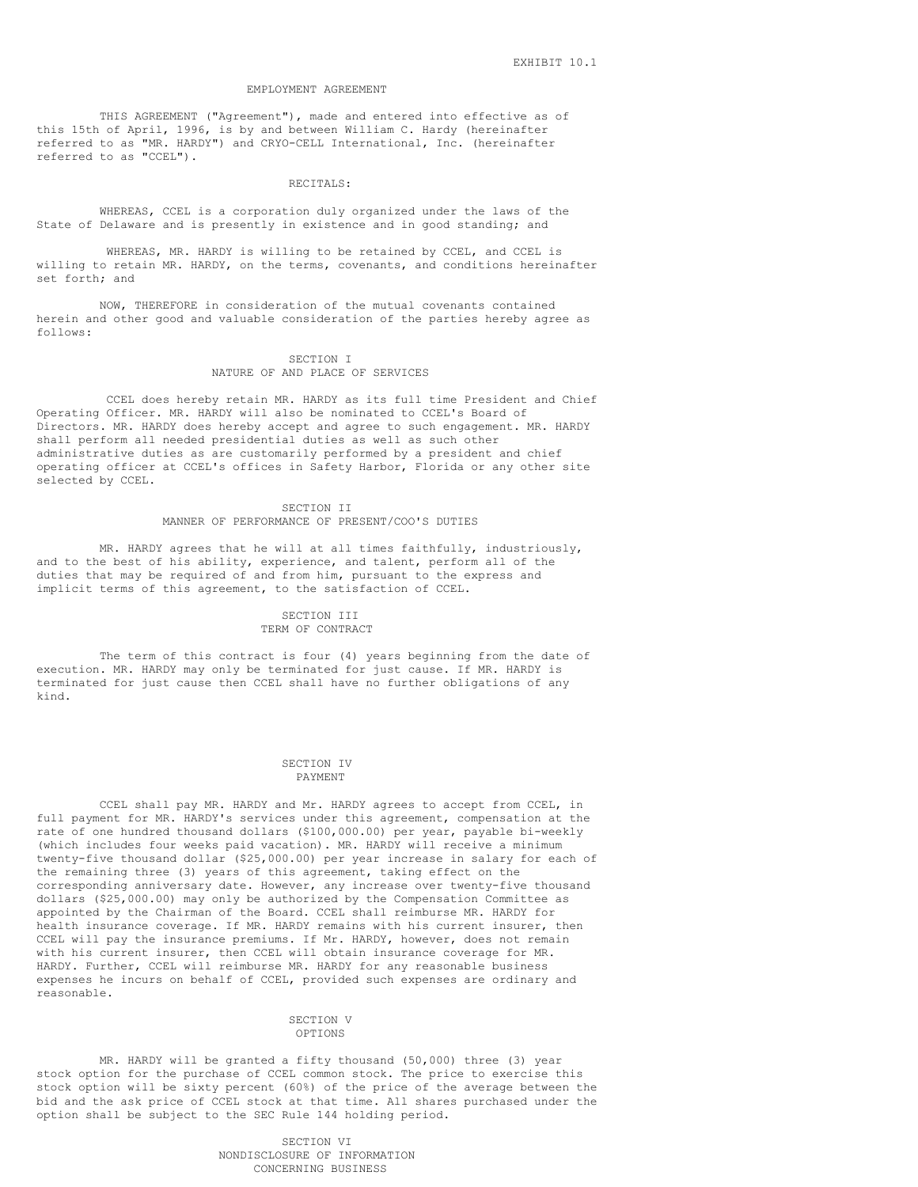#### EMPLOYMENT AGREEMENT

THIS AGREEMENT ("Agreement"), made and entered into effective as of this 15th of April, 1996, is by and between William C. Hardy (hereinafter referred to as "MR. HARDY") and CRYO-CELL International, Inc. (hereinafter referred to as "CCEL").

#### RECITALS:

WHEREAS, CCEL is a corporation duly organized under the laws of the State of Delaware and is presently in existence and in good standing; and

WHEREAS, MR. HARDY is willing to be retained by CCEL, and CCEL is willing to retain MR. HARDY, on the terms, covenants, and conditions hereinafter set forth; and

NOW, THEREFORE in consideration of the mutual covenants contained herein and other good and valuable consideration of the parties hereby agree as follows:

#### SECTION I NATURE OF AND PLACE OF SERVICES

CCEL does hereby retain MR. HARDY as its full time President and Chief Operating Officer. MR. HARDY will also be nominated to CCEL's Board of Directors. MR. HARDY does hereby accept and agree to such engagement. MR. HARDY shall perform all needed presidential duties as well as such other administrative duties as are customarily performed by a president and chief operating officer at CCEL's offices in Safety Harbor, Florida or any other site selected by CCEL.

#### SECTION II MANNER OF PERFORMANCE OF PRESENT/COO'S DUTIES

MR. HARDY agrees that he will at all times faithfully, industriously, and to the best of his ability, experience, and talent, perform all of the duties that may be required of and from him, pursuant to the express and implicit terms of this agreement, to the satisfaction of CCEL.

## SECTION III TERM OF CONTRACT

The term of this contract is four (4) years beginning from the date of execution. MR. HARDY may only be terminated for just cause. If MR. HARDY is terminated for just cause then CCEL shall have no further obligations of any kind.

#### SECTION IV PAYMENT

CCEL shall pay MR. HARDY and Mr. HARDY agrees to accept from CCEL, in full payment for MR. HARDY's services under this agreement, compensation at the rate of one hundred thousand dollars (\$100,000.00) per year, payable bi-weekly (which includes four weeks paid vacation). MR. HARDY will receive a minimum twenty-five thousand dollar (\$25,000.00) per year increase in salary for each of the remaining three (3) years of this agreement, taking effect on the corresponding anniversary date. However, any increase over twenty-five thousand dollars (\$25,000.00) may only be authorized by the Compensation Committee as appointed by the Chairman of the Board. CCEL shall reimburse MR. HARDY for health insurance coverage. If MR. HARDY remains with his current insurer, then CCEL will pay the insurance premiums. If Mr. HARDY, however, does not remain with his current insurer, then CCEL will obtain insurance coverage for MR. HARDY. Further, CCEL will reimburse MR. HARDY for any reasonable business expenses he incurs on behalf of CCEL, provided such expenses are ordinary and reasonable.

#### SECTION V OPTIONS

MR. HARDY will be granted a fifty thousand (50,000) three (3) year stock option for the purchase of CCEL common stock. The price to exercise this stock option will be sixty percent (60%) of the price of the average between the bid and the ask price of CCEL stock at that time. All shares purchased under the option shall be subject to the SEC Rule 144 holding period.

> SECTION VI NONDISCLOSURE OF INFORMATION CONCERNING BUSINESS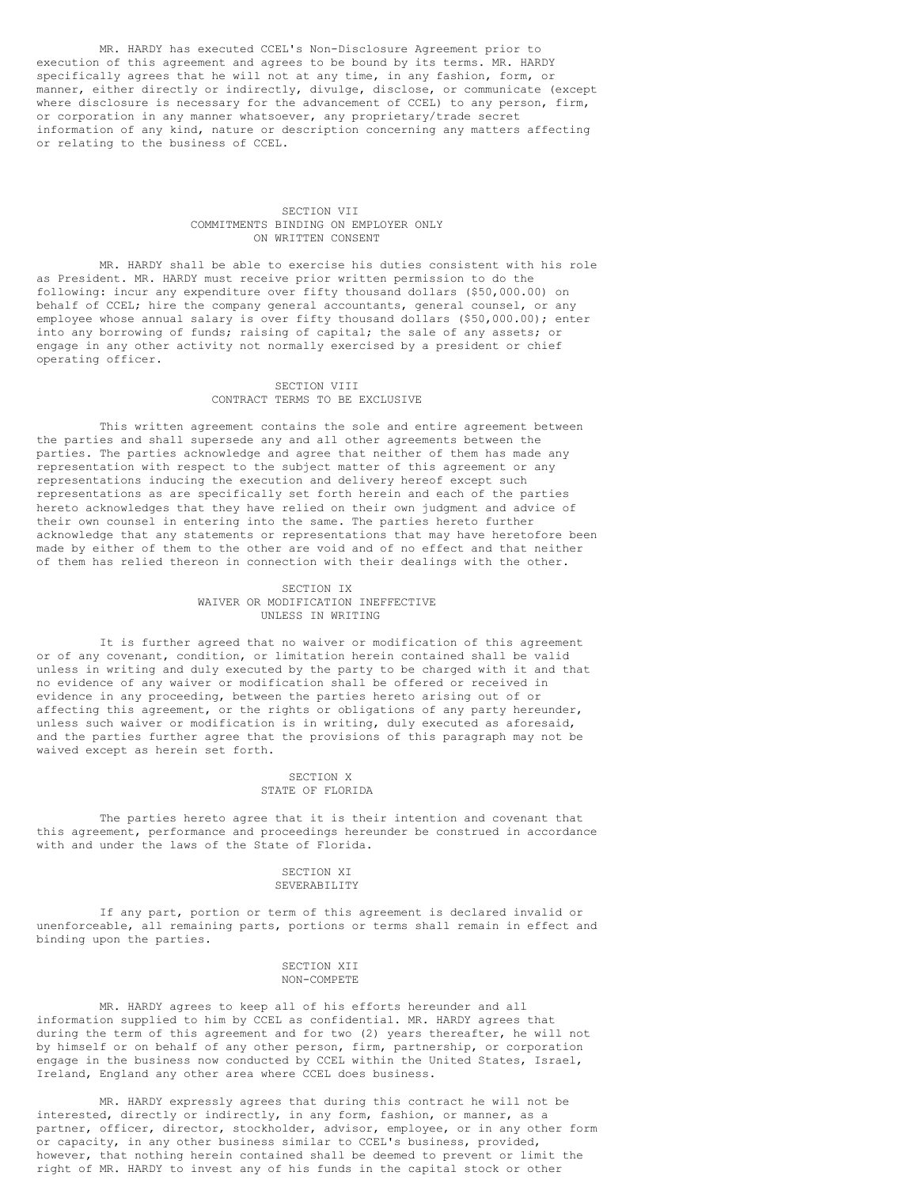MR. HARDY has executed CCEL's Non-Disclosure Agreement prior to execution of this agreement and agrees to be bound by its terms. MR. HARDY specifically agrees that he will not at any time, in any fashion, form, or manner, either directly or indirectly, divulge, disclose, or communicate (except where disclosure is necessary for the advancement of CCEL) to any person, firm, or corporation in any manner whatsoever, any proprietary/trade secret information of any kind, nature or description concerning any matters affecting or relating to the business of CCEL.

#### SECTION VII COMMITMENTS BINDING ON EMPLOYER ONLY ON WRITTEN CONSENT

MR. HARDY shall be able to exercise his duties consistent with his role as President. MR. HARDY must receive prior written permission to do the following: incur any expenditure over fifty thousand dollars (\$50,000.00) on behalf of CCEL; hire the company general accountants, general counsel, or any employee whose annual salary is over fifty thousand dollars (\$50,000.00); enter into any borrowing of funds; raising of capital; the sale of any assets; or engage in any other activity not normally exercised by a president or chief operating officer.

# SECTION VIII CONTRACT TERMS TO BE EXCLUSIVE

This written agreement contains the sole and entire agreement between the parties and shall supersede any and all other agreements between the parties. The parties acknowledge and agree that neither of them has made any representation with respect to the subject matter of this agreement or any representations inducing the execution and delivery hereof except such representations as are specifically set forth herein and each of the parties hereto acknowledges that they have relied on their own judgment and advice of their own counsel in entering into the same. The parties hereto further acknowledge that any statements or representations that may have heretofore been made by either of them to the other are void and of no effect and that neither of them has relied thereon in connection with their dealings with the other.

#### SECTION IX WAIVER OR MODIFICATION INEFFECTIVE UNLESS IN WRITING

It is further agreed that no waiver or modification of this agreement or of any covenant, condition, or limitation herein contained shall be valid unless in writing and duly executed by the party to be charged with it and that no evidence of any waiver or modification shall be offered or received in evidence in any proceeding, between the parties hereto arising out of or affecting this agreement, or the rights or obligations of any party hereunder, unless such waiver or modification is in writing, duly executed as aforesaid, and the parties further agree that the provisions of this paragraph may not be waived except as herein set forth.

#### SECTION X STATE OF FLORIDA

The parties hereto agree that it is their intention and covenant that this agreement, performance and proceedings hereunder be construed in accordance with and under the laws of the State of Florida.

# SECTION XI SEVERABILITY

If any part, portion or term of this agreement is declared invalid or unenforceable, all remaining parts, portions or terms shall remain in effect and binding upon the parties.

#### SECTION XII NON-COMPETE

MR. HARDY agrees to keep all of his efforts hereunder and all information supplied to him by CCEL as confidential. MR. HARDY agrees that during the term of this agreement and for two (2) years thereafter, he will not by himself or on behalf of any other person, firm, partnership, or corporation engage in the business now conducted by CCEL within the United States, Israel, Ireland, England any other area where CCEL does business.

MR. HARDY expressly agrees that during this contract he will not be interested, directly or indirectly, in any form, fashion, or manner, as a partner, officer, director, stockholder, advisor, employee, or in any other form or capacity, in any other business similar to CCEL's business, provided, however, that nothing herein contained shall be deemed to prevent or limit the right of MR. HARDY to invest any of his funds in the capital stock or other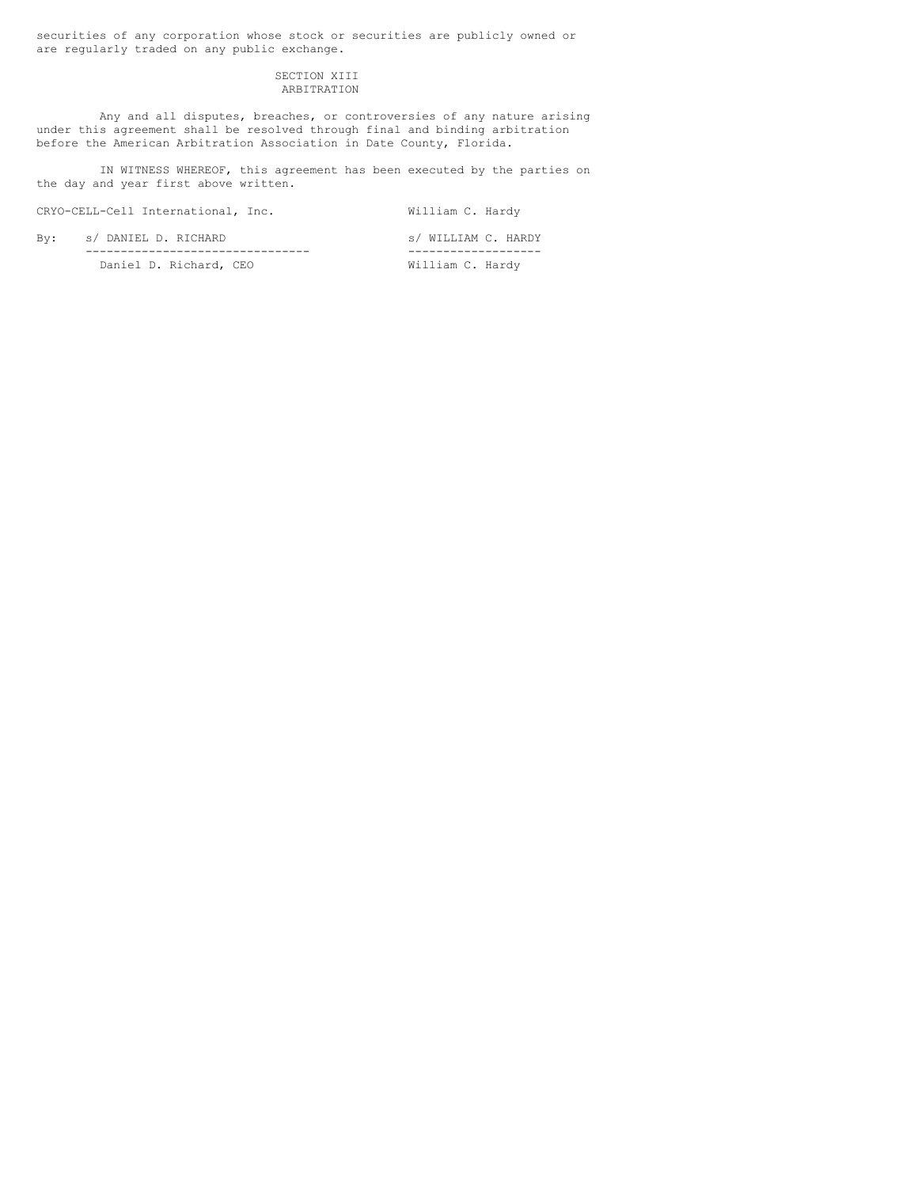securities of any corporation whose stock or securities are publicly owned or are regularly traded on any public exchange.

# SECTION XIII ARBITRATION

Any and all disputes, breaches, or controversies of any nature arising under this agreement shall be resolved through final and binding arbitration before the American Arbitration Association in Date County, Florida.

IN WITNESS WHEREOF, this agreement has been executed by the parties on the day and year first above written.

CRYO-CELL-Cell International, Inc. William C. Hardy

By: s/ DANIEL D. RICHARD s/ WILLIAM C. HARDY -------------------------------- ------------------- Daniel D. Richard, CEO William C. Hardy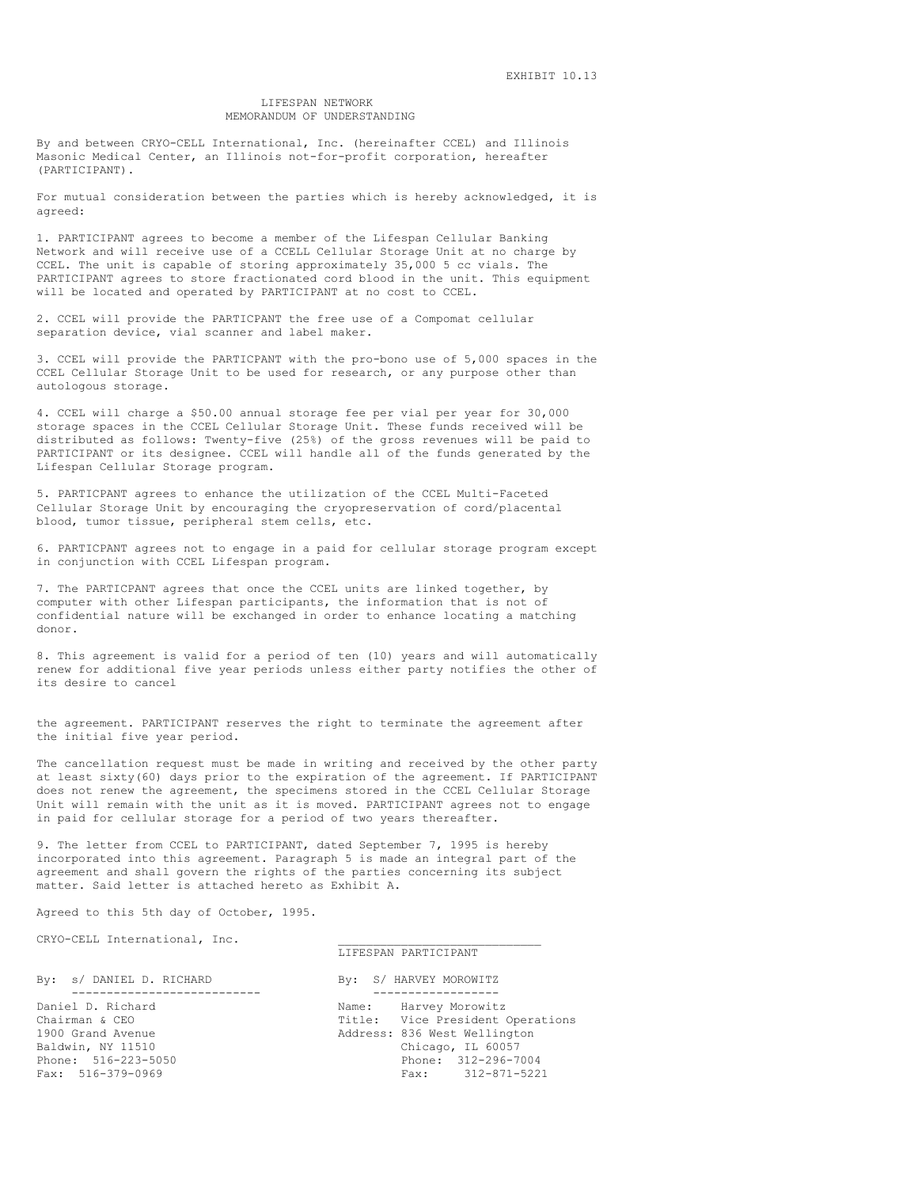#### LIFESPAN NETWORK MEMORANDUM OF UNDERSTANDING

By and between CRYO-CELL International, Inc. (hereinafter CCEL) and Illinois Masonic Medical Center, an Illinois not-for-profit corporation, hereafter (PARTICIPANT).

For mutual consideration between the parties which is hereby acknowledged, it is agreed:

1. PARTICIPANT agrees to become a member of the Lifespan Cellular Banking Network and will receive use of a CCELL Cellular Storage Unit at no charge by CCEL. The unit is capable of storing approximately 35,000 5 cc vials. The PARTICIPANT agrees to store fractionated cord blood in the unit. This equipment will be located and operated by PARTICIPANT at no cost to CCEL.

2. CCEL will provide the PARTICPANT the free use of a Compomat cellular separation device, vial scanner and label maker.

3. CCEL will provide the PARTICPANT with the pro-bono use of 5,000 spaces in the CCEL Cellular Storage Unit to be used for research, or any purpose other than autologous storage.

4. CCEL will charge a \$50.00 annual storage fee per vial per year for 30,000 storage spaces in the CCEL Cellular Storage Unit. These funds received will be distributed as follows: Twenty-five (25%) of the gross revenues will be paid to PARTICIPANT or its designee. CCEL will handle all of the funds generated by the Lifespan Cellular Storage program.

5. PARTICPANT agrees to enhance the utilization of the CCEL Multi-Faceted Cellular Storage Unit by encouraging the cryopreservation of cord/placental blood, tumor tissue, peripheral stem cells, etc.

6. PARTICPANT agrees not to engage in a paid for cellular storage program except in conjunction with CCEL Lifespan program.

7. The PARTICPANT agrees that once the CCEL units are linked together, by computer with other Lifespan participants, the information that is not of confidential nature will be exchanged in order to enhance locating a matching donor.

8. This agreement is valid for a period of ten (10) years and will automatically renew for additional five year periods unless either party notifies the other of its desire to cancel

the agreement. PARTICIPANT reserves the right to terminate the agreement after the initial five year period.

The cancellation request must be made in writing and received by the other party at least sixty(60) days prior to the expiration of the agreement. If PARTICIPANT does not renew the agreement, the specimens stored in the CCEL Cellular Storage Unit will remain with the unit as it is moved. PARTICIPANT agrees not to engage in paid for cellular storage for a period of two years thereafter.

9. The letter from CCEL to PARTICIPANT, dated September 7, 1995 is hereby incorporated into this agreement. Paragraph 5 is made an integral part of the agreement and shall govern the rights of the parties concerning its subject matter. Said letter is attached hereto as Exhibit A.

Agreed to this 5th day of October, 1995.

CRYO-CELL International, Inc.

#### LIFESPAN PARTICIPANT

| By: s/ DANIEL D. RICHARD                 | By: S/ HARVEY MOROWITZ                                                   |
|------------------------------------------|--------------------------------------------------------------------------|
| Daniel D. Richard<br>Chairman & CEO      | Name: Harvey Morowitz<br>Title: Vice President Operations                |
| 1900 Grand Avenue<br>Baldwin, NY 11510   | Address: 836 West Wellington<br>Chicago, IL 60057<br>Phone: 312-296-7004 |
| Phone: 516-223-5050<br>Fax: 516-379-0969 | Fax: 312-871-5221                                                        |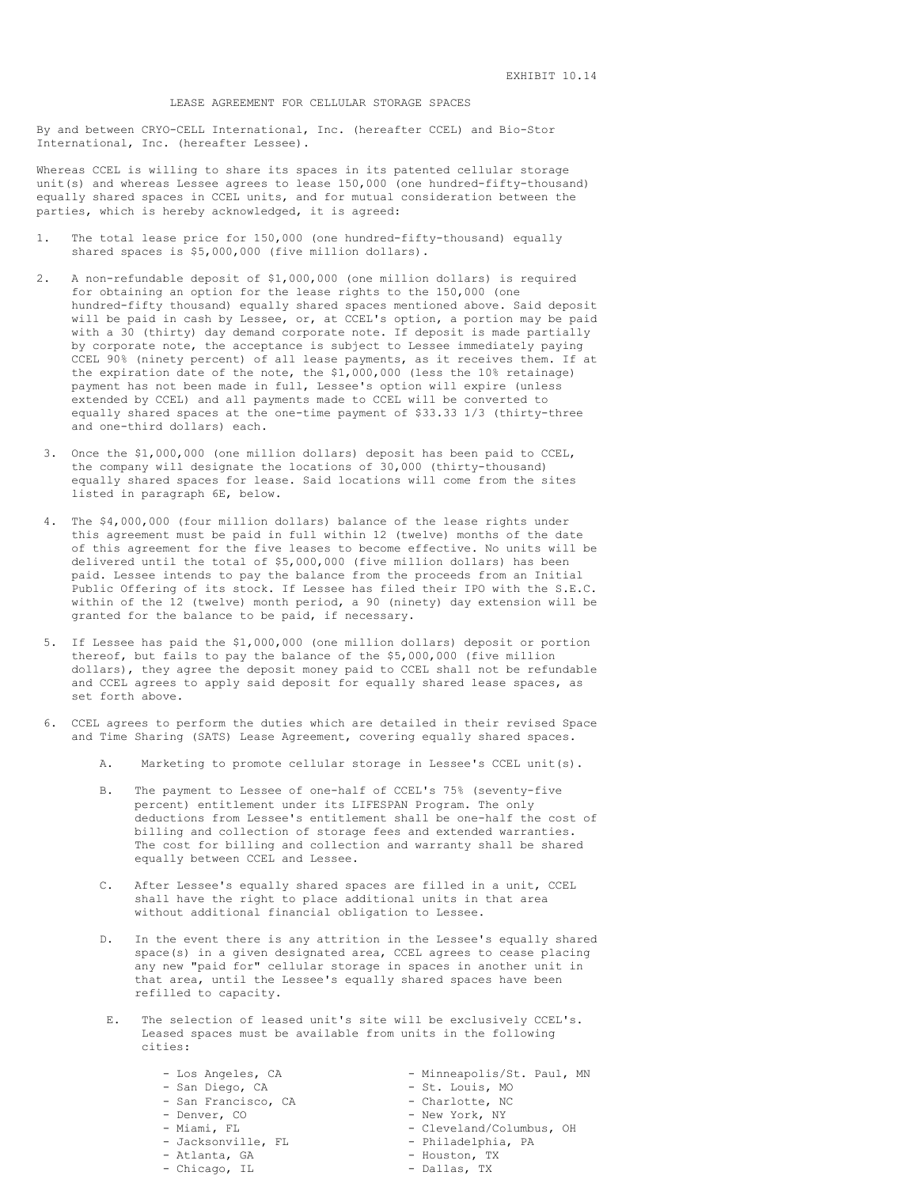## LEASE AGREEMENT FOR CELLULAR STORAGE SPACES

By and between CRYO-CELL International, Inc. (hereafter CCEL) and Bio-Stor International, Inc. (hereafter Lessee).

Whereas CCEL is willing to share its spaces in its patented cellular storage unit(s) and whereas Lessee agrees to lease 150,000 (one hundred-fifty-thousand) equally shared spaces in CCEL units, and for mutual consideration between the parties, which is hereby acknowledged, it is agreed:

- 1. The total lease price for 150,000 (one hundred-fifty-thousand) equally shared spaces is \$5,000,000 (five million dollars).
- 2. A non-refundable deposit of \$1,000,000 (one million dollars) is required for obtaining an option for the lease rights to the 150,000 (one hundred-fifty thousand) equally shared spaces mentioned above. Said deposit will be paid in cash by Lessee, or, at CCEL's option, a portion may be paid with a 30 (thirty) day demand corporate note. If deposit is made partially by corporate note, the acceptance is subject to Lessee immediately paying CCEL 90% (ninety percent) of all lease payments, as it receives them. If at the expiration date of the note, the \$1,000,000 (less the 10% retainage) payment has not been made in full, Lessee's option will expire (unless extended by CCEL) and all payments made to CCEL will be converted to equally shared spaces at the one-time payment of \$33.33 1/3 (thirty-three and one-third dollars) each.
- 3. Once the \$1,000,000 (one million dollars) deposit has been paid to CCEL, the company will designate the locations of 30,000 (thirty-thousand) equally shared spaces for lease. Said locations will come from the sites listed in paragraph 6E, below.
- 4. The \$4,000,000 (four million dollars) balance of the lease rights under this agreement must be paid in full within 12 (twelve) months of the date of this agreement for the five leases to become effective. No units will be delivered until the total of \$5,000,000 (five million dollars) has been paid. Lessee intends to pay the balance from the proceeds from an Initial Public Offering of its stock. If Lessee has filed their IPO with the S.E.C. within of the 12 (twelve) month period, a 90 (ninety) day extension will be granted for the balance to be paid, if necessary.
- 5. If Lessee has paid the \$1,000,000 (one million dollars) deposit or portion thereof, but fails to pay the balance of the \$5,000,000 (five million dollars), they agree the deposit money paid to CCEL shall not be refundable and CCEL agrees to apply said deposit for equally shared lease spaces, as set forth above.
- 6. CCEL agrees to perform the duties which are detailed in their revised Space and Time Sharing (SATS) Lease Agreement, covering equally shared spaces.
	- A. Marketing to promote cellular storage in Lessee's CCEL unit(s).
	- The payment to Lessee of one-half of CCEL's 75% (seventy-five percent) entitlement under its LIFESPAN Program. The only deductions from Lessee's entitlement shall be one-half the cost of billing and collection of storage fees and extended warranties. The cost for billing and collection and warranty shall be shared equally between CCEL and Lessee.
	- C. After Lessee's equally shared spaces are filled in a unit, CCEL shall have the right to place additional units in that area without additional financial obligation to Lessee.
	- D. In the event there is any attrition in the Lessee's equally shared space(s) in a given designated area, CCEL agrees to cease placing any new "paid for" cellular storage in spaces in another unit in that area, until the Lessee's equally shared spaces have been refilled to capacity.
	- The selection of leased unit's site will be exclusively CCEL's. Leased spaces must be available from units in the following cities:
		-
		- San Diego, CA St. Louis, MO
		- San Francisco, CA Charlotte, NC
		-
		-
		-
		-
		- Atlanta, GA Houston, TX<br>- Chicago, IL Dallas, TX - Chicago, IL
			-
		- Los Angeles, CA Minneapolis/St. Paul, MN
			-
			-
		- Denver, CO New York, NY
			- Cleveland/Columbus, OH
		- Jacksonville, FL Philadelphia, PA
			-
			-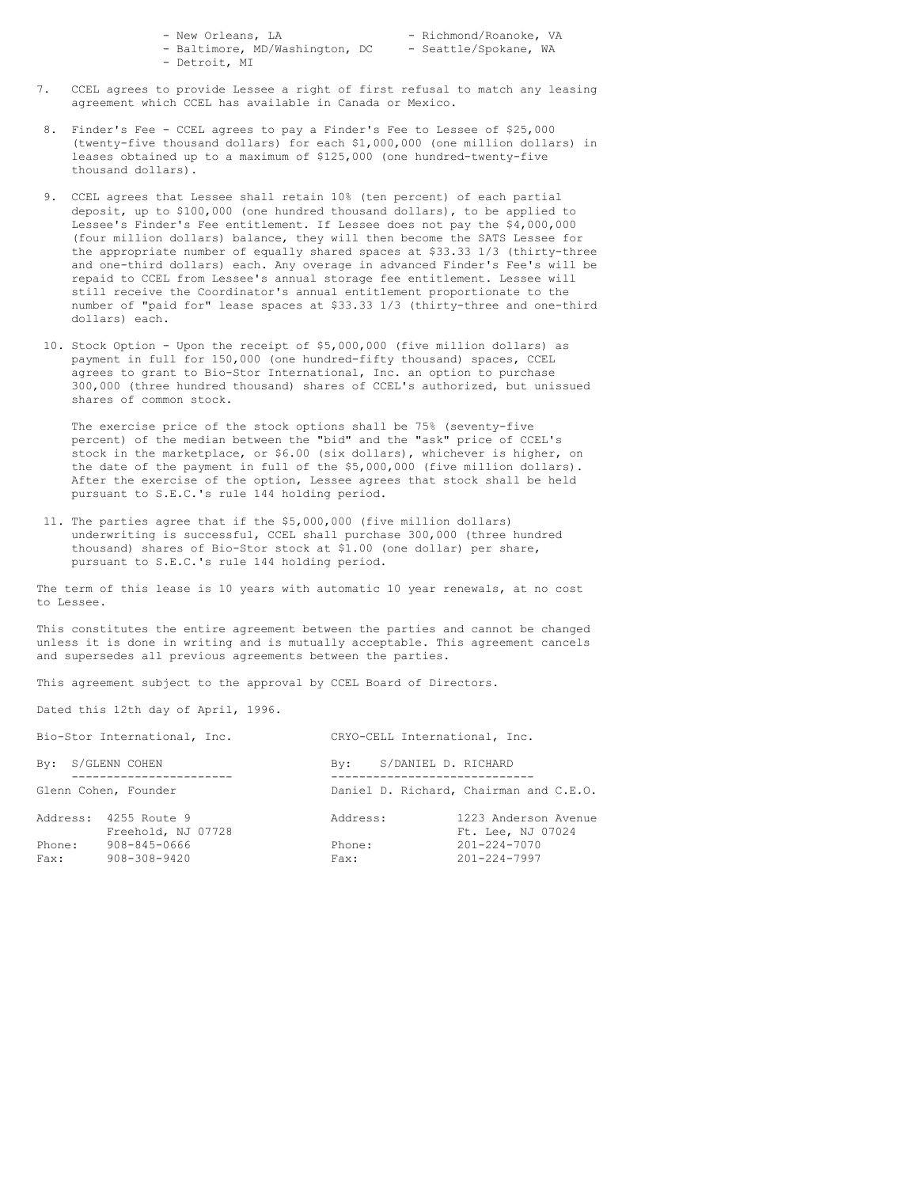| - New Orleans, LA              |  | - Richmond/Roanoke, VA |  |
|--------------------------------|--|------------------------|--|
| - Baltimore, MD/Washington, DC |  | - Seattle/Spokane, WA  |  |
| - Detroit, MT                  |  |                        |  |

- 7. CCEL agrees to provide Lessee a right of first refusal to match any leasing agreement which CCEL has available in Canada or Mexico.
- 8. Finder's Fee CCEL agrees to pay a Finder's Fee to Lessee of \$25,000 (twenty-five thousand dollars) for each \$1,000,000 (one million dollars) in leases obtained up to a maximum of \$125,000 (one hundred-twenty-five thousand dollars).
- 9. CCEL agrees that Lessee shall retain 10% (ten percent) of each partial deposit, up to \$100,000 (one hundred thousand dollars), to be applied to Lessee's Finder's Fee entitlement. If Lessee does not pay the \$4,000,000 (four million dollars) balance, they will then become the SATS Lessee for the appropriate number of equally shared spaces at \$33.33 1/3 (thirty-three and one-third dollars) each. Any overage in advanced Finder's Fee's will be repaid to CCEL from Lessee's annual storage fee entitlement. Lessee will still receive the Coordinator's annual entitlement proportionate to the number of "paid for" lease spaces at \$33.33 1/3 (thirty-three and one-third dollars) each.
- 10. Stock Option Upon the receipt of \$5,000,000 (five million dollars) as payment in full for 150,000 (one hundred-fifty thousand) spaces, CCEL agrees to grant to Bio-Stor International, Inc. an option to purchase 300,000 (three hundred thousand) shares of CCEL's authorized, but unissued shares of common stock.

The exercise price of the stock options shall be 75% (seventy-five percent) of the median between the "bid" and the "ask" price of CCEL's stock in the marketplace, or \$6.00 (six dollars), whichever is higher, on the date of the payment in full of the \$5,000,000 (five million dollars). After the exercise of the option, Lessee agrees that stock shall be held pursuant to S.E.C.'s rule 144 holding period.

11. The parties agree that if the \$5,000,000 (five million dollars) underwriting is successful, CCEL shall purchase 300,000 (three hundred thousand) shares of Bio-Stor stock at \$1.00 (one dollar) per share, pursuant to S.E.C.'s rule 144 holding period.

The term of this lease is 10 years with automatic 10 year renewals, at no cost to Lessee.

This constitutes the entire agreement between the parties and cannot be changed unless it is done in writing and is mutually acceptable. This agreement cancels and supersedes all previous agreements between the parties.

This agreement subject to the approval by CCEL Board of Directors.

Dated this 12th day of April, 1996.

| Bio-Stor International, Inc. |                                    | CRYO-CELL International, Inc. |                     |                                           |
|------------------------------|------------------------------------|-------------------------------|---------------------|-------------------------------------------|
| By: S/GLENN COHEN            |                                    | Bv:                           | S/DANIEL D. RICHARD |                                           |
| Glenn Cohen, Founder         |                                    |                               |                     | Daniel D. Richard, Chairman and C.E.O.    |
| Address:                     | 4255 Route 9<br>Freehold, NJ 07728 | Address:                      |                     | 1223 Anderson Avenue<br>Ft. Lee, NJ 07024 |
| Phone:<br>Fax:               | 908-845-0666<br>908-308-9420       | Phone:<br>Fax:                |                     | $201 - 224 - 7070$<br>$201 - 224 - 7997$  |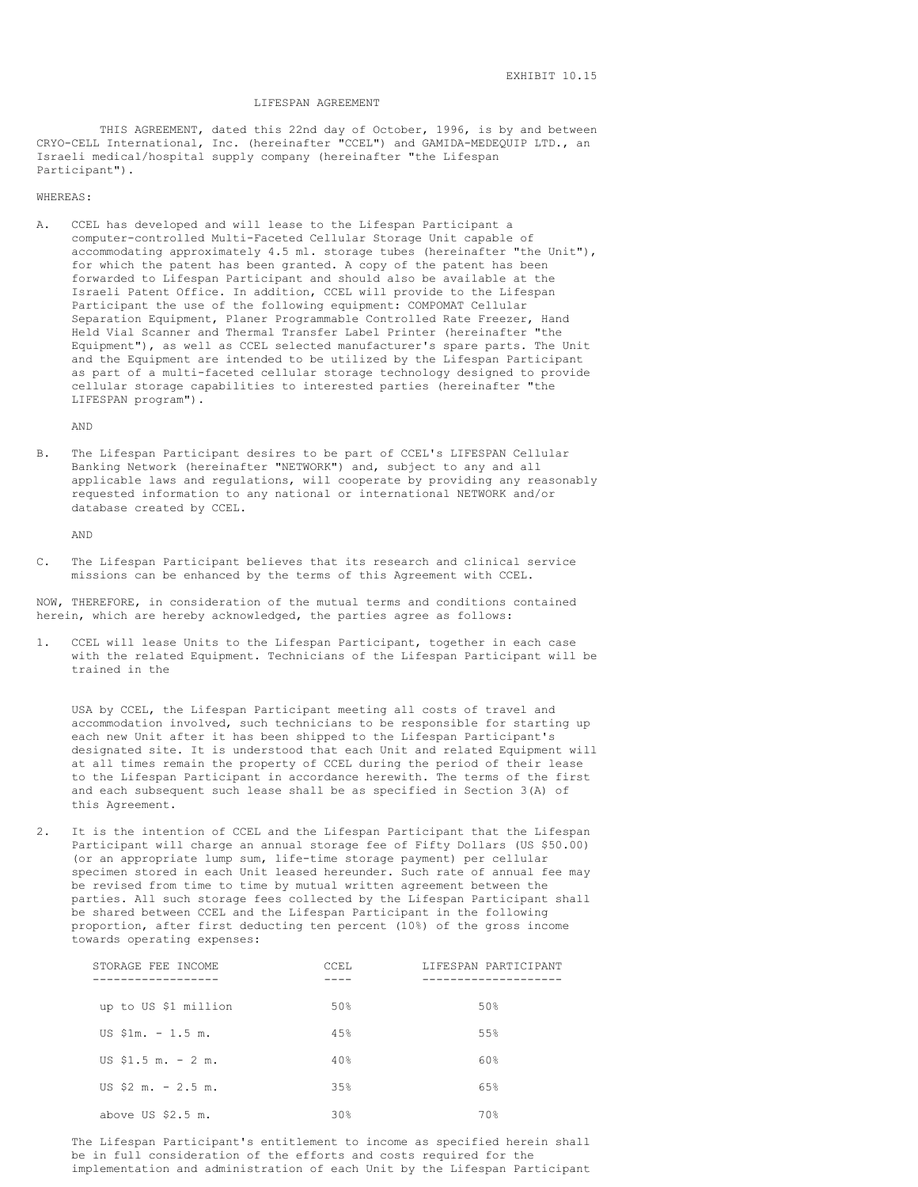#### LIFESPAN AGREEMENT

THIS AGREEMENT, dated this 22nd day of October, 1996, is by and between CRYO-CELL International, Inc. (hereinafter "CCEL") and GAMIDA-MEDEQUIP LTD., an Israeli medical/hospital supply company (hereinafter "the Lifespan Participant").

#### WHEREAS:

A. CCEL has developed and will lease to the Lifespan Participant a computer-controlled Multi-Faceted Cellular Storage Unit capable of accommodating approximately 4.5 ml. storage tubes (hereinafter "the Unit"), for which the patent has been granted. A copy of the patent has been forwarded to Lifespan Participant and should also be available at the Israeli Patent Office. In addition, CCEL will provide to the Lifespan Participant the use of the following equipment: COMPOMAT Cellular Separation Equipment, Planer Programmable Controlled Rate Freezer, Hand Held Vial Scanner and Thermal Transfer Label Printer (hereinafter "the Equipment"), as well as CCEL selected manufacturer's spare parts. The Unit and the Equipment are intended to be utilized by the Lifespan Participant as part of a multi-faceted cellular storage technology designed to provide cellular storage capabilities to interested parties (hereinafter "the LIFESPAN program").

AND

B. The Lifespan Participant desires to be part of CCEL's LIFESPAN Cellular Banking Network (hereinafter "NETWORK") and, subject to any and all applicable laws and regulations, will cooperate by providing any reasonably requested information to any national or international NETWORK and/or database created by CCEL.

AND

C. The Lifespan Participant believes that its research and clinical service missions can be enhanced by the terms of this Agreement with CCEL.

NOW, THEREFORE, in consideration of the mutual terms and conditions contained herein, which are hereby acknowledged, the parties agree as follows:

1. CCEL will lease Units to the Lifespan Participant, together in each case with the related Equipment. Technicians of the Lifespan Participant will be trained in the

USA by CCEL, the Lifespan Participant meeting all costs of travel and accommodation involved, such technicians to be responsible for starting up each new Unit after it has been shipped to the Lifespan Participant's designated site. It is understood that each Unit and related Equipment will at all times remain the property of CCEL during the period of their lease to the Lifespan Participant in accordance herewith. The terms of the first and each subsequent such lease shall be as specified in Section 3(A) of this Agreement.

2. It is the intention of CCEL and the Lifespan Participant that the Lifespan Participant will charge an annual storage fee of Fifty Dollars (US \$50.00) (or an appropriate lump sum, life-time storage payment) per cellular specimen stored in each Unit leased hereunder. Such rate of annual fee may be revised from time to time by mutual written agreement between the parties. All such storage fees collected by the Lifespan Participant shall be shared between CCEL and the Lifespan Participant in the following proportion, after first deducting ten percent (10%) of the gross income towards operating expenses:

| STORAGE FEE INCOME                  | CCEL | LIFESPAN PARTICIPANT |
|-------------------------------------|------|----------------------|
| up to US \$1 million                | 50%  | 50%                  |
| US $$1m. - 1.5 m.$                  | 45%  | 55%                  |
| US $$1.5 \text{ m.} - 2 \text{ m.}$ | 40%  | 60%                  |
| US \$2 m. $-2.5$ m.                 | 35%  | 65%                  |
| above US $$2.5$ m.                  | 30%  | 70%                  |

The Lifespan Participant's entitlement to income as specified herein shall be in full consideration of the efforts and costs required for the implementation and administration of each Unit by the Lifespan Participant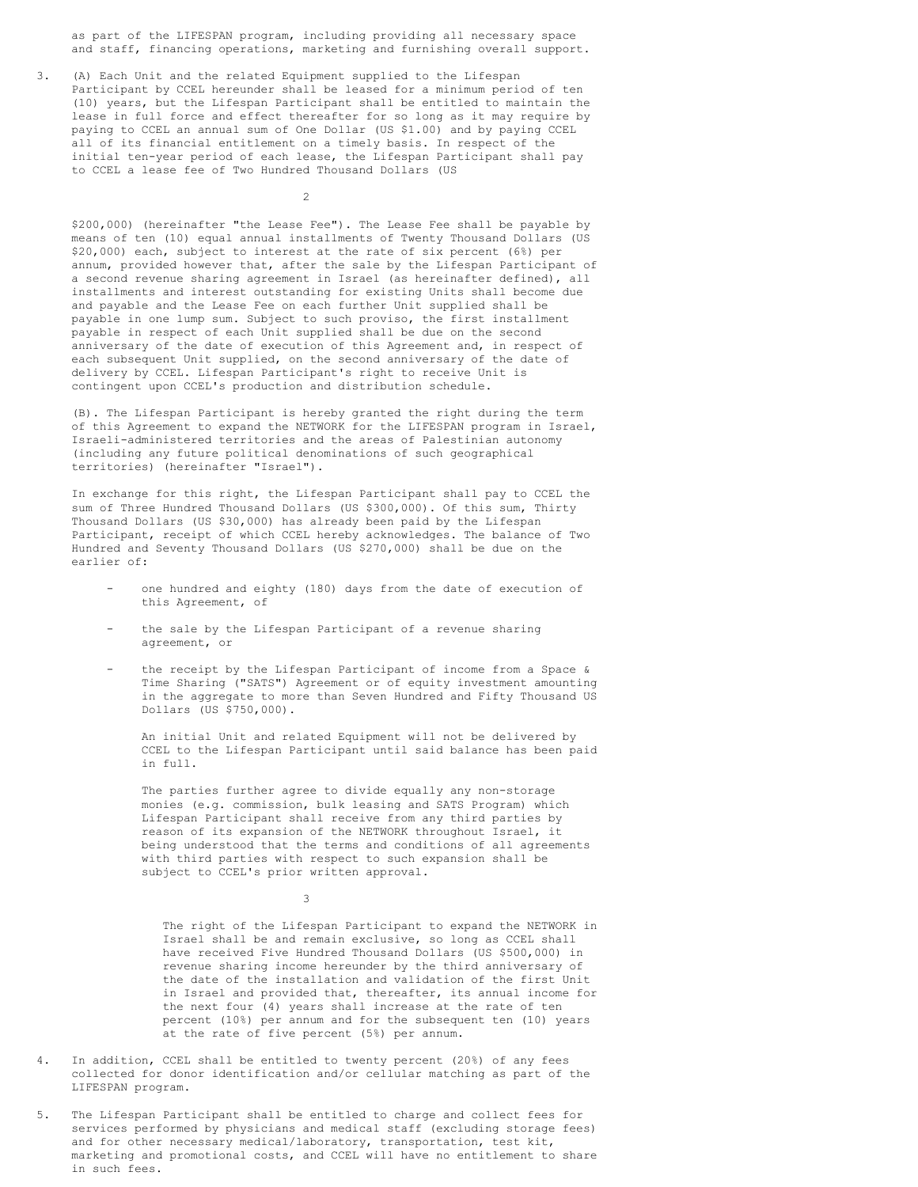as part of the LIFESPAN program, including providing all necessary space and staff, financing operations, marketing and furnishing overall support.

3. (A) Each Unit and the related Equipment supplied to the Lifespan Participant by CCEL hereunder shall be leased for a minimum period of ten (10) years, but the Lifespan Participant shall be entitled to maintain the lease in full force and effect thereafter for so long as it may require by paying to CCEL an annual sum of One Dollar (US \$1.00) and by paying CCEL all of its financial entitlement on a timely basis. In respect of the initial ten-year period of each lease, the Lifespan Participant shall pay to CCEL a lease fee of Two Hundred Thousand Dollars (US

 $\overline{2}$ 

\$200,000) (hereinafter "the Lease Fee"). The Lease Fee shall be payable by means of ten (10) equal annual installments of Twenty Thousand Dollars (US \$20,000) each, subject to interest at the rate of six percent (6%) per annum, provided however that, after the sale by the Lifespan Participant of a second revenue sharing agreement in Israel (as hereinafter defined), all installments and interest outstanding for existing Units shall become due and payable and the Lease Fee on each further Unit supplied shall be payable in one lump sum. Subject to such proviso, the first installment payable in respect of each Unit supplied shall be due on the second anniversary of the date of execution of this Agreement and, in respect of each subsequent Unit supplied, on the second anniversary of the date of delivery by CCEL. Lifespan Participant's right to receive Unit is contingent upon CCEL's production and distribution schedule.

(B). The Lifespan Participant is hereby granted the right during the term of this Agreement to expand the NETWORK for the LIFESPAN program in Israel, Israeli-administered territories and the areas of Palestinian autonomy (including any future political denominations of such geographical territories) (hereinafter "Israel").

In exchange for this right, the Lifespan Participant shall pay to CCEL the sum of Three Hundred Thousand Dollars (US \$300,000). Of this sum, Thirty Thousand Dollars (US \$30,000) has already been paid by the Lifespan Participant, receipt of which CCEL hereby acknowledges. The balance of Two Hundred and Seventy Thousand Dollars (US \$270,000) shall be due on the earlier of:

- one hundred and eighty (180) days from the date of execution of this Agreement, of
- the sale by the Lifespan Participant of a revenue sharing agreement, or
- the receipt by the Lifespan Participant of income from a Space  $\&$ Time Sharing ("SATS") Agreement or of equity investment amounting in the aggregate to more than Seven Hundred and Fifty Thousand US Dollars (US \$750,000).

An initial Unit and related Equipment will not be delivered by CCEL to the Lifespan Participant until said balance has been paid in full.

The parties further agree to divide equally any non-storage monies (e.g. commission, bulk leasing and SATS Program) which Lifespan Participant shall receive from any third parties by reason of its expansion of the NETWORK throughout Israel, it being understood that the terms and conditions of all agreements with third parties with respect to such expansion shall be subject to CCEL's prior written approval.

The right of the Lifespan Participant to expand the NETWORK in Israel shall be and remain exclusive, so long as CCEL shall have received Five Hundred Thousand Dollars (US \$500,000) in revenue sharing income hereunder by the third anniversary of the date of the installation and validation of the first Unit in Israel and provided that, thereafter, its annual income for the next four (4) years shall increase at the rate of ten percent (10%) per annum and for the subsequent ten (10) years at the rate of five percent (5%) per annum.

4. In addition, CCEL shall be entitled to twenty percent (20%) of any fees collected for donor identification and/or cellular matching as part of the LIFESPAN program.

3

5. The Lifespan Participant shall be entitled to charge and collect fees for services performed by physicians and medical staff (excluding storage fees) and for other necessary medical/laboratory, transportation, test kit, marketing and promotional costs, and CCEL will have no entitlement to share in such fees.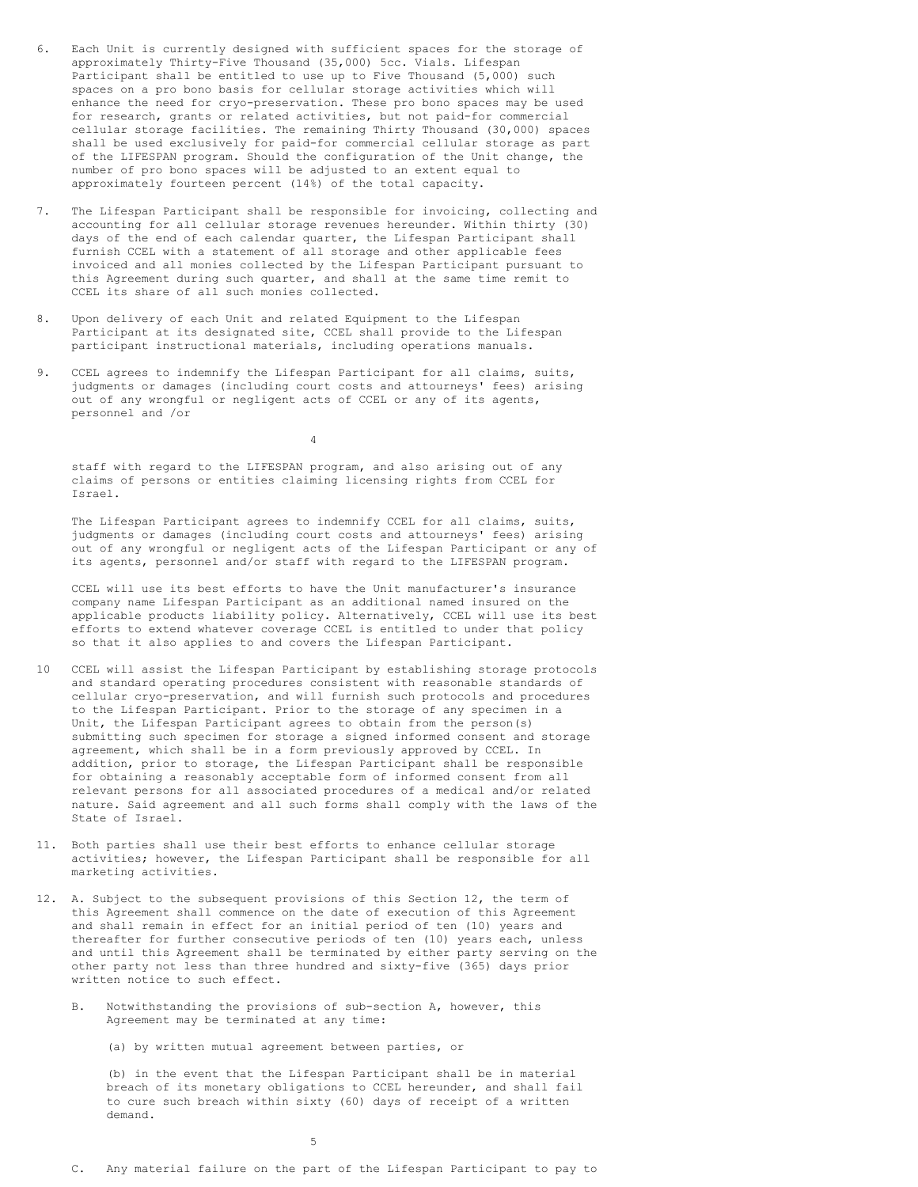- 6. Each Unit is currently designed with sufficient spaces for the storage of approximately Thirty-Five Thousand (35,000) 5cc. Vials. Lifespan Participant shall be entitled to use up to Five Thousand (5,000) such spaces on a pro bono basis for cellular storage activities which will enhance the need for cryo-preservation. These pro bono spaces may be used for research, grants or related activities, but not paid-for commercial cellular storage facilities. The remaining Thirty Thousand (30,000) spaces shall be used exclusively for paid-for commercial cellular storage as part of the LIFESPAN program. Should the configuration of the Unit change, the number of pro bono spaces will be adjusted to an extent equal to approximately fourteen percent (14%) of the total capacity.
- 7. The Lifespan Participant shall be responsible for invoicing, collecting and accounting for all cellular storage revenues hereunder. Within thirty (30) days of the end of each calendar quarter, the Lifespan Participant shall furnish CCEL with a statement of all storage and other applicable fees invoiced and all monies collected by the Lifespan Participant pursuant to this Agreement during such quarter, and shall at the same time remit to CCEL its share of all such monies collected.
- 8. Upon delivery of each Unit and related Equipment to the Lifespan Participant at its designated site, CCEL shall provide to the Lifespan participant instructional materials, including operations manuals.
- 9. CCEL agrees to indemnify the Lifespan Participant for all claims, suits, judgments or damages (including court costs and attourneys' fees) arising out of any wrongful or negligent acts of CCEL or any of its agents, personnel and /or

4

staff with regard to the LIFESPAN program, and also arising out of any claims of persons or entities claiming licensing rights from CCEL for Israel.

The Lifespan Participant agrees to indemnify CCEL for all claims, suits, judgments or damages (including court costs and attourneys' fees) arising out of any wrongful or negligent acts of the Lifespan Participant or any of its agents, personnel and/or staff with regard to the LIFESPAN program.

CCEL will use its best efforts to have the Unit manufacturer's insurance company name Lifespan Participant as an additional named insured on the applicable products liability policy. Alternatively, CCEL will use its best efforts to extend whatever coverage CCEL is entitled to under that policy so that it also applies to and covers the Lifespan Participant.

- 10 CCEL will assist the Lifespan Participant by establishing storage protocols and standard operating procedures consistent with reasonable standards of cellular cryo-preservation, and will furnish such protocols and procedures to the Lifespan Participant. Prior to the storage of any specimen in a Unit, the Lifespan Participant agrees to obtain from the person(s) submitting such specimen for storage a signed informed consent and storage agreement, which shall be in a form previously approved by CCEL. In addition, prior to storage, the Lifespan Participant shall be responsible for obtaining a reasonably acceptable form of informed consent from all relevant persons for all associated procedures of a medical and/or related nature. Said agreement and all such forms shall comply with the laws of the State of Israel.
- 11. Both parties shall use their best efforts to enhance cellular storage activities; however, the Lifespan Participant shall be responsible for all marketing activities.
- 12. A. Subject to the subsequent provisions of this Section 12, the term of this Agreement shall commence on the date of execution of this Agreement and shall remain in effect for an initial period of ten (10) years and thereafter for further consecutive periods of ten (10) years each, unless and until this Agreement shall be terminated by either party serving on the other party not less than three hundred and sixty-five (365) days prior written notice to such effect.
	- B. Notwithstanding the provisions of sub-section A, however, this Agreement may be terminated at any time:

(a) by written mutual agreement between parties, or

(b) in the event that the Lifespan Participant shall be in material breach of its monetary obligations to CCEL hereunder, and shall fail to cure such breach within sixty (60) days of receipt of a written demand.

5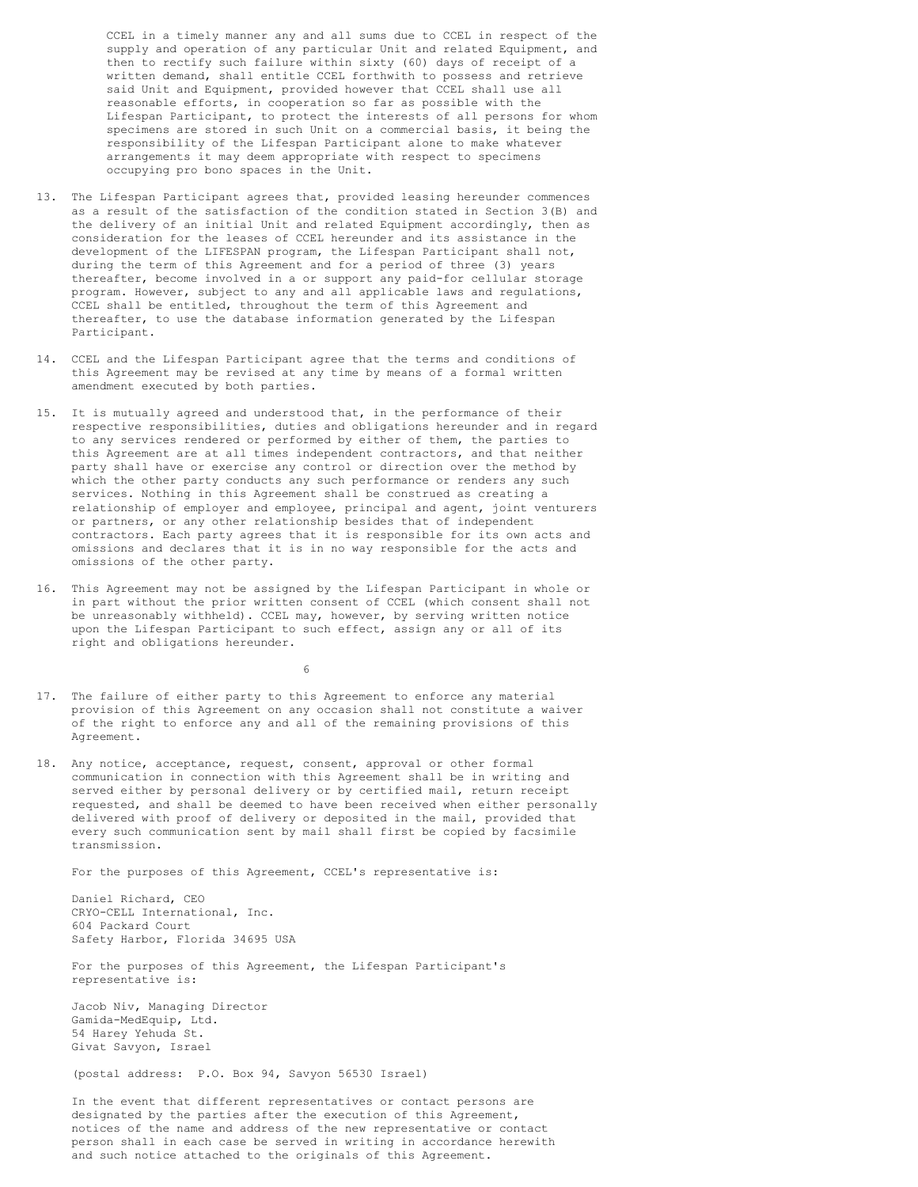CCEL in a timely manner any and all sums due to CCEL in respect of the supply and operation of any particular Unit and related Equipment, and then to rectify such failure within sixty (60) days of receipt of a written demand, shall entitle CCEL forthwith to possess and retrieve said Unit and Equipment, provided however that CCEL shall use all reasonable efforts, in cooperation so far as possible with the Lifespan Participant, to protect the interests of all persons for whom specimens are stored in such Unit on a commercial basis, it being the responsibility of the Lifespan Participant alone to make whatever arrangements it may deem appropriate with respect to specimens occupying pro bono spaces in the Unit.

- 13. The Lifespan Participant agrees that, provided leasing hereunder commences as a result of the satisfaction of the condition stated in Section 3(B) and the delivery of an initial Unit and related Equipment accordingly, then as consideration for the leases of CCEL hereunder and its assistance in the development of the LIFESPAN program, the Lifespan Participant shall not, during the term of this Agreement and for a period of three (3) years thereafter, become involved in a or support any paid-for cellular storage program. However, subject to any and all applicable laws and regulations, CCEL shall be entitled, throughout the term of this Agreement and thereafter, to use the database information generated by the Lifespan Participant.
- 14. CCEL and the Lifespan Participant agree that the terms and conditions of this Agreement may be revised at any time by means of a formal written amendment executed by both parties.
- 15. It is mutually agreed and understood that, in the performance of their respective responsibilities, duties and obligations hereunder and in regard to any services rendered or performed by either of them, the parties to this Agreement are at all times independent contractors, and that neither party shall have or exercise any control or direction over the method by which the other party conducts any such performance or renders any such services. Nothing in this Agreement shall be construed as creating a relationship of employer and employee, principal and agent, joint venturers or partners, or any other relationship besides that of independent contractors. Each party agrees that it is responsible for its own acts and omissions and declares that it is in no way responsible for the acts and omissions of the other party.
- 16. This Agreement may not be assigned by the Lifespan Participant in whole or in part without the prior written consent of CCEL (which consent shall not be unreasonably withheld). CCEL may, however, by serving written notice upon the Lifespan Participant to such effect, assign any or all of its right and obligations hereunder.

6

- 17. The failure of either party to this Agreement to enforce any material provision of this Agreement on any occasion shall not constitute a waiver of the right to enforce any and all of the remaining provisions of this Agreement.
- 18. Any notice, acceptance, request, consent, approval or other formal communication in connection with this Agreement shall be in writing and served either by personal delivery or by certified mail, return receipt requested, and shall be deemed to have been received when either personally delivered with proof of delivery or deposited in the mail, provided that every such communication sent by mail shall first be copied by facsimile transmission.

For the purposes of this Agreement, CCEL's representative is:

Daniel Richard, CEO CRYO-CELL International, Inc. 604 Packard Court Safety Harbor, Florida 34695 USA

For the purposes of this Agreement, the Lifespan Participant's representative is:

Jacob Niv, Managing Director Gamida-MedEquip, Ltd. 54 Harey Yehuda St. Givat Savyon, Israel

(postal address: P.O. Box 94, Savyon 56530 Israel)

In the event that different representatives or contact persons are designated by the parties after the execution of this Agreement, notices of the name and address of the new representative or contact person shall in each case be served in writing in accordance herewith and such notice attached to the originals of this Agreement.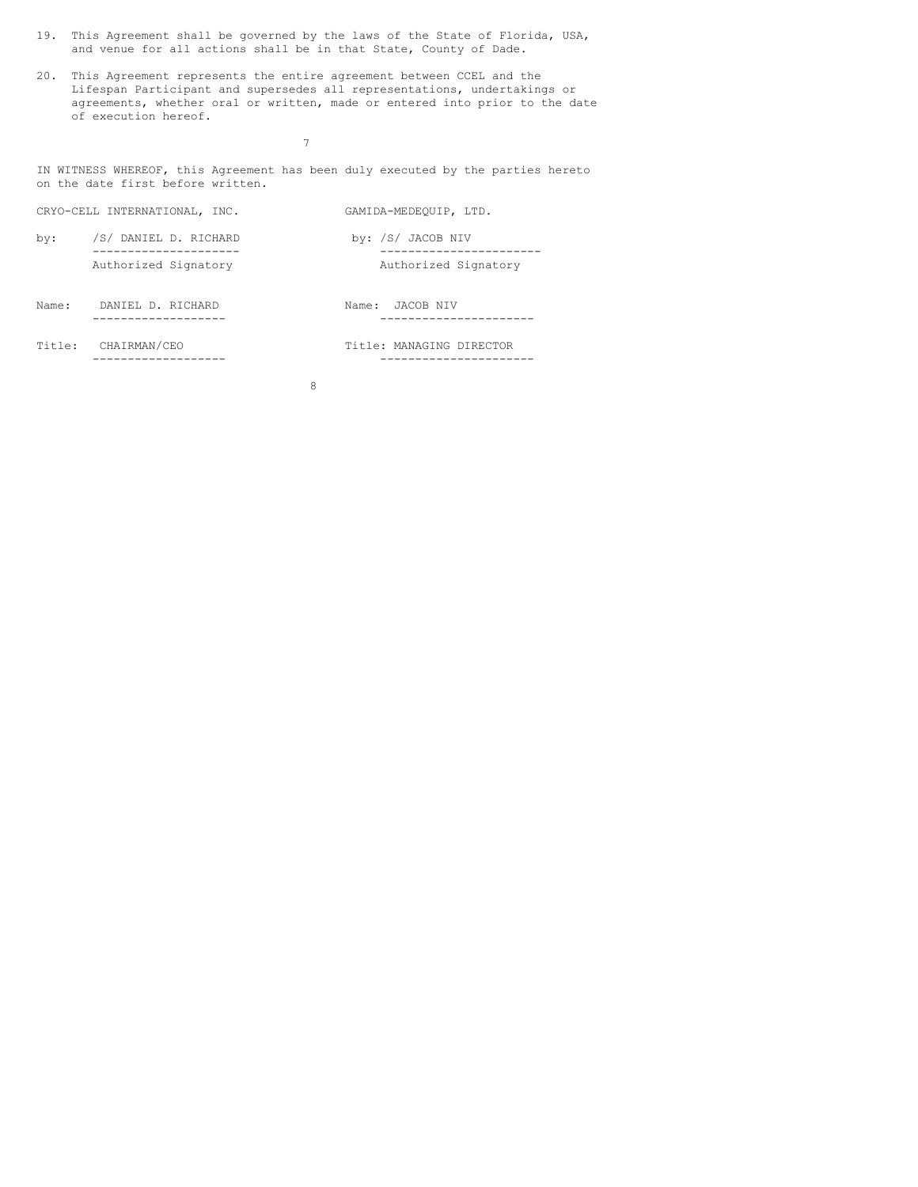- 19. This Agreement shall be governed by the laws of the State of Florida, USA, and venue for all actions shall be in that State, County of Dade.
- 20. This Agreement represents the entire agreement between CCEL and the Lifespan Participant and supersedes all representations, undertakings or agreements, whether oral or written, made or entered into prior to the date of execution hereof.

7

IN WITNESS WHEREOF, this Agreement has been duly executed by the parties hereto on the date first before written.

|       | CRYO-CELL INTERNATIONAL, INC. | GAMIDA-MEDEOUIP, LTD.    |
|-------|-------------------------------|--------------------------|
| by:   | /S/ DANIEL D. RICHARD         | by: /S/ JACOB NIV        |
|       | Authorized Signatory          | Authorized Signatory     |
| Name: | DANIEL D. RICHARD             | JACOB NIV<br>Name:       |
|       | Title: CHAIRMAN/CEO           | Title: MANAGING DIRECTOR |

8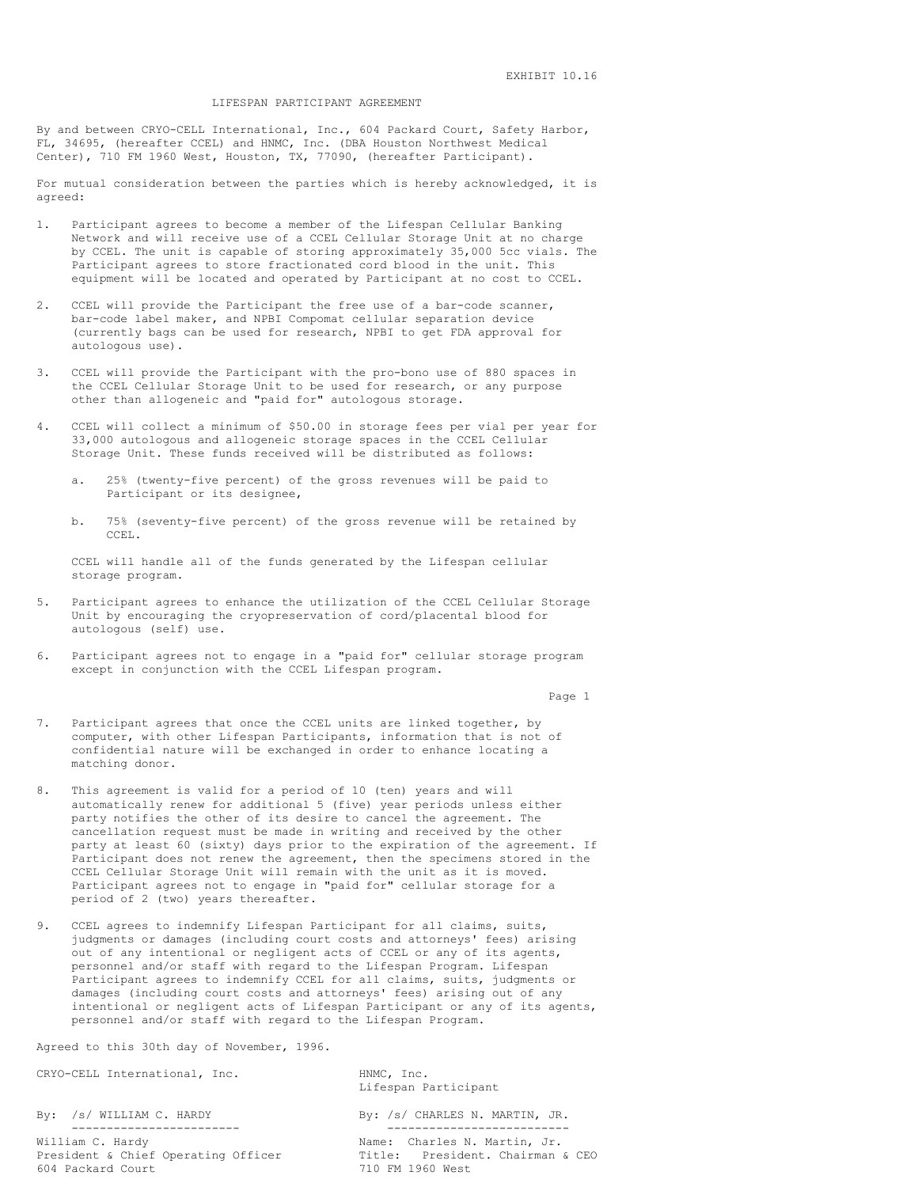#### LIFESPAN PARTICIPANT AGREEMENT

By and between CRYO-CELL International, Inc., 604 Packard Court, Safety Harbor, FL, 34695, (hereafter CCEL) and HNMC, Inc. (DBA Houston Northwest Medical Center), 710 FM 1960 West, Houston, TX, 77090, (hereafter Participant).

For mutual consideration between the parties which is hereby acknowledged, it is agreed:

- 1. Participant agrees to become a member of the Lifespan Cellular Banking Network and will receive use of a CCEL Cellular Storage Unit at no charge by CCEL. The unit is capable of storing approximately 35,000 5cc vials. The Participant agrees to store fractionated cord blood in the unit. This equipment will be located and operated by Participant at no cost to CCEL.
- 2. CCEL will provide the Participant the free use of a bar-code scanner, bar-code label maker, and NPBI Compomat cellular separation device (currently bags can be used for research, NPBI to get FDA approval for autologous use).
- 3. CCEL will provide the Participant with the pro-bono use of 880 spaces in the CCEL Cellular Storage Unit to be used for research, or any purpose other than allogeneic and "paid for" autologous storage.
- 4. CCEL will collect a minimum of \$50.00 in storage fees per vial per year for 33,000 autologous and allogeneic storage spaces in the CCEL Cellular Storage Unit. These funds received will be distributed as follows:
	- a. 25% (twenty-five percent) of the gross revenues will be paid to Participant or its designee,
	- b. 75% (seventy-five percent) of the gross revenue will be retained by CCEL.

CCEL will handle all of the funds generated by the Lifespan cellular storage program.

- 5. Participant agrees to enhance the utilization of the CCEL Cellular Storage Unit by encouraging the cryopreservation of cord/placental blood for autologous (self) use.
- 6. Participant agrees not to engage in a "paid for" cellular storage program except in conjunction with the CCEL Lifespan program.

Page 1

- 7. Participant agrees that once the CCEL units are linked together, by computer, with other Lifespan Participants, information that is not of confidential nature will be exchanged in order to enhance locating a matching donor.
- 8. This agreement is valid for a period of 10 (ten) years and will automatically renew for additional 5 (five) year periods unless either party notifies the other of its desire to cancel the agreement. The cancellation request must be made in writing and received by the other party at least 60 (sixty) days prior to the expiration of the agreement. If Participant does not renew the agreement, then the specimens stored in the CCEL Cellular Storage Unit will remain with the unit as it is moved. Participant agrees not to engage in "paid for" cellular storage for a period of 2 (two) years thereafter.
- 9. CCEL agrees to indemnify Lifespan Participant for all claims, suits, judgments or damages (including court costs and attorneys' fees) arising out of any intentional or negligent acts of CCEL or any of its agents, personnel and/or staff with regard to the Lifespan Program. Lifespan Participant agrees to indemnify CCEL for all claims, suits, judgments or damages (including court costs and attorneys' fees) arising out of any intentional or negligent acts of Lifespan Participant or any of its agents, personnel and/or staff with regard to the Lifespan Program.

Agreed to this 30th day of November, 1996.

CRYO-CELL International, Inc. HNMC, Inc.

William C. Hardy **Name:** Charles N. Martin, Jr. President & Chief Operating Officer Title: President. Chairman & CEO<br>604 Packard Court 710 FM 1960 West

Lifespan Participant

By: /s/ WILLIAM C. HARDY By: /s/ CHARLES N. MARTIN, JR. ------------------------ -------------------------- 710 FM 1960 West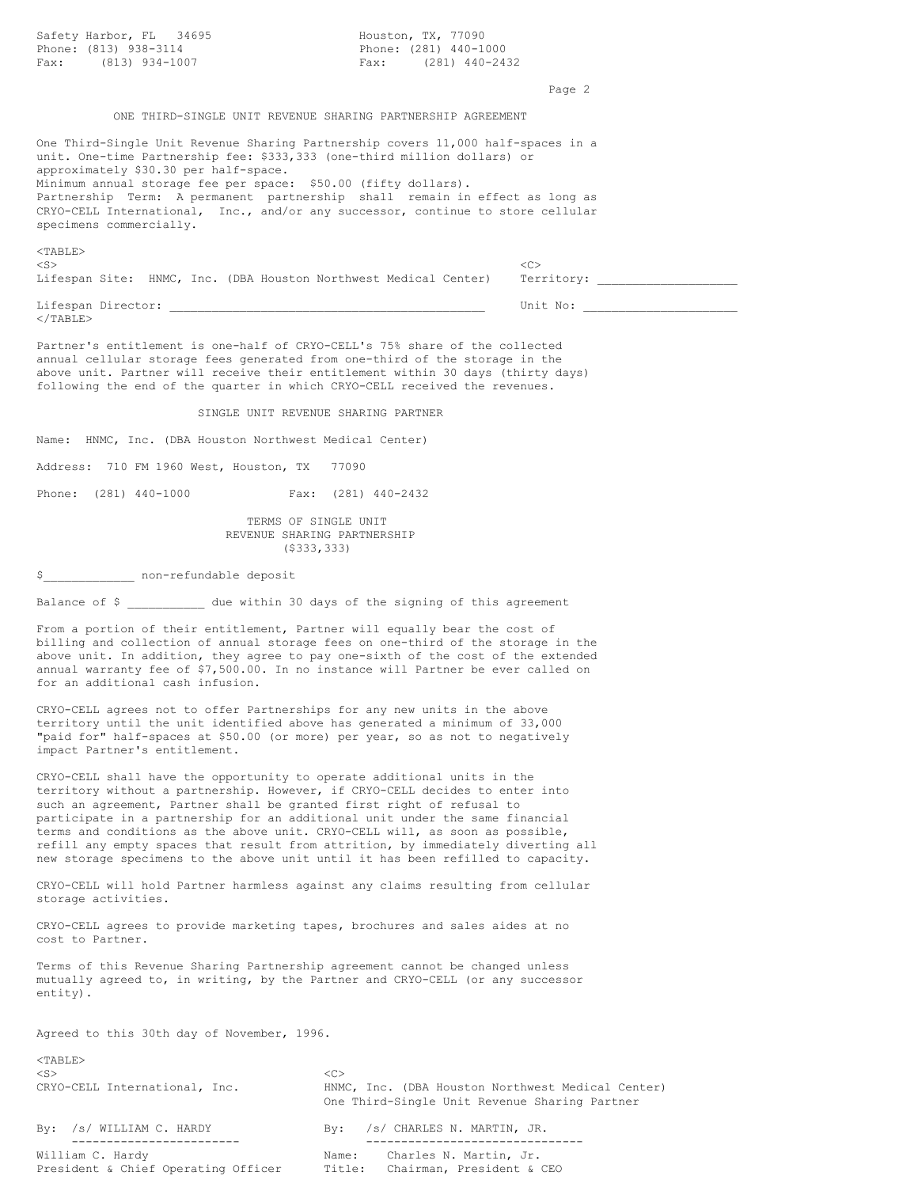| Safety Harbor, FL 34695<br>Phone: (813) 938-3114<br>Fax: (813) 934-1007                                                                                                                                                                                                                                                                                                                                                                                                                                                                                                 | Houston, TX, 77090<br>Phone: (281) 440-1000<br>Fax: $(281)$ 440-2432                                                                                                                                                                                     |  |  |
|-------------------------------------------------------------------------------------------------------------------------------------------------------------------------------------------------------------------------------------------------------------------------------------------------------------------------------------------------------------------------------------------------------------------------------------------------------------------------------------------------------------------------------------------------------------------------|----------------------------------------------------------------------------------------------------------------------------------------------------------------------------------------------------------------------------------------------------------|--|--|
|                                                                                                                                                                                                                                                                                                                                                                                                                                                                                                                                                                         | Page 2                                                                                                                                                                                                                                                   |  |  |
|                                                                                                                                                                                                                                                                                                                                                                                                                                                                                                                                                                         | ONE THIRD-SINGLE UNIT REVENUE SHARING PARTNERSHIP AGREEMENT                                                                                                                                                                                              |  |  |
| unit. One-time Partnership fee: \$333,333 (one-third million dollars) or<br>approximately \$30.30 per half-space.<br>Minimum annual storage fee per space: \$50.00 (fifty dollars).<br>specimens commercially.                                                                                                                                                                                                                                                                                                                                                          | One Third-Single Unit Revenue Sharing Partnership covers 11,000 half-spaces in a<br>Partnership Term: A permanent partnership shall remain in effect as long as<br>CRYO-CELL International, Inc., and/or any successor, continue to store cellular       |  |  |
| $<$ TABLE $>$                                                                                                                                                                                                                                                                                                                                                                                                                                                                                                                                                           |                                                                                                                                                                                                                                                          |  |  |
| $<$ S $>$<br>Lifespan Site: HNMC, Inc. (DBA Houston Northwest Medical Center)                                                                                                                                                                                                                                                                                                                                                                                                                                                                                           | <<<br>Territory:                                                                                                                                                                                                                                         |  |  |
| $\langle$ /TABLE>                                                                                                                                                                                                                                                                                                                                                                                                                                                                                                                                                       | Unit No:                                                                                                                                                                                                                                                 |  |  |
| Partner's entitlement is one-half of CRYO-CELL's 75% share of the collected<br>annual cellular storage fees generated from one-third of the storage in the<br>above unit. Partner will receive their entitlement within 30 days (thirty days)<br>following the end of the quarter in which CRYO-CELL received the revenues.                                                                                                                                                                                                                                             |                                                                                                                                                                                                                                                          |  |  |
|                                                                                                                                                                                                                                                                                                                                                                                                                                                                                                                                                                         | SINGLE UNIT REVENUE SHARING PARTNER                                                                                                                                                                                                                      |  |  |
| Name: HNMC, Inc. (DBA Houston Northwest Medical Center)                                                                                                                                                                                                                                                                                                                                                                                                                                                                                                                 |                                                                                                                                                                                                                                                          |  |  |
| Address: 710 FM 1960 West, Houston, TX 77090                                                                                                                                                                                                                                                                                                                                                                                                                                                                                                                            |                                                                                                                                                                                                                                                          |  |  |
| Phone: (281) 440-1000                                                                                                                                                                                                                                                                                                                                                                                                                                                                                                                                                   | Fax: (281) 440-2432                                                                                                                                                                                                                                      |  |  |
|                                                                                                                                                                                                                                                                                                                                                                                                                                                                                                                                                                         | TERMS OF SINGLE UNIT<br>REVENUE SHARING PARTNERSHIP<br>$($ \$333,333)                                                                                                                                                                                    |  |  |
| \$    pon-refundable deposit                                                                                                                                                                                                                                                                                                                                                                                                                                                                                                                                            |                                                                                                                                                                                                                                                          |  |  |
| Balance of \$ ____________ due within 30 days of the signing of this agreement                                                                                                                                                                                                                                                                                                                                                                                                                                                                                          |                                                                                                                                                                                                                                                          |  |  |
| From a portion of their entitlement, Partner will equally bear the cost of<br>for an additional cash infusion.                                                                                                                                                                                                                                                                                                                                                                                                                                                          | billing and collection of annual storage fees on one-third of the storage in the<br>above unit. In addition, they agree to pay one-sixth of the cost of the extended<br>annual warranty fee of \$7,500.00. In no instance will Partner be ever called on |  |  |
| CRYO-CELL agrees not to offer Partnerships for any new units in the above<br>territory until the unit identified above has generated a minimum of 33,000<br>"paid for" half-spaces at \$50.00 (or more) per year, so as not to negatively<br>impact Partner's entitlement.                                                                                                                                                                                                                                                                                              |                                                                                                                                                                                                                                                          |  |  |
| CRYO-CELL shall have the opportunity to operate additional units in the<br>territory without a partnership. However, if CRYO-CELL decides to enter into<br>such an agreement, Partner shall be granted first right of refusal to<br>participate in a partnership for an additional unit under the same financial<br>terms and conditions as the above unit. CRYO-CELL will, as soon as possible,<br>refill any empty spaces that result from attrition, by immediately diverting all<br>new storage specimens to the above unit until it has been refilled to capacity. |                                                                                                                                                                                                                                                          |  |  |
| CRYO-CELL will hold Partner harmless against any claims resulting from cellular<br>storage activities.                                                                                                                                                                                                                                                                                                                                                                                                                                                                  |                                                                                                                                                                                                                                                          |  |  |
| CRYO-CELL agrees to provide marketing tapes, brochures and sales aides at no<br>cost to Partner.                                                                                                                                                                                                                                                                                                                                                                                                                                                                        |                                                                                                                                                                                                                                                          |  |  |
| Terms of this Revenue Sharing Partnership agreement cannot be changed unless<br>mutually agreed to, in writing, by the Partner and CRYO-CELL (or any successor<br>$entity)$ .                                                                                                                                                                                                                                                                                                                                                                                           |                                                                                                                                                                                                                                                          |  |  |
| Agreed to this 30th day of November, 1996.                                                                                                                                                                                                                                                                                                                                                                                                                                                                                                                              |                                                                                                                                                                                                                                                          |  |  |
| $<$ TABLE $>$                                                                                                                                                                                                                                                                                                                                                                                                                                                                                                                                                           |                                                                                                                                                                                                                                                          |  |  |
| $<$ S $>$<br>CRYO-CELL International, Inc.                                                                                                                                                                                                                                                                                                                                                                                                                                                                                                                              | <<<br>HNMC, Inc. (DBA Houston Northwest Medical Center)<br>One Third-Single Unit Revenue Sharing Partner                                                                                                                                                 |  |  |
| By: /s/ WILLIAM C. HARDY                                                                                                                                                                                                                                                                                                                                                                                                                                                                                                                                                | By:<br>/s/ CHARLES N. MARTIN, JR.                                                                                                                                                                                                                        |  |  |
| ______________<br>William C. Hardy                                                                                                                                                                                                                                                                                                                                                                                                                                                                                                                                      | Name:<br>Charles N. Martin, Jr.                                                                                                                                                                                                                          |  |  |

President & Chief Operating Officer Title: Chairman, President & CEO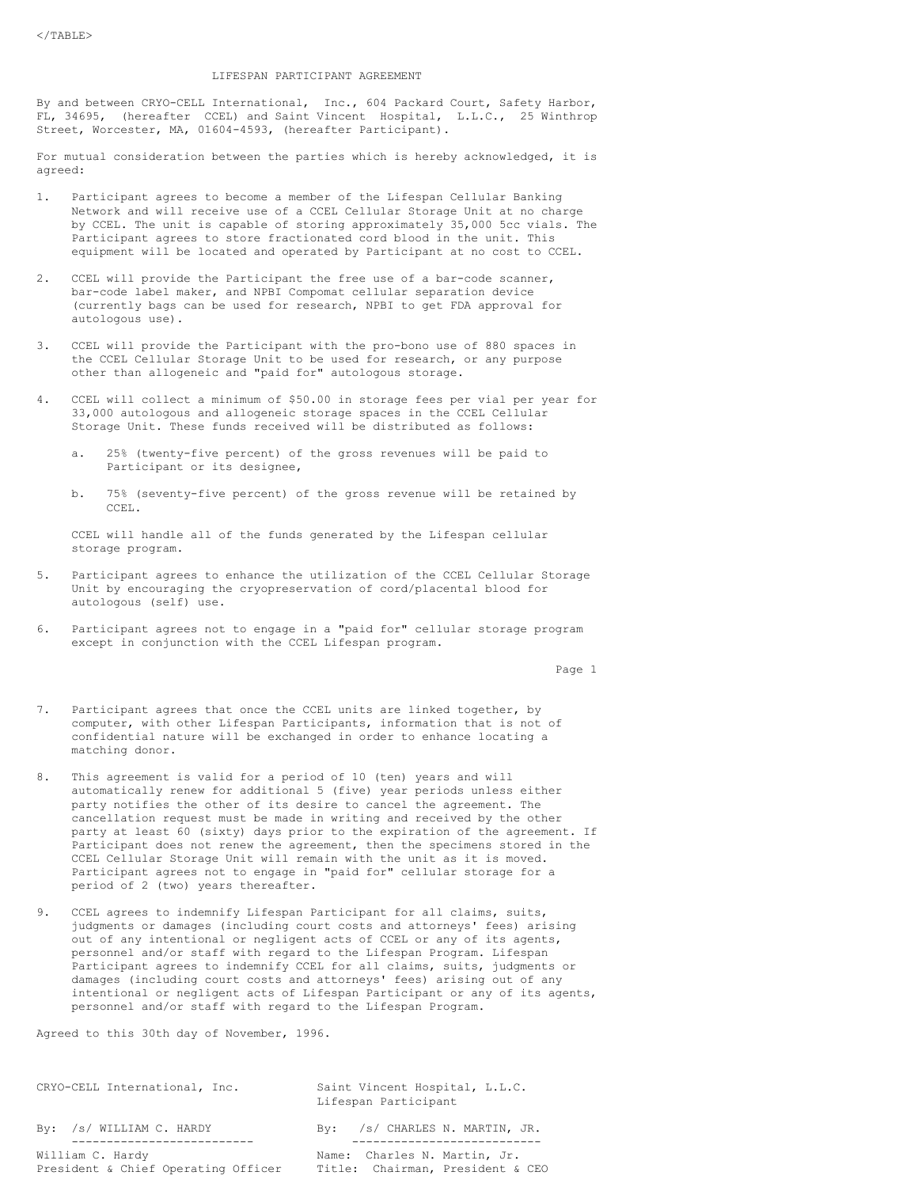## LIFESPAN PARTICIPANT AGREEMENT

By and between CRYO-CELL International, Inc., 604 Packard Court, Safety Harbor, FL, 34695, (hereafter CCEL) and Saint Vincent Hospital, L.L.C., 25 Winthrop Street, Worcester, MA, 01604-4593, (hereafter Participant).

For mutual consideration between the parties which is hereby acknowledged, it is agreed:

- 1. Participant agrees to become a member of the Lifespan Cellular Banking Network and will receive use of a CCEL Cellular Storage Unit at no charge by CCEL. The unit is capable of storing approximately 35,000 5cc vials. The Participant agrees to store fractionated cord blood in the unit. This equipment will be located and operated by Participant at no cost to CCEL.
- 2. CCEL will provide the Participant the free use of a bar-code scanner, bar-code label maker, and NPBI Compomat cellular separation device (currently bags can be used for research, NPBI to get FDA approval for autologous use).
- 3. CCEL will provide the Participant with the pro-bono use of 880 spaces in the CCEL Cellular Storage Unit to be used for research, or any purpose other than allogeneic and "paid for" autologous storage.
- 4. CCEL will collect a minimum of \$50.00 in storage fees per vial per year for 33,000 autologous and allogeneic storage spaces in the CCEL Cellular Storage Unit. These funds received will be distributed as follows:
	- a. 25% (twenty-five percent) of the gross revenues will be paid to Participant or its designee,
	- b. 75% (seventy-five percent) of the gross revenue will be retained by CCEL.

CCEL will handle all of the funds generated by the Lifespan cellular storage program.

- 5. Participant agrees to enhance the utilization of the CCEL Cellular Storage Unit by encouraging the cryopreservation of cord/placental blood for autologous (self) use.
- 6. Participant agrees not to engage in a "paid for" cellular storage program except in conjunction with the CCEL Lifespan program.

Page 1

- 7. Participant agrees that once the CCEL units are linked together, by computer, with other Lifespan Participants, information that is not of confidential nature will be exchanged in order to enhance locating a matching donor.
- 8. This agreement is valid for a period of 10 (ten) years and will automatically renew for additional 5 (five) year periods unless either party notifies the other of its desire to cancel the agreement. The cancellation request must be made in writing and received by the other party at least 60 (sixty) days prior to the expiration of the agreement. If Participant does not renew the agreement, then the specimens stored in the CCEL Cellular Storage Unit will remain with the unit as it is moved. Participant agrees not to engage in "paid for" cellular storage for a period of 2 (two) years thereafter.
- 9. CCEL agrees to indemnify Lifespan Participant for all claims, suits, judgments or damages (including court costs and attorneys' fees) arising out of any intentional or negligent acts of CCEL or any of its agents, personnel and/or staff with regard to the Lifespan Program. Lifespan Participant agrees to indemnify CCEL for all claims, suits, judgments or damages (including court costs and attorneys' fees) arising out of any intentional or negligent acts of Lifespan Participant or any of its agents, personnel and/or staff with regard to the Lifespan Program.

Agreed to this 30th day of November, 1996.

| CRYO-CELL International, Inc.                           | Saint Vincent Hospital, L.L.C.<br>Lifespan Participant           |
|---------------------------------------------------------|------------------------------------------------------------------|
| By: /s/ WILLIAM C. HARDY                                | By: /s/ CHARLES N. MARTIN, JR.                                   |
| William C. Hardy<br>President & Chief Operating Officer | Name: Charles N. Martin, Jr.<br>Title: Chairman, President & CEO |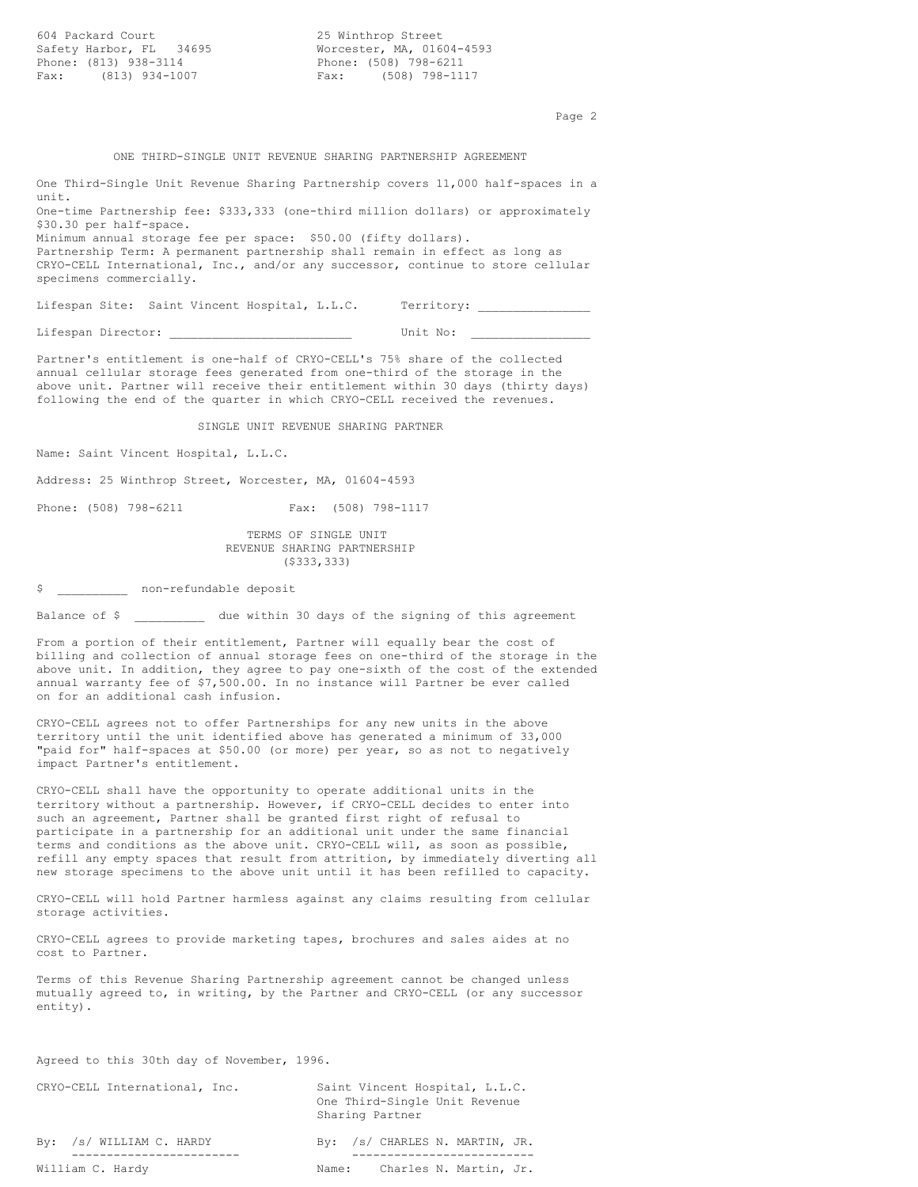604 Packard Court 25 Winthrop Street Safety Harbor, FL 34695 Phone: (813) 938-3114 Phone: (508) 798-6211 Fax: (813) 934-1007 Fax:

Page 2

#### ONE THIRD-SINGLE UNIT REVENUE SHARING PARTNERSHIP AGREEMENT

One Third-Single Unit Revenue Sharing Partnership covers 11,000 half-spaces in a unit. One-time Partnership fee: \$333,333 (one-third million dollars) or approximately \$30.30 per half-space.

Minimum annual storage fee per space: \$50.00 (fifty dollars). Partnership Term: A permanent partnership shall remain in effect as long as CRYO-CELL International, Inc., and/or any successor, continue to store cellular specimens commercially.

Lifespan Site: Saint Vincent Hospital, L.L.C. Territory: \_\_\_\_\_\_\_\_\_\_\_\_\_\_\_\_\_\_\_\_\_\_\_

Lifespan Director: \_\_\_\_\_\_\_\_\_\_\_\_\_\_\_\_\_\_\_\_\_\_\_\_\_\_ Unit No: \_\_\_\_\_\_\_\_\_\_\_\_\_\_\_\_\_

Partner's entitlement is one-half of CRYO-CELL's 75% share of the collected annual cellular storage fees generated from one-third of the storage in the above unit. Partner will receive their entitlement within 30 days (thirty days) following the end of the quarter in which CRYO-CELL received the revenues.

SINGLE UNIT REVENUE SHARING PARTNER

Name: Saint Vincent Hospital, L.L.C.

Address: 25 Winthrop Street, Worcester, MA, 01604-4593

Phone: (508) 798-6211 Fax: (508) 798-1117

TERMS OF SINGLE UNIT REVENUE SHARING PARTNERSHIP

(\$333,333)

\$ pon-refundable deposit

Balance of \$ due within 30 days of the signing of this agreement

From a portion of their entitlement, Partner will equally bear the cost of billing and collection of annual storage fees on one-third of the storage in the above unit. In addition, they agree to pay one-sixth of the cost of the extended annual warranty fee of \$7,500.00. In no instance will Partner be ever called on for an additional cash infusion.

CRYO-CELL agrees not to offer Partnerships for any new units in the above territory until the unit identified above has generated a minimum of 33,000 "paid for" half-spaces at \$50.00 (or more) per year, so as not to negatively impact Partner's entitlement.

CRYO-CELL shall have the opportunity to operate additional units in the territory without a partnership. However, if CRYO-CELL decides to enter into such an agreement, Partner shall be granted first right of refusal to participate in a partnership for an additional unit under the same financial terms and conditions as the above unit. CRYO-CELL will, as soon as possible, refill any empty spaces that result from attrition, by immediately diverting all new storage specimens to the above unit until it has been refilled to capacity.

CRYO-CELL will hold Partner harmless against any claims resulting from cellular storage activities.

CRYO-CELL agrees to provide marketing tapes, brochures and sales aides at no cost to Partner.

Terms of this Revenue Sharing Partnership agreement cannot be changed unless mutually agreed to, in writing, by the Partner and CRYO-CELL (or any successor entity).

Agreed to this 30th day of November, 1996.

| CRYO-CELL International, Inc. | Saint Vincent Hospital, L.L.C.<br>One Third-Single Unit Revenue<br>Sharing Partner |
|-------------------------------|------------------------------------------------------------------------------------|
| By: /s/ WILLIAM C. HARDY      | By: /s/ CHARLES N. MARTIN, JR.                                                     |
| William C. Hardy              | Charles N. Martin, Jr.<br>Name:                                                    |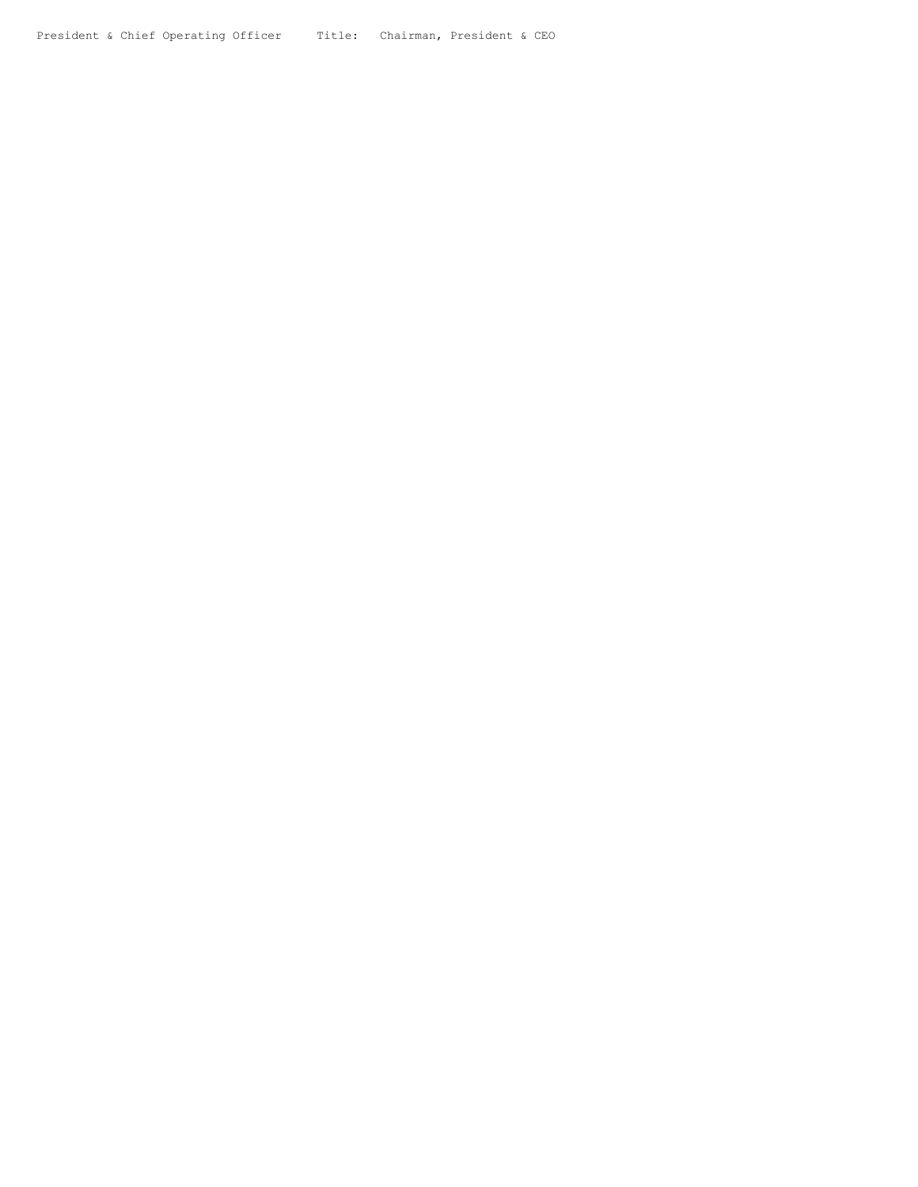President & Chief Operating Officer Title: Chairman, President & CEO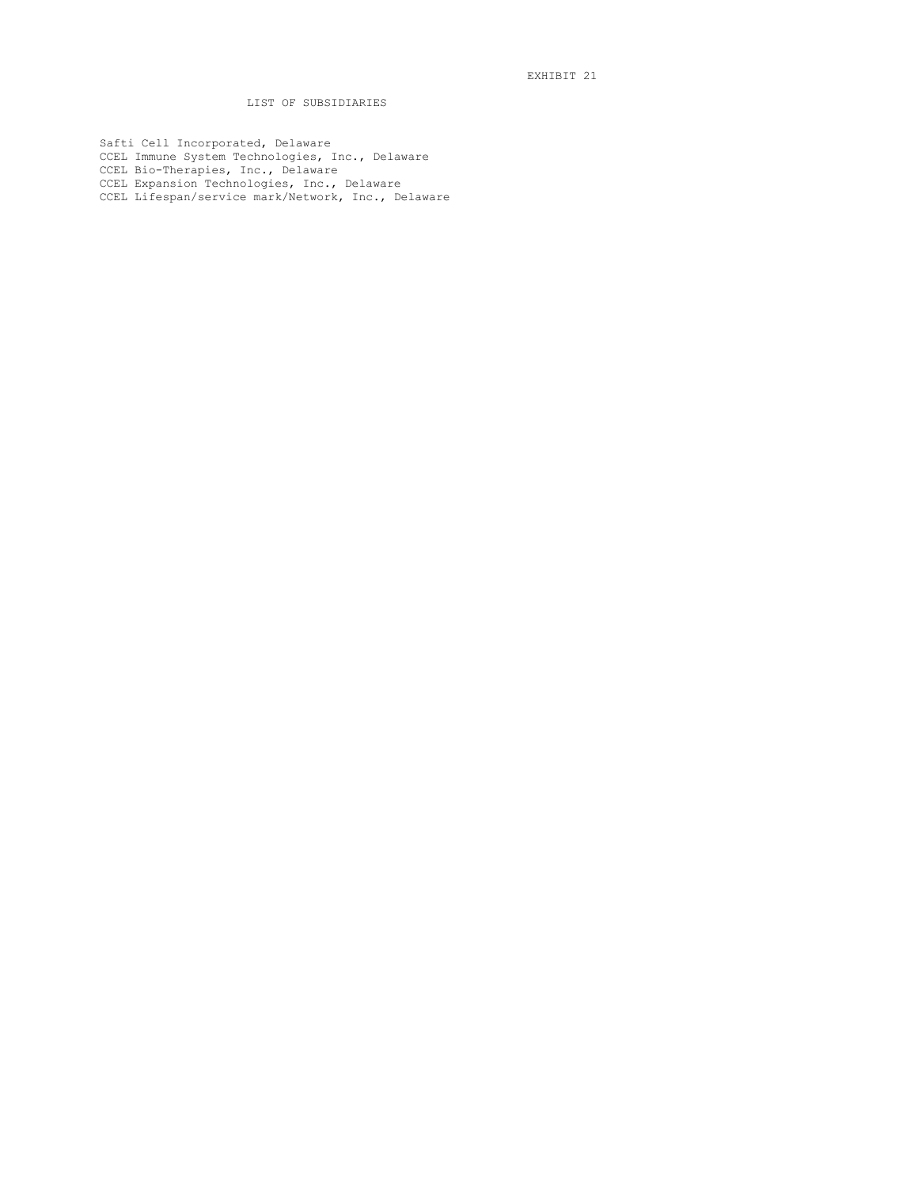# LIST OF SUBSIDIARIES

Safti Cell Incorporated, Delaware CCEL Immune System Technologies, Inc., Delaware CCEL Bio-Therapies, Inc., Delaware CCEL Expansion Technologies, Inc., Delaware CCEL Lifespan/service mark/Network, Inc., Delaware